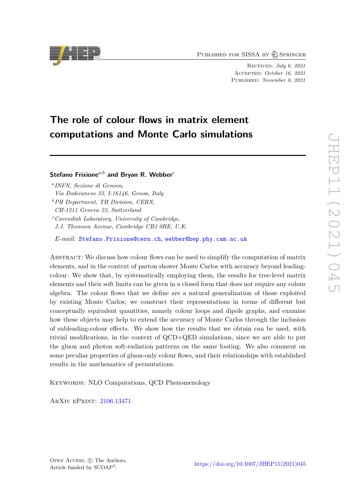PUBLISHED FOR SISSA BY 2 SPRINGER

Received: *July 6, 2021* Accepted: *October 16, 2021* Published: *November 8, 2021*

# **The role of colour flows in matrix element computations and Monte Carlo simulations**

# **Stefano Frixione***a,b* **and Bryan R. Webber***<sup>c</sup>*

*a INFN, Sezione di Genova, Via Dodecaneso 33, I-16146, Genoa, Italy*

*<sup>b</sup>PH Department, TH Division, CERN, CH-1211 Geneva 23, Switzerland*

*<sup>c</sup>Cavendish Laboratory, University of Cambridge, J.J. Thomson Avenue, Cambridge CB3 0HE, U.K.*

*E-mail:* [Stefano.Frixione@cern.ch](mailto:Stefano.Frixione@cern.ch), [webber@hep.phy.cam.ac.uk](mailto:webber@hep.phy.cam.ac.uk)

Abstract: We discuss how colour flows can be used to simplify the computation of matrix elements, and in the context of parton shower Monte Carlos with accuracy beyond leadingcolour. We show that, by systematically employing them, the results for tree-level matrix elements and their soft limits can be given in a closed form that does not require any colour algebra. The colour flows that we define are a natural generalization of those exploited by existing Monte Carlos; we construct their representations in terms of different but conceptually equivalent quantities, namely colour loops and dipole graphs, and examine how these objects may help to extend the accuracy of Monte Carlos through the inclusion of subleading-colour effects. We show how the results that we obtain can be used, with trivial modifications, in the context of QCD+QED simulations, since we are able to put the gluon and photon soft-radiation patterns on the same footing. We also comment on some peculiar properties of gluon-only colour flows, and their relationships with established results in the mathematics of permutations.

KEYWORDS: NLO Computations, QCD Phenomenology

ArXiv ePrint: [2106.13471](https://arxiv.org/abs/2106.13471)

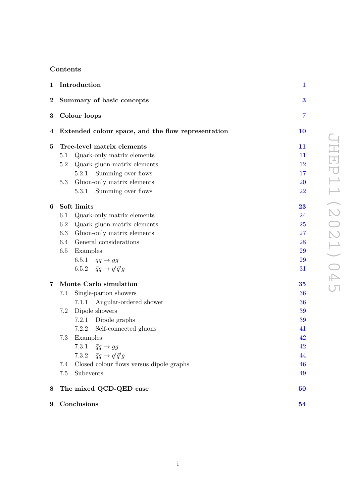# **Contents**

|          |                            | 1 Introduction                                     | $\mathbf{1}$ |  |  |  |  |
|----------|----------------------------|----------------------------------------------------|--------------|--|--|--|--|
| $\bf{2}$ | Summary of basic concepts  | 3                                                  |              |  |  |  |  |
| 3        | Colour loops               | 7                                                  |              |  |  |  |  |
| 4        |                            | Extended colour space, and the flow representation |              |  |  |  |  |
| 5        | Tree-level matrix elements |                                                    |              |  |  |  |  |
|          | 5.1                        | Quark-only matrix elements                         | 11           |  |  |  |  |
|          | 5.2                        | Quark-gluon matrix elements                        | $12\,$       |  |  |  |  |
|          |                            | Summing over flows<br>5.2.1                        | 17           |  |  |  |  |
|          | 5.3                        | Gluon-only matrix elements                         | 20           |  |  |  |  |
|          |                            | 5.3.1<br>Summing over flows                        | <b>22</b>    |  |  |  |  |
| 6        | Soft limits                | 23                                                 |              |  |  |  |  |
|          | 6.1                        | Quark-only matrix elements                         | 24           |  |  |  |  |
|          | 6.2                        | Quark-gluon matrix elements                        | 25           |  |  |  |  |
|          | 6.3                        | Gluon-only matrix elements                         | 27           |  |  |  |  |
|          |                            | 6.4 General considerations                         | 28           |  |  |  |  |
|          | 6.5                        | Examples                                           | 29           |  |  |  |  |
|          |                            | 6.5.1 $\bar{q}q \rightarrow gg$                    | 29           |  |  |  |  |
|          |                            | 6.5.2 $\bar{q}q \rightarrow q'\bar{q}'q$           | 31           |  |  |  |  |
| 7        | Monte Carlo simulation     |                                                    |              |  |  |  |  |
|          | 7.1                        | Single-parton showers                              | 36           |  |  |  |  |
|          |                            | Angular-ordered shower<br>7.1.1                    | 36           |  |  |  |  |
|          | 7.2                        | Dipole showers                                     | 39           |  |  |  |  |
|          |                            | 7.2.1<br>Dipole graphs                             | 39           |  |  |  |  |
|          |                            | Self-connected gluons<br>7.2.2                     | 41           |  |  |  |  |
|          | 7.3                        | Examples                                           | 42           |  |  |  |  |
|          |                            | 7.3.1<br>$\bar{q}q \rightarrow gg$                 | 42           |  |  |  |  |
|          |                            | 7.3.2 $\bar{q}q \rightarrow q'\bar{q}'q$           | 44           |  |  |  |  |
|          | 7.4                        | Closed colour flows versus dipole graphs           | 46           |  |  |  |  |
|          | 7.5                        | Subevents                                          | 49           |  |  |  |  |
| 8        |                            | The mixed QCD-QED case                             | 50           |  |  |  |  |
| 9        |                            | Conclusions                                        | 54           |  |  |  |  |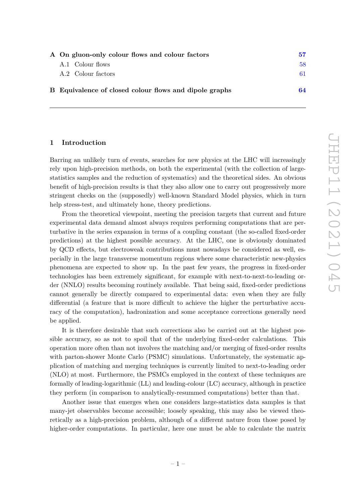| A On gluon-only colour flows and colour factors        |    |  |  |  |
|--------------------------------------------------------|----|--|--|--|
| A.1 Colour flows                                       | 58 |  |  |  |
| A.2 Colour factors                                     | 61 |  |  |  |
| B Equivalence of closed colour flows and dipole graphs | 64 |  |  |  |

# <span id="page-2-0"></span>**1 Introduction**

Barring an unlikely turn of events, searches for new physics at the LHC will increasingly rely upon high-precision methods, on both the experimental (with the collection of largestatistics samples and the reduction of systematics) and the theoretical sides. An obvious benefit of high-precision results is that they also allow one to carry out progressively more stringent checks on the (supposedly) well-known Standard Model physics, which in turn help stress-test, and ultimately hone, theory predictions.

From the theoretical viewpoint, meeting the precision targets that current and future experimental data demand almost always requires performing computations that are perturbative in the series expansion in terms of a coupling constant (the so-called fixed-order predictions) at the highest possible accuracy. At the LHC, one is obviously dominated by QCD effects, but electroweak contributions must nowadays be considered as well, especially in the large transverse momentum regions where some characteristic new-physics phenomena are expected to show up. In the past few years, the progress in fixed-order technologies has been extremely significant, for example with next-to-next-to-leading order (NNLO) results becoming routinely available. That being said, fixed-order predictions cannot generally be directly compared to experimental data: even when they are fully differential (a feature that is more difficult to achieve the higher the perturbative accuracy of the computation), hadronization and some acceptance corrections generally need be applied.

It is therefore desirable that such corrections also be carried out at the highest possible accuracy, so as not to spoil that of the underlying fixed-order calculations. This operation more often than not involves the matching and/or merging of fixed-order results with parton-shower Monte Carlo (PSMC) simulations. Unfortunately, the systematic application of matching and merging techniques is currently limited to next-to-leading order (NLO) at most. Furthermore, the PSMCs employed in the context of these techniques are formally of leading-logarithmic (LL) and leading-colour (LC) accuracy, although in practice they perform (in comparison to analytically-resummed computations) better than that.

Another issue that emerges when one considers large-statistics data samples is that many-jet observables become accessible; loosely speaking, this may also be viewed theoretically as a high-precision problem, although of a different nature from those posed by higher-order computations. In particular, here one must be able to calculate the matrix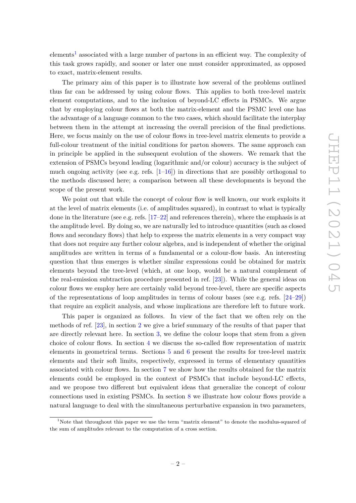elements<sup>[1](#page-3-0)</sup> associated with a large number of partons in an efficient way. The complexity of this task grows rapidly, and sooner or later one must consider approximated, as opposed to exact, matrix-element results.

The primary aim of this paper is to illustrate how several of the problems outlined thus far can be addressed by using colour flows. This applies to both tree-level matrix element computations, and to the inclusion of beyond-LC effects in PSMCs. We argue that by employing colour flows at both the matrix-element and the PSMC level one has the advantage of a language common to the two cases, which should facilitate the interplay between them in the attempt at increasing the overall precision of the final predictions. Here, we focus mainly on the use of colour flows in tree-level matrix elements to provide a full-colour treatment of the initial conditions for parton showers. The same approach can in principle be applied in the subsequent evolution of the showers. We remark that the extension of PSMCs beyond leading (logarithmic and/or colour) accuracy is the subject of much ongoing activity (see e.g. refs.  $[1-16]$  $[1-16]$ ) in directions that are possibly orthogonal to the methods discussed here; a comparison between all these developments is beyond the scope of the present work.

We point out that while the concept of colour flow is well known, our work exploits it at the level of matrix elements (i.e. of amplitudes squared), in contrast to what is typically done in the literature (see e.g. refs.  $[17-22]$  $[17-22]$  and references therein), where the emphasis is at the amplitude level. By doing so, we are naturally led to introduce quantities (such as closed flows and secondary flows) that help to express the matrix elements in a very compact way that does not require any further colour algebra, and is independent of whether the original amplitudes are written in terms of a fundamental or a colour-flow basis. An interesting question that thus emerges is whether similar expressions could be obtained for matrix elements beyond the tree-level (which, at one loop, would be a natural complement of the real-emission subtraction procedure presented in ref. [\[23\]](#page-74-2)). While the general ideas on colour flows we employ here are certainly valid beyond tree-level, there are specific aspects of the representations of loop amplitudes in terms of colour bases (see e.g. refs. [\[24](#page-74-3)[–29\]](#page-74-4)) that require an explicit analysis, and whose implications are therefore left to future work.

This paper is organized as follows. In view of the fact that we often rely on the methods of ref. [\[23\]](#page-74-2), in section [2](#page-4-0) we give a brief summary of the results of that paper that are directly relevant here. In section [3,](#page-8-0) we define the colour loops that stem from a given choice of colour flows. In section [4](#page-11-0) we discuss the so-called flow representation of matrix elements in geometrical terms. Sections [5](#page-12-0) and [6](#page-24-0) present the results for tree-level matrix elements and their soft limits, respectively, expressed in terms of elementary quantities associated with colour flows. In section [7](#page-36-0) we show how the results obtained for the matrix elements could be employed in the context of PSMCs that include beyond-LC effects, and we propose two different but equivalent ideas that generalize the concept of colour connections used in existing PSMCs. In section [8](#page-51-0) we illustrate how colour flows provide a natural language to deal with the simultaneous perturbative expansion in two parameters,

<span id="page-3-0"></span><sup>&</sup>lt;sup>1</sup>Note that throughout this paper we use the term "matrix element" to denote the modulus-squared of the sum of amplitudes relevant to the computation of a cross section.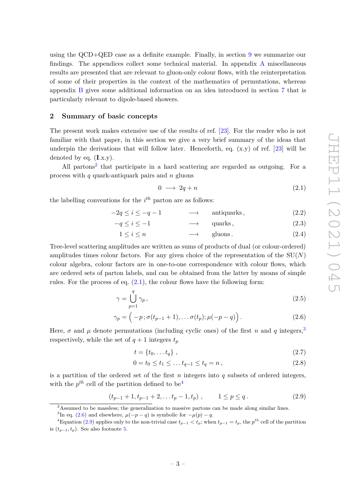using the QCD+QED case as a definite example. Finally, in section [9](#page-55-0) we summarize our findings. The appendices collect some technical material. In appendix [A](#page-58-0) miscellaneous results are presented that are relevant to gluon-only colour flows, with the reinterpretation of some of their properties in the context of the mathematics of permutations, whereas appendix [B](#page-65-0) gives some additional information on an idea introduced in section [7](#page-36-0) that is particularly relevant to dipole-based showers.

#### <span id="page-4-0"></span>**2 Summary of basic concepts**

The present work makes extensive use of the results of ref. [\[23\]](#page-74-2). For the reader who is not familiar with that paper, in this section we give a very brief summary of the ideas that underpin the derivations that will follow later. Henceforth, eq.  $(x,y)$  of ref. [\[23\]](#page-74-2) will be denoted by eq. (**I**.x.y).

All partons<sup>[2](#page-4-1)</sup> that participate in a hard scattering are regarded as outgoing. For a process with *q* quark-antiquark pairs and *n* gluons

<span id="page-4-11"></span><span id="page-4-10"></span><span id="page-4-2"></span>
$$
0 \longrightarrow 2q + n \tag{2.1}
$$

the labelling conventions for the *i th* parton are as follows:

$$
-2q \le i \le -q - 1 \qquad \longrightarrow \qquad \text{antiquarks}, \tag{2.2}
$$

$$
-q \le i \le -1 \qquad \longrightarrow \qquad \text{quarks}, \tag{2.3}
$$

$$
1 \le i \le n \qquad \longrightarrow \qquad \text{gluons.} \tag{2.4}
$$

Tree-level scattering amplitudes are written as sums of products of dual (or colour-ordered) amplitudes times colour factors. For any given choice of the representation of the SU(*N*) colour algebra, colour factors are in one-to-one correspondence with colour flows, which are ordered sets of parton labels, and can be obtained from the latter by means of simple rules. For the process of eq.  $(2.1)$ , the colour flows have the following form:

$$
\gamma = \bigcup_{p=1}^{q} \gamma_p, \qquad (2.5)
$$

$$
\gamma_p = \left( -p \, ; \sigma(t_{p-1}+1), \ldots \sigma(t_p) ; \mu(-p-q) \right). \tag{2.6}
$$

Here,  $\sigma$  and  $\mu$  denote permutations (including cyclic ones) of the first *n* and *q* integers,<sup>[3](#page-4-3)</sup> respectively, while the set of  $q + 1$  integers  $t_p$ 

<span id="page-4-9"></span><span id="page-4-8"></span><span id="page-4-7"></span><span id="page-4-5"></span>
$$
t = \{t_0, \dots t_q\} \tag{2.7}
$$

$$
0 = t_0 \le t_1 \le \dots t_{q-1} \le t_q = n, \tag{2.8}
$$

is a partition of the ordered set of the first *n* integers into *q* subsets of ordered integers, with the  $p^{th}$  cell of the partition defined to be<sup>[4](#page-4-4)</sup>

<span id="page-4-6"></span>
$$
(t_{p-1}+1, t_{p-1}+2, \dots t_p-1, t_p) , \t 1 \le p \le q . \t (2.9)
$$

<span id="page-4-3"></span><span id="page-4-1"></span><sup>&</sup>lt;sup>2</sup>Assumed to be massless; the generalization to massive partons can be made along similar lines.

<span id="page-4-4"></span><sup>&</sup>lt;sup>3</sup>In eq. [\(2.6\)](#page-4-5) and elsewhere,  $\mu(-p-q)$  is symbolic for  $-\mu(p)-q$ .

<sup>&</sup>lt;sup>4</sup>Equation [\(2.9\)](#page-4-6) applies only to the non-trivial case  $t_{p-1} < t_p$ ; when  $t_{p-1} = t_p$ , the  $p^{th}$  cell of the partition is  $(t_{p-1}, t_p)$ . See also footnote [5.](#page-5-0)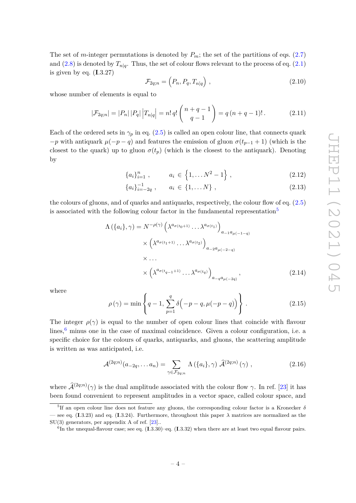The set of *m*-integer permutations is denoted by  $P_m$ ; the set of the partitions of eqs. [\(2.7\)](#page-4-7) and  $(2.8)$  is denoted by  $T_{n|q}$ . Thus, the set of colour flows relevant to the process of eq.  $(2.1)$ is given by eq. (**I**.3.27)

<span id="page-5-3"></span>
$$
\mathcal{F}_{2q;n} = \left(P_n, P_q, T_{n|q}\right),\tag{2.10}
$$

whose number of elements is equal to

<span id="page-5-4"></span>
$$
|\mathcal{F}_{2q;n}| = |P_n| |P_q| |T_{n|q}| = n! |q! {n+q-1 \choose q-1} = q (n+q-1)!.
$$
 (2.11)

Each of the ordered sets in  $\gamma_p$  in eq. [\(2.5\)](#page-4-9) is called an open colour line, that connects quark  $-p$  with antiquark  $\mu(-p-q)$  and features the emission of gluon  $\sigma(t_{p-1}+1)$  (which is the closest to the quark) up to gluon  $\sigma(t_p)$  (which is the closest to the antiquark). Denoting by

$$
\{a_i\}_{i=1}^n, \qquad a_i \in \{1, \dots N^2 - 1\}, \qquad (2.12)
$$

<span id="page-5-2"></span>
$$
\{a_i\}_{i=-2q}^{-1}, \qquad a_i \in \{1, \dots N\} \;, \tag{2.13}
$$

the colours of gluons, and of quarks and antiquarks, respectively, the colour flow of eq. [\(2.5\)](#page-4-9) is associated with the following colour factor in the fundamental representation<sup>[5](#page-5-0)</sup>

$$
\Lambda\left(\{a_i\}, \gamma\right) = N^{-\rho(\gamma)} \left(\lambda^{a_{\sigma(t_0+1)}} \dots \lambda^{a_{\sigma(t_1)}}\right)_{a_{-1}a_{\mu(-1-q)}}
$$

$$
\times \left(\lambda^{a_{\sigma(t_1+1)}} \dots \lambda^{a_{\sigma(t_2)}}\right)_{a_{-2}a_{\mu(-2-q)}}
$$

$$
\times \dots
$$

$$
\times \left(\lambda^{a_{\sigma(t_{q-1+1)}}} \dots \lambda^{a_{\sigma(t_q)}}\right)_{a_{-q}a_{\mu(-2q)}},
$$
\n(2.14)

where

$$
\rho(\gamma) = \min \left\{ q - 1, \sum_{p=1}^{q} \delta(-p - q, \mu(-p - q)) \right\}.
$$
\n(2.15)

The integer  $\rho(\gamma)$  is equal to the number of open colour lines that coincide with flavour lines,<sup>[6](#page-5-1)</sup> minus one in the case of maximal coincidence. Given a colour configuration, i.e. a specific choice for the colours of quarks, antiquarks, and gluons, the scattering amplitude is written as was anticipated, i.e.

$$
\mathcal{A}^{(2q;n)}(a_{-2q},\ldots a_n) = \sum_{\gamma \in \mathcal{F}_{2q;n}} \Lambda\left(\{a_i\}, \gamma\right) \hat{\mathcal{A}}^{(2q;n)}\left(\gamma\right),\tag{2.16}
$$

where  $\hat{\mathcal{A}}^{(2q;n)}(\gamma)$  is the dual amplitude associated with the colour flow  $\gamma$ . In ref. [\[23\]](#page-74-2) it has been found convenient to represent amplitudes in a vector space, called colour space, and

<span id="page-5-0"></span><sup>5</sup> If an open colour line does not feature any gluons, the corresponding colour factor is a Kronecker *δ* see eq. (**I**.3.23) and eq. (**I**.3.24). Furthermore, throughout this paper  $\lambda$  matrices are normalized as the SU(3) generators, per appendix A of ref. [\[23\]](#page-74-2)..

<span id="page-5-1"></span><sup>6</sup> In the unequal-flavour case; see eq. (**I**.3.30)–eq. (**I**.3.32) when there are at least two equal flavour pairs.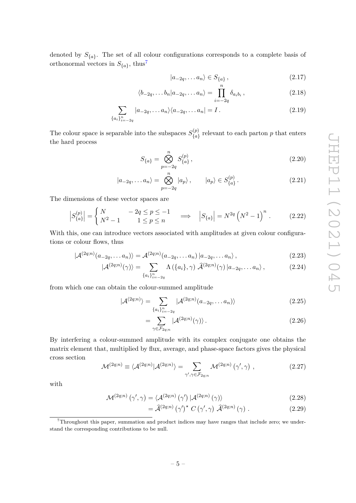denoted by *S*{*a*} . The set of all colour configurations corresponds to a complete basis of orthonormal vectors in  $S_{\{a\}}$ , thus<sup>[7](#page-6-0)</sup>

<span id="page-6-4"></span><span id="page-6-3"></span>
$$
|a_{-2q},\ldots a_n\rangle \in S_{\{a\}},\tag{2.17}
$$

$$
\langle b_{-2q}, \dots b_n | a_{-2q}, \dots a_n \rangle = \prod_{i=-2q}^n \delta_{a_i b_i}, \qquad (2.18)
$$

$$
\sum_{\{a_i\}_{i=-2q}^n} |a_{-2q}, \dots a_n\rangle \langle a_{-2q}, \dots a_n| = I. \tag{2.19}
$$

The colour space is separable into the subspaces  $S_{I_{\alpha}}^{(p)}$  ${P \choose \{a\}}$  relevant to each parton p that enters the hard process

$$
S_{\{a\}} = \bigotimes_{p=-2q}^{n} S_{\{a\}}^{(p)},
$$
\n(2.20)

$$
|a_{-2q},\ldots a_n\rangle = \bigotimes_{p=-2q}^n |a_p\rangle, \qquad |a_p\rangle \in S_{\{a\}}^{(p)}.
$$
 (2.21)

The dimensions of these vector spaces are

$$
\left| S_{\{a\}}^{(p)} \right| = \begin{cases} N & -2q \le p \le -1 \\ N^2 - 1 & 1 \le p \le n \end{cases} \implies \left| S_{\{a\}} \right| = N^{2q} \left( N^2 - 1 \right)^n. \tag{2.22}
$$

With this, one can introduce vectors associated with amplitudes at given colour configurations or colour flows, thus

$$
|\mathcal{A}^{(2q;n)}(a_{-2q},\ldots a_n)\rangle = \mathcal{A}^{(2q;n)}(a_{-2q},\ldots a_n)|a_{-2q},\ldots a_n\rangle,
$$
\n(2.23)

$$
|\mathcal{A}^{(2q;n)}(\gamma)\rangle = \sum_{\{a_i\}_{i=-2q}^n} \Lambda\left(\{a_i\}, \gamma\right) \widehat{\mathcal{A}}^{(2q;n)}(\gamma) \left|a_{-2q}, \dots a_n\right\rangle,\tag{2.24}
$$

from which one can obtain the colour-summed amplitude

$$
|\mathcal{A}^{(2q;n)}\rangle = \sum_{\{a_i\}_{i=-2q}^n} |\mathcal{A}^{(2q;n)}(a_{-2q},\dots a_n)\rangle
$$
 (2.25)

<span id="page-6-6"></span><span id="page-6-5"></span>
$$
=\sum_{\gamma\in\mathcal{F}_{2q;n}}|\mathcal{A}^{(2q;n)}(\gamma)\rangle.
$$
\n(2.26)

By interfering a colour-summed amplitude with its complex conjugate one obtains the matrix element that, multiplied by flux, average, and phase-space factors gives the physical cross section

<span id="page-6-2"></span>
$$
\mathcal{M}^{(2q;n)} \equiv \langle \mathcal{A}^{(2q;n)} | \mathcal{A}^{(2q;n)} \rangle = \sum_{\gamma', \gamma \in \mathcal{F}_{2q;n}} \mathcal{M}^{(2q;n)} \left( \gamma', \gamma \right) , \qquad (2.27)
$$

with

$$
\mathcal{M}^{(2q;n)}\left(\gamma',\gamma\right) = \langle \mathcal{A}^{(2q;n)}\left(\gamma'\right) | \mathcal{A}^{(2q;n)}\left(\gamma\right) \rangle \tag{2.28}
$$

<span id="page-6-1"></span>
$$
= \hat{\mathcal{A}}^{(2q;n)} (\gamma')^{\star} C (\gamma', \gamma) \hat{\mathcal{A}}^{(2q;n)} (\gamma) . \qquad (2.29)
$$

<span id="page-6-0"></span><sup>7</sup>Throughout this paper, summation and product indices may have ranges that include zero; we understand the corresponding contributions to be null.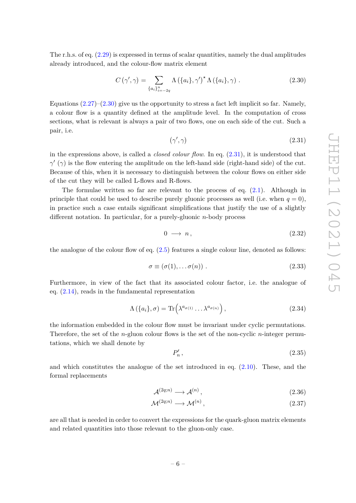The r.h.s. of eq. [\(2.29\)](#page-6-1) is expressed in terms of scalar quantities, namely the dual amplitudes already introduced, and the colour-flow matrix element

<span id="page-7-0"></span>
$$
C(\gamma', \gamma) = \sum_{\{a_i\}_{i=-2q}^n} \Lambda(\{a_i\}, \gamma')^* \Lambda(\{a_i\}, \gamma) . \qquad (2.30)
$$

Equations  $(2.27)-(2.30)$  $(2.27)-(2.30)$  $(2.27)-(2.30)$  give us the opportunity to stress a fact left implicit so far. Namely, a colour flow is a quantity defined at the amplitude level. In the computation of cross sections, what is relevant is always a pair of two flows, one on each side of the cut. Such a pair, i.e.

<span id="page-7-1"></span>
$$
(\gamma', \gamma) \tag{2.31}
$$

in the expressions above, is called a *closed colour flow*. In eq. [\(2.31\)](#page-7-1), it is understood that  $γ'$  (γ) is the flow entering the amplitude on the left-hand side (right-hand side) of the cut. Because of this, when it is necessary to distinguish between the colour flows on either side of the cut they will be called L-flows and R-flows.

The formulae written so far are relevant to the process of eq.  $(2.1)$ . Although in principle that could be used to describe purely gluonic processes as well (i.e. when  $q = 0$ ), in practice such a case entails significant simplifications that justify the use of a slightly different notation. In particular, for a purely-gluonic *n*-body process

$$
0 \longrightarrow n, \tag{2.32}
$$

the analogue of the colour flow of eq. [\(2.5\)](#page-4-9) features a single colour line, denoted as follows:

$$
\sigma \equiv (\sigma(1), \dots \sigma(n)) . \tag{2.33}
$$

Furthermore, in view of the fact that its associated colour factor, i.e. the analogue of eq. [\(2.14\)](#page-5-2), reads in the fundamental representation

$$
\Lambda\left(\{a_i\},\sigma\right) = \text{Tr}\left(\lambda^{a_{\sigma(1)}}\dots\lambda^{a_{\sigma(n)}}\right),\tag{2.34}
$$

the information embedded in the colour flow must be invariant under cyclic permutations. Therefore, the set of the *n*-gluon colour flows is the set of the non-cyclic *n*-integer permutations, which we shall denote by

$$
P_n',\tag{2.35}
$$

and which constitutes the analogue of the set introduced in eq. [\(2.10\)](#page-5-3). These, and the formal replacements

$$
\mathcal{A}^{(2q;n)} \longrightarrow \mathcal{A}^{(n)},\tag{2.36}
$$

$$
\mathcal{M}^{(2q;n)} \longrightarrow \mathcal{M}^{(n)},\tag{2.37}
$$

are all that is needed in order to convert the expressions for the quark-gluon matrix elements and related quantities into those relevant to the gluon-only case.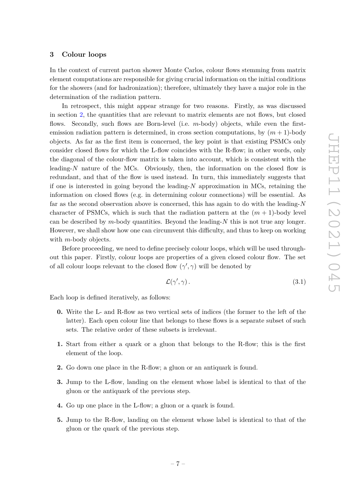#### <span id="page-8-0"></span>**3 Colour loops**

In the context of current parton shower Monte Carlos, colour flows stemming from matrix element computations are responsible for giving crucial information on the initial conditions for the showers (and for hadronization); therefore, ultimately they have a major role in the determination of the radiation pattern.

In retrospect, this might appear strange for two reasons. Firstly, as was discussed in section [2,](#page-4-0) the quantities that are relevant to matrix elements are not flows, but closed flows. Secondly, such flows are Born-level (i.e. *m*-body) objects, while even the firstemission radiation pattern is determined, in cross section computations, by  $(m + 1)$ -body objects. As far as the first item is concerned, the key point is that existing PSMCs only consider closed flows for which the L-flow coincides with the R-flow; in other words, only the diagonal of the colour-flow matrix is taken into account, which is consistent with the leading-*N* nature of the MCs. Obviously, then, the information on the closed flow is redundant, and that of the flow is used instead. In turn, this immediately suggests that if one is interested in going beyond the leading-*N* approximation in MCs, retaining the information on closed flows (e.g. in determining colour connections) will be essential. As far as the second observation above is concerned, this has again to do with the leading-*N* character of PSMCs, which is such that the radiation pattern at the  $(m + 1)$ -body level can be described by *m*-body quantities. Beyond the leading-*N* this is not true any longer. However, we shall show how one can circumvent this difficulty, and thus to keep on working with *m*-body objects.

Before proceeding, we need to define precisely colour loops, which will be used throughout this paper. Firstly, colour loops are properties of a given closed colour flow. The set of all colour loops relevant to the closed flow  $(\gamma', \gamma)$  will be denoted by

<span id="page-8-1"></span>
$$
\mathcal{L}(\gamma', \gamma). \tag{3.1}
$$

Each loop is defined iteratively, as follows:

- **0.** Write the L- and R-flow as two vertical sets of indices (the former to the left of the latter). Each open colour line that belongs to these flows is a separate subset of such sets. The relative order of these subsets is irrelevant.
- **1.** Start from either a quark or a gluon that belongs to the R-flow; this is the first element of the loop.
- **2.** Go down one place in the R-flow; a gluon or an antiquark is found.
- **3.** Jump to the L-flow, landing on the element whose label is identical to that of the gluon or the antiquark of the previous step.
- **4.** Go up one place in the L-flow; a gluon or a quark is found.
- **5.** Jump to the R-flow, landing on the element whose label is identical to that of the gluon or the quark of the previous step.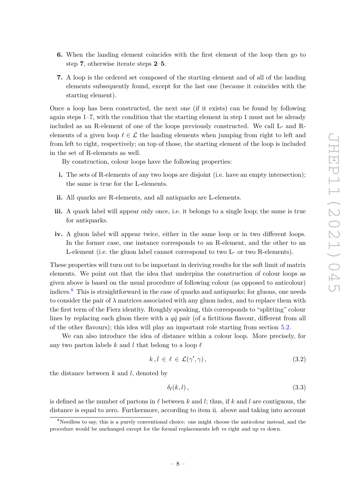- **6.** When the landing element coincides with the first element of the loop then go to step **7**, otherwise iterate steps **2**–**5**.
- **7.** A loop is the ordered set composed of the starting element and of all of the landing elements subsequently found, except for the last one (because it coincides with the starting element).

Once a loop has been constructed, the next one (if it exists) can be found by following again steps 1–7, with the condition that the starting element in step 1 must not be already included as an R-element of one of the loops previously constructed. We call L- and Relements of a given loop  $\ell \in \mathcal{L}$  the landing elements when jumping from right to left and from left to right, respectively; on top of those, the starting element of the loop is included in the set of R-elements as well.

By construction, colour loops have the following properties:

- **i.** The sets of R-elements of any two loops are disjoint (i.e. have an empty intersection); the same is true for the L-elements.
- **ii.** All quarks are R-elements, and all antiquarks are L-elements.
- **iii.** A quark label will appear only once, i.e. it belongs to a single loop; the same is true for antiquarks.
- **iv.** A gluon label will appear twice, either in the same loop or in two different loops. In the former case, one instance corresponds to an R-element, and the other to an L-element (i.e. the gluon label cannot correspond to two L- or two R-elements).

These properties will turn out to be important in deriving results for the soft limit of matrix elements. We point out that the idea that underpins the construction of colour loops as given above is based on the usual procedure of following colour (as opposed to anticolour) indices.[8](#page-9-0) This is straightforward in the case of quarks and antiquarks; for gluons, one needs to consider the pair of  $\lambda$  matrices associated with any gluon index, and to replace them with the first term of the Fierz identity. Roughly speaking, this corresponds to "splitting" colour lines by replacing each gluon there with a  $q\bar{q}$  pair (of a fictitious flavour, different from all of the other flavours); this idea will play an important role starting from section [5.2.](#page-13-0)

We can also introduce the idea of distance within a colour loop. More precisely, for any two parton labels  $k$  and  $l$  that belong to a loop  $\ell$ 

$$
k, l \in \ell \in \mathcal{L}(\gamma', \gamma), \tag{3.2}
$$

the distance between *k* and *l*, denoted by

<span id="page-9-1"></span>
$$
\delta_{\ell}(k,l)\,,\tag{3.3}
$$

is defined as the number of partons in  $\ell$  between  $k$  and  $l$ ; thus, if  $k$  and  $l$  are contiguous, the distance is equal to zero. Furthermore, according to item ii. above and taking into account

<span id="page-9-0"></span><sup>&</sup>lt;sup>8</sup>Needless to say, this is a purely conventional choice: one might choose the anticolour instead, and the procedure would be unchanged except for the formal replacements left vs right and up vs down.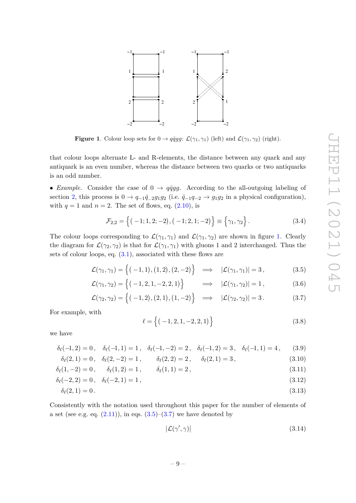

<span id="page-10-0"></span>**Figure 1**. Colour loop sets for  $0 \rightarrow q\bar{q}gg$ :  $\mathcal{L}(\gamma_1, \gamma_1)$  (left) and  $\mathcal{L}(\gamma_1, \gamma_2)$  (right).

that colour loops alternate L- and R-elements, the distance between any quark and any antiquark is an even number, whereas the distance between two quarks or two antiquarks is an odd number.

• *Example.* Consider the case of  $0 \rightarrow q\bar{q}gg$ . According to the all-outgoing labeling of section [2,](#page-4-0) this process is  $0 \rightarrow q_{-1}\bar{q}_{-2}g_1g_2$  (i.e.  $\bar{q}_{-1}q_{-2} \rightarrow g_1g_2$  in a physical configuration), with  $q = 1$  and  $n = 2$ . The set of flows, eq.  $(2.10)$ , is

<span id="page-10-4"></span>
$$
\mathcal{F}_{2;2} = \left\{ (-1; 1, 2; -2), (-1; 2, 1; -2) \right\} \equiv \left\{ \gamma_1, \gamma_2 \right\}. \tag{3.4}
$$

The colour loops corresponding to  $\mathcal{L}(\gamma_1, \gamma_1)$  and  $\mathcal{L}(\gamma_1, \gamma_2)$  are shown in figure [1.](#page-10-0) Clearly the diagram for  $\mathcal{L}(\gamma_2, \gamma_2)$  is that for  $\mathcal{L}(\gamma_1, \gamma_1)$  with gluons 1 and 2 interchanged. Thus the sets of colour loops, eq. [\(3.1\)](#page-8-1), associated with these flows are

$$
\mathcal{L}(\gamma_1, \gamma_1) = \left\{ (-1, 1), (1, 2), (2, -2) \right\} \implies |\mathcal{L}(\gamma_1, \gamma_1)| = 3, \tag{3.5}
$$

$$
\mathcal{L}(\gamma_1, \gamma_2) = \left\{ (-1, 2, 1, -2, 2, 1) \right\} \implies |\mathcal{L}(\gamma_1, \gamma_2)| = 1, \tag{3.6}
$$

$$
\mathcal{L}(\gamma_2, \gamma_2) = \left\{ (-1, 2), (2, 1), (1, -2) \right\} \implies |\mathcal{L}(\gamma_2, \gamma_2)| = 3. \tag{3.7}
$$

For example, with

<span id="page-10-2"></span><span id="page-10-1"></span>
$$
\ell = \left\{ (-1, 2, 1, -2, 2, 1) \right\} \tag{3.8}
$$

we have

$$
\delta_{\ell}(-1,2) = 0, \quad \delta_{\ell}(-1,1) = 1, \quad \delta_{\ell}(-1,-2) = 2, \quad \delta_{\ell}(-1,2) = 3, \quad \delta_{\ell}(-1,1) = 4, \tag{3.9}
$$

$$
\delta_{\ell}(2,1) = 0, \quad \delta_{\ell}(2,-2) = 1, \qquad \delta_{\ell}(2,2) = 2, \qquad \delta_{\ell}(2,1) = 3, \tag{3.10}
$$

$$
\delta_{\ell}(1,-2) = 0, \qquad \delta_{\ell}(1,2) = 1, \qquad \delta_{\ell}(1,1) = 2, \tag{3.11}
$$

$$
\delta_{\ell}(-2,2) = 0, \quad \delta_{\ell}(-2,1) = 1, \tag{3.12}
$$

$$
\delta_{\ell}(2,1) = 0.
$$
\n(3.13)

Consistently with the notation used throughout this paper for the number of elements of a set (see e.g. eq.  $(2.11)$ ), in eqs.  $(3.5)$ – $(3.7)$  we have denoted by

<span id="page-10-3"></span>
$$
|\mathcal{L}(\gamma', \gamma)| \tag{3.14}
$$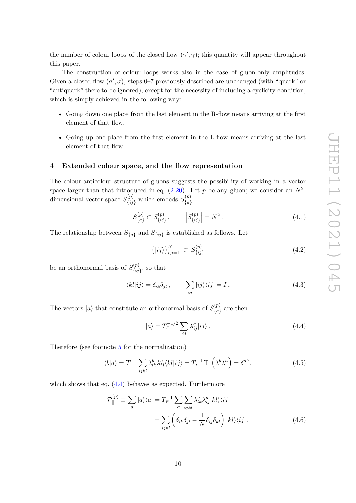the number of colour loops of the closed flow  $(\gamma', \gamma)$ ; this quantity will appear throughout this paper.

The construction of colour loops works also in the case of gluon-only amplitudes. Given a closed flow  $(\sigma', \sigma)$ , steps 0–7 previously described are unchanged (with "quark" or "antiquark" there to be ignored), except for the necessity of including a cyclicity condition, which is simply achieved in the following way:

- Going down one place from the last element in the R-flow means arriving at the first element of that flow.
- Going up one place from the first element in the L-flow means arriving at the last element of that flow.

#### <span id="page-11-0"></span>**4 Extended colour space, and the flow representation**

The colour-anticolour structure of gluons suggests the possibility of working in a vector space larger than that introduced in eq.  $(2.20)$ . Let p be any gluon; we consider an  $N^2$ dimensional vector space  $S_{\{ij\}}^{(p)}$  which embeds  $S_{\{a\}}^{(p)}$ {*a*}

$$
S_{\{a\}}^{(p)} \subset S_{\{ij\}}^{(p)}, \qquad |S_{\{ij\}}^{(p)}| = N^2. \tag{4.1}
$$

The relationship between  $S_{\{a\}}$  and  $S_{\{ij\}}$  is established as follows. Let

$$
\left\{ \left|ij\right\rangle \right\} _{i,j=1}^{N}\subset S_{\left\{ ij\right\} }^{(p)}\tag{4.2}
$$

be an orthonormal basis of  $S_{f_{ij}}^{(p)}$  $\{^{(p)}_{i,j}\}$ , so that

<span id="page-11-3"></span>
$$
\langle kl|ij\rangle = \delta_{ik}\delta_{jl}, \qquad \sum_{ij}|ij\rangle\langle ij| = I. \qquad (4.3)
$$

The vectors  $|a\rangle$  that constitute an orthonormal basis of  $S_{I_{\alpha}}^{(p)}$  $\binom{p}{a}$  are then

<span id="page-11-2"></span><span id="page-11-1"></span>
$$
|a\rangle = T_F^{-1/2} \sum_{ij} \lambda_{ij}^a |ij\rangle.
$$
 (4.4)

Therefore (see footnote [5](#page-5-0) for the normalization)

$$
\langle b|a\rangle = T_F^{-1} \sum_{ijkl} \lambda_{ik}^b \lambda_{ij}^a \langle kl|ij\rangle = T_F^{-1} \operatorname{Tr}\left(\lambda^b \lambda^a\right) = \delta^{ab} ,\qquad (4.5)
$$

which shows that eq.  $(4.4)$  behaves as expected. Furthermore

$$
\mathcal{P}_{\parallel}^{(p)} \equiv \sum_{a} |a\rangle\langle a| = T_{F}^{-1} \sum_{a} \sum_{ijkl} \lambda_{lk}^{a} \lambda_{ij}^{a} |kl\rangle\langle ij|
$$

$$
= \sum_{ijkl} \left( \delta_{ik} \delta_{jl} - \frac{1}{N} \delta_{ij} \delta_{kl} \right) |kl\rangle\langle ij|.
$$
(4.6)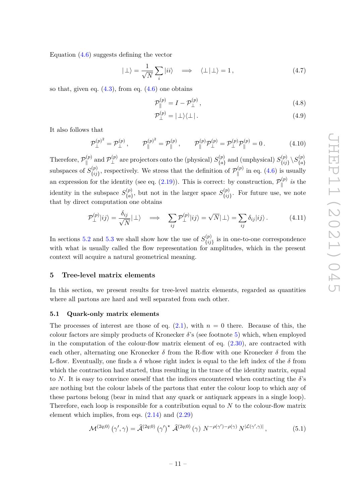Equation  $(4.6)$  suggests defining the vector

$$
|\perp\rangle = \frac{1}{\sqrt{N}} \sum_{i} |ii\rangle \quad \Longrightarrow \quad \langle \perp | \perp \rangle = 1, \tag{4.7}
$$

so that, given eq.  $(4.3)$ , from eq.  $(4.6)$  one obtains

$$
\mathcal{P}_{\parallel}^{(p)} = I - \mathcal{P}_{\perp}^{(p)}\,,\tag{4.8}
$$

$$
\mathcal{P}_{\perp}^{(p)} = |\perp\rangle\langle\perp| \,. \tag{4.9}
$$

It also follows that

<span id="page-12-4"></span>
$$
\mathcal{P}_{\perp}^{(p)^2} = \mathcal{P}_{\perp}^{(p)}, \qquad \mathcal{P}_{\parallel}^{(p)^2} = \mathcal{P}_{\parallel}^{(p)}, \qquad \mathcal{P}_{\parallel}^{(p)} \mathcal{P}_{\perp}^{(p)} = \mathcal{P}_{\perp}^{(p)} \mathcal{P}_{\parallel}^{(p)} = 0. \tag{4.10}
$$

Therefore,  $\mathcal{P}_{\shortparallel}^{(p)}$  $\mathcal{P}_{\perp}^{(p)}$  and  $\mathcal{P}_{\perp}^{(p)}$  $\mathcal{S}_{\mathcal{A}}^{(p)}$  are projectors onto the (physical)  $S_{\{a\}}^{(p)}$  $S^{(p)}_{\{a\}}$  and (unphysical)  $S^{(p)}_{\{ij\}}$  $\langle {p} \rangle \brace {\{ij\}} \setminus S_{\{a\}}^{(p)}$ {*a*} subspaces of  $S_{fij}^{(p)}$  $\{^{(p)}_{\{ij\}}\}$ , respectively. We stress that the definition of  $\mathcal{P}_{\parallel}^{(p)}$  $\int_{\parallel}^{(p)}$  in eq. [\(4.6\)](#page-11-2) is usually an expression for the identity (see eq.  $(2.19)$ ). This is correct: by construction,  $\mathcal{P}_{\parallel}^{(p)}$  $\int_{\parallel}^{(p)}$  *is* the identity in the subspace  $S_{f_{cl}}^{(p)}$  $S_{\{a\}}^{(p)}$ , but not in the larger space  $S_{\{ij\}}^{(p)}$  $\binom{p}{i j}$ . For future use, we note that by direct computation one obtains

<span id="page-12-3"></span>
$$
\mathcal{P}_{\perp}^{(p)}|ij\rangle = \frac{\delta_{ij}}{\sqrt{N}}|\perp\rangle \quad \Longrightarrow \quad \sum_{ij}\mathcal{P}_{\perp}^{(p)}|ij\rangle = \sqrt{N}|\perp\rangle = \sum_{ij}\delta_{ij}|ij\rangle. \tag{4.11}
$$

In sections [5.2](#page-13-0) and [5.3](#page-21-0) we shall show how the use of  $S_{ij}^{(p)}$  ${f_{ij}\brace ij}$  is in one-to-one correspondence with what is usually called the flow representation for amplitudes, which in the present context will acquire a natural geometrical meaning.

#### <span id="page-12-0"></span>**5 Tree-level matrix elements**

In this section, we present results for tree-level matrix elements, regarded as quantities where all partons are hard and well separated from each other.

#### <span id="page-12-1"></span>**5.1 Quark-only matrix elements**

The processes of interest are those of eq.  $(2.1)$ , with  $n = 0$  there. Because of this, the colour factors are simply products of Kronecker *δ*'s (see footnote [5\)](#page-5-0) which, when employed in the computation of the colour-flow matrix element of eq.  $(2.30)$ , are contracted with each other, alternating one Kronecker  $\delta$  from the R-flow with one Kronecker  $\delta$  from the L-flow. Eventually, one finds a  $\delta$  whose right index is equal to the left index of the  $\delta$  from which the contraction had started, thus resulting in the trace of the identity matrix, equal to *N*. It is easy to convince oneself that the indices encountered when contracting the *δ*'s are nothing but the colour labels of the partons that enter the colour loop to which any of these partons belong (bear in mind that any quark or antiquark appears in a single loop). Therefore, each loop is responsible for a contribution equal to *N* to the colour-flow matrix element which implies, from eqs.  $(2.14)$  and  $(2.29)$ 

<span id="page-12-2"></span>
$$
\mathcal{M}^{(2q;0)}\left(\gamma',\gamma\right) = \hat{\mathcal{A}}^{(2q;0)}\left(\gamma'\right)^{\star}\hat{\mathcal{A}}^{(2q;0)}\left(\gamma\right)\,N^{-\rho(\gamma')-\rho(\gamma)}\,N^{|\mathcal{L}(\gamma',\gamma)|}\,,\tag{5.1}
$$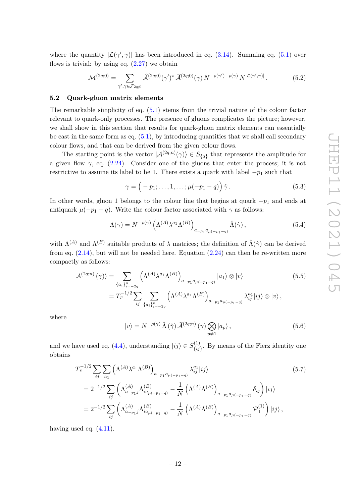where the quantity  $|\mathcal{L}(\gamma', \gamma)|$  has been introduced in eq. [\(3.14\)](#page-10-3). Summing eq. [\(5.1\)](#page-12-2) over flows is trivial: by using eq.  $(2.27)$  we obtain

<span id="page-13-4"></span>
$$
\mathcal{M}^{(2q;0)} = \sum_{\gamma',\gamma \in \mathcal{F}_{2q;0}} \widehat{\mathcal{A}}^{(2q;0)}(\gamma')^{\star} \widehat{\mathcal{A}}^{(2q;0)}(\gamma) N^{-\rho(\gamma')-\rho(\gamma)} N^{|\mathcal{L}(\gamma',\gamma)|}.
$$
(5.2)

#### <span id="page-13-0"></span>**5.2 Quark-gluon matrix elements**

The remarkable simplicity of eq. [\(5.1\)](#page-12-2) stems from the trivial nature of the colour factor relevant to quark-only processes. The presence of gluons complicates the picture; however, we shall show in this section that results for quark-gluon matrix elements can essentially be cast in the same form as eq.  $(5.1)$ , by introducing quantities that we shall call secondary colour flows, and that can be derived from the given colour flows.

The starting point is the vector  $|\mathcal{A}^{(2q;n)}(\gamma)\rangle \in S_{\{a\}}$  that represents the amplitude for a given flow  $\gamma$ , eq. [\(2.24\)](#page-6-5). Consider one of the gluons that enter the process; it is not restrictive to assume its label to be 1. There exists a quark with label  $-p_1$  such that

$$
\gamma = \left(-p_1; \ldots, 1, \ldots; \mu(-p_1 - q)\right) \hat{\gamma}.
$$
\n(5.3)

In other words, gluon 1 belongs to the colour line that begins at quark  $-p_1$  and ends at antiquark  $\mu(-p_1 - q)$ . Write the colour factor associated with  $\gamma$  as follows:

$$
\Lambda(\gamma) = N^{-\rho(\gamma)} \left( \Lambda^{(A)} \lambda^{a_1} \Lambda^{(B)} \right)_{a_{-p_1} a_{\mu(-p_1 - q)}} \hat{\Lambda}(\hat{\gamma}), \tag{5.4}
$$

with  $\Lambda^{(A)}$  and  $\Lambda^{(B)}$  suitable products of  $\lambda$  matrices; the definition of  $\hat{\Lambda}(\hat{\gamma})$  can be derived from eq.  $(2.14)$ , but will not be needed here. Equation  $(2.24)$  can then be re-written more compactly as follows:

$$
|\mathcal{A}^{(2q;n)}(\gamma)\rangle = \sum_{\{a_i\}_{i=-2q}^n} \left(\Lambda^{(A)}\lambda^{a_1}\Lambda^{(B)}\right)_{a_{-p_1}a_{\mu(-p_1-q)}} |a_1\rangle \otimes |v\rangle
$$
(5.5)  

$$
= T_F^{-1/2} \sum_{ij} \sum_{\{a_i\}_{i=-2q}^n} \left(\Lambda^{(A)}\lambda^{a_1}\Lambda^{(B)}\right)_{a_{-p_1}a_{\mu(-p_1-q)}} \lambda_{ij}^{a_1}|ij\rangle \otimes |v\rangle ,
$$

where

<span id="page-13-3"></span><span id="page-13-2"></span><span id="page-13-1"></span>
$$
|v\rangle = N^{-\rho(\gamma)} \hat{\Lambda}(\hat{\gamma}) \hat{\mathcal{A}}^{(2q;n)}(\gamma) \bigotimes_{p \neq 1} |a_p\rangle ,
$$
 (5.6)

and we have used eq.  $(4.4)$ , understanding  $|ij\rangle \in S_{ij}^{(1)}$  $\{^{(1)}_{ij}\}$ . By means of the Fierz identity one obtains

$$
T_{F}^{-1/2} \sum_{ij} \sum_{a_{1}} \left( \Lambda^{(A)} \lambda^{a_{1}} \Lambda^{(B)} \right)_{a_{-p_{1}} a_{\mu(-p_{1}-q)}} \lambda_{ij}^{a_{1}} |ij\rangle
$$
(5.7)  
=  $2^{-1/2} \sum_{ij} \left( \Lambda^{(A)}_{a_{-p_{1}}j} \Lambda^{(B)}_{ia_{\mu(-p_{1}-q)}} - \frac{1}{N} \left( \Lambda^{(A)} \Lambda^{(B)} \right)_{a_{-p_{1}} a_{\mu(-p_{1}-q)}} \delta_{ij} \right) |ij\rangle$   
=  $2^{-1/2} \sum_{ij} \left( \Lambda^{(A)}_{a_{-p_{1}}j} \Lambda^{(B)}_{ia_{\mu(-p_{1}-q)}} - \frac{1}{N} \left( \Lambda^{(A)} \Lambda^{(B)} \right)_{a_{-p_{1}} a_{\mu(-p_{1}-q)}} \mathcal{P}^{(1)}_{\perp} \right) |ij\rangle$ ,

having used eq.  $(4.11)$ .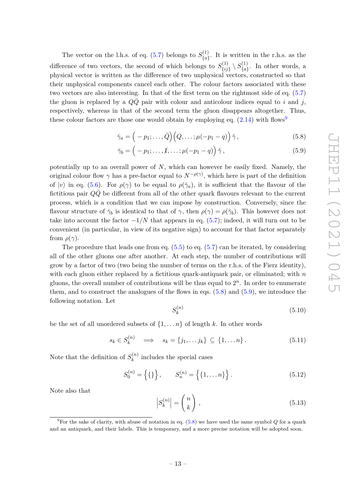The vector on the l.h.s. of eq.  $(5.7)$  belongs to  $S_{l_0}^{(1)}$  ${a_1^{(1)} \choose {a}}$ . It is written in the r.h.s. as the difference of two vectors, the second of which belongs to  $S_{ij}^{(1)}$  $S^{(1)}_{\{ij\}}\setminus S^{(1)}_{\{a\}}$  $\binom{a}{a}$ . In other words, a physical vector is written as the difference of two unphysical vectors, constructed so that their unphysical components cancel each other. The colour factors associated with these two vectors are also interesting. In that of the first term on the rightmost side of eq. [\(5.7\)](#page-13-1) the gluon is replaced by a  $QQ$  pair with colour and anticolour indices equal to *i* and *j*, respectively, whereas in that of the second term the gluon disappears altogether. Thus, these colour factors are those one would obtain by employing eq.  $(2.14)$  with flows<sup>[9](#page-14-0)</sup>

<span id="page-14-1"></span>
$$
\bar{\gamma}_a = \left(-p_1; \ldots, \bar{Q}\right) \left(Q, \ldots; \mu(-p_1 - q)\right) \hat{\gamma},\tag{5.8}
$$

<span id="page-14-2"></span>
$$
\bar{\gamma}_b = \left(-p_1; \ldots, \hat{1}, \ldots; \mu(-p_1 - q)\right) \hat{\gamma},\tag{5.9}
$$

potentially up to an overall power of *N*, which can however be easily fixed. Namely, the original colour flow  $\gamma$  has a pre-factor equal to  $N^{-\rho(\gamma)}$ , which here is part of the definition of  $|v\rangle$  in eq. [\(5.6\)](#page-13-2). For  $\rho(\gamma)$  to be equal to  $\rho(\bar{\gamma}_a)$ , it is sufficient that the flavour of the fictitious pair  $Q\bar{Q}$  be different from all of the other quark flavours relevant to the current process, which is a condition that we can impose by construction. Conversely, since the flavour structure of  $\bar{\gamma}_b$  is identical to that of  $\gamma$ , then  $\rho(\gamma) = \rho(\bar{\gamma}_b)$ . This however does not take into account the factor  $-1/N$  that appears in eq. [\(5.7\)](#page-13-1); indeed, it will turn out to be convenient (in particular, in view of its negative sign) to account for that factor separately from  $\rho(\gamma)$ .

The procedure that leads one from eq.  $(5.5)$  to eq.  $(5.7)$  can be iterated, by considering all of the other gluons one after another. At each step, the number of contributions will grow by a factor of two (two being the number of terms on the r.h.s. of the Fierz identity), with each gluon either replaced by a fictitious quark-antiquark pair, or eliminated; with *n* gluons, the overall number of contributions will be thus equal to  $2<sup>n</sup>$ . In order to enumerate them, and to construct the analogues of the flows in eqs. [\(5.8\)](#page-14-1) and [\(5.9\)](#page-14-2), we introduce the following notation. Let

<span id="page-14-3"></span>
$$
S_k^{(n)}\tag{5.10}
$$

be the set of all unordered subsets of  $\{1, \ldots n\}$  of length k. In other words

$$
s_k \in S_k^{(n)} \quad \Longrightarrow \quad s_k = \{j_1, \dots j_k\} \subseteq \{1, \dots n\} \,. \tag{5.11}
$$

Note that the definition of  $S_k^{(n)}$  $k^{(n)}$  includes the special cases

<span id="page-14-4"></span>
$$
S_0^{(n)} = \left\{ \{ \} \right\}, \qquad S_n^{(n)} = \left\{ \{ 1, \dots n \} \right\}. \tag{5.12}
$$

Note also that

$$
\left| S_k^{(n)} \right| = \binom{n}{k},\tag{5.13}
$$

<span id="page-14-0"></span><sup>&</sup>lt;sup>9</sup>For the sake of clarity, with abuse of notation in eq.  $(5.8)$  we have used the same symbol *Q* for a quark and an antiquark, and their labels. This is temporary, and a more precise notation will be adopted soon.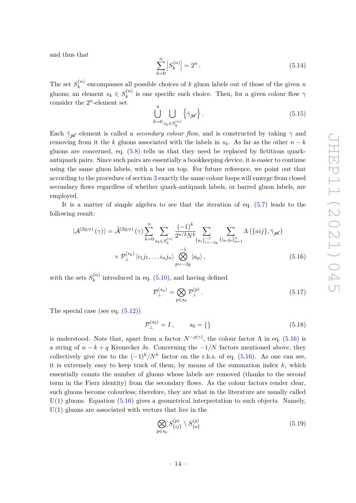and thus that

<span id="page-15-2"></span>
$$
\sum_{k=0}^{n} |S_k^{(n)}| = 2^n.
$$
\n(5.14)

The set  $S_k^{(n)}$  $k^{(n)}$  encompasses all possible choices of *k* gluon labels out of those of the given *n* gluons; an element  $s_k \in S_k^{(n)}$  $\chi_k^{(n)}$  is one specific such choice. Then, for a given colour flow  $\gamma$ consider the  $2^n$ -element set

$$
\bigcup_{k=0}^{n} \bigcup_{s_k \in S_k^{(n)}} \left\{ \bar{\gamma}_{\mathcal{H}} \right\}.
$$
\n(5.15)

Each  $\bar{\gamma}_{\mathscr{K}}$  element is called a *secondary colour flow*, and is constructed by taking  $\gamma$  and removing from it the *k* gluons associated with the labels in  $s_k$ . As far as the other  $n - k$ gluons are concerned, eq. [\(5.8\)](#page-14-1) tells us that they need be replaced by fictitious quarkantiquark pairs. Since such pairs are essentially a bookkeeping device, it is easier to continue using the same gluon labels, with a bar on top. For future reference, we point out that according to the procedure of section [3](#page-8-0) exactly the same colour loops will emerge from closed secondary flows regardless of whether quark-antiquark labels, or barred gluon labels, are employed.

It is a matter of simple algebra to see that the iteration of eq. [\(5.7\)](#page-13-1) leads to the following result:

$$
|\mathcal{A}^{(2q;n)}(\gamma)\rangle = \hat{\mathcal{A}}^{(2q;n)}(\gamma)\sum_{k=0}^{n} \sum_{s_k \in S_k^{(n)}} \frac{(-1)^k}{2^{n/2} N^k} \sum_{\{a_i\}_{i=-2q}^{-1}} \sum_{\{i_p, j_p\}_{p=1}^{n}} \Lambda\left(\{aij\}, \bar{\gamma}_{\mathcal{H}}\right)
$$

$$
\times \mathcal{P}_{\perp}^{(s_k)} |i_1 j_1, \dots, i_n j_n\rangle \bigotimes_{p=-2q}^{-1} |a_p\rangle , \qquad (5.16)
$$

with the sets  $S_k^{(n)}$  $k^{(n)}$  introduced in eq.  $(5.10)$ , and having defined

<span id="page-15-0"></span>
$$
\mathcal{P}_{\perp}^{(s_k)} = \bigotimes_{p \in s_k} \mathcal{P}_{\perp}^{(p)} \,. \tag{5.17}
$$

The special case (see eq.  $(5.12)$ )

<span id="page-15-1"></span>
$$
\mathcal{P}_{\perp}^{(s_0)} = I \,, \qquad s_0 = \{\} \tag{5.18}
$$

is understood. Note that, apart from a factor  $N^{-\rho(\gamma)}$ , the colour factor  $\Lambda$  in eq. [\(5.16\)](#page-15-0) is a string of  $n - k + q$  Kronecker  $\delta$ s. Concerning the  $-1/N$  factors mentioned above, they collectively give rise to the  $(-1)^k/N^k$  factor on the r.h.s. of eq. [\(5.16\)](#page-15-0). As one can see, it is extremely easy to keep track of them, by means of the summation index *k*, which essentially counts the number of gluons whose labels are removed (thanks to the second term in the Fierz identity) from the secondary flows. As the colour factors render clear, such gluons become colourless; therefore, they are what in the literature are usually called  $U(1)$  gluons. Equation  $(5.16)$  gives a geometrical interpretation to such objects. Namely,  $U(1)$  gluons are associated with vectors that live in the

$$
\bigotimes_{p\in s_k} S_{\{ij\}}^{(p)} \setminus S_{\{a\}}^{(p)} \tag{5.19}
$$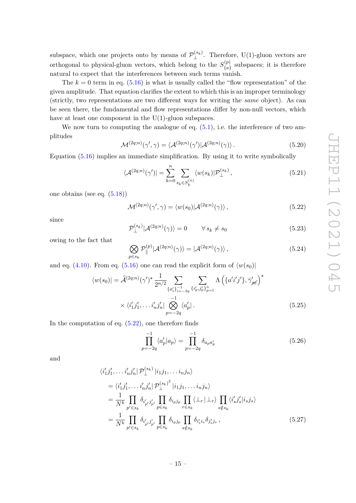subspace, which one projects onto by means of  $\mathcal{P}_{\perp}^{(s_k)}$  $\perp^{(s_k)}$ . Therefore, U(1)-gluon vectors are orthogonal to physical-gluon vectors, which belong to the  $S_{I_{\alpha}}^{(p)}$  $\binom{p}{a}$  subspaces; it is therefore natural to expect that the interferences between such terms vanish.

The  $k = 0$  term in eq.  $(5.16)$  is what is usually called the "flow representation" of the given amplitude. That equation clarifies the extent to which this is an improper terminology (strictly, two representations are two different ways for writing the *same* object). As can be seen there, the fundamental and flow representations differ by non-null vectors, which have at least one component in the  $U(1)$ -gluon subspaces.

We now turn to computing the analogue of eq.  $(5.1)$ , i.e. the interference of two amplitudes

<span id="page-16-3"></span>
$$
\mathcal{M}^{(2q;n)}(\gamma',\gamma) = \langle \mathcal{A}^{(2q;n)}(\gamma') | \mathcal{A}^{(2q;n)}(\gamma) \rangle.
$$
 (5.20)

Equation [\(5.16\)](#page-15-0) implies an immediate simplification. By using it to write symbolically

$$
\langle \mathcal{A}^{(2q;n)}(\gamma')| = \sum_{k=0}^{n} \sum_{s_k \in S_k^{(n)}} \langle w(s_k)| \mathcal{P}_{\perp}^{(s_k)}, \qquad (5.21)
$$

one obtains (see eq. [\(5.18\)](#page-15-1))

<span id="page-16-0"></span>
$$
\mathcal{M}^{(2q;n)}(\gamma',\gamma) = \langle w(s_0) | \mathcal{A}^{(2q;n)}(\gamma) \rangle, \qquad (5.22)
$$

since

$$
\mathcal{P}_{\perp}^{(s_k)}|\mathcal{A}^{(2q;n)}(\gamma)\rangle = 0 \qquad \forall s_k \neq s_0 \tag{5.23}
$$

owing to the fact that

$$
\bigotimes_{p\in s_k} \mathcal{P}_{\parallel}^{(p)} | \mathcal{A}^{(2q;n)}(\gamma) \rangle = | \mathcal{A}^{(2q;n)}(\gamma) \rangle , \qquad (5.24)
$$

and eq. [\(4.10\)](#page-12-4). From eq. [\(5.16\)](#page-15-0) one can read the explicit form of  $\langle w(s_0)|$ 

$$
\langle w(s_0)| = \hat{\mathcal{A}}^{(2q;n)}(\gamma')^* \frac{1}{2^{n/2}} \sum_{\{a'_i\}_{i=-2q}^{n-1}} \sum_{\{i'_p, j'_p\}_{p=1}^{n}} \Lambda \left(\{a'i'j'\}, \bar{\gamma}'_{\mathcal{S}\sigma}\right)^*
$$

$$
\times \langle i'_1 j'_1, \dots i'_n j'_n | \bigotimes_{p=-2q}^{-1} \langle a'_p |.
$$
 (5.25)

In the computation of eq.  $(5.22)$ , one therefore finds

<span id="page-16-2"></span><span id="page-16-1"></span>
$$
\prod_{p=-2q}^{-1} \langle a'_p | a_p \rangle = \prod_{p=-2q}^{-1} \delta_{a_p a'_p}
$$
\n(5.26)

and

$$
\langle i'_1 j'_1, \dots i'_n j'_n | \mathcal{P}_\perp^{(s_k)} | i_1 j_1, \dots i_n j_n \rangle
$$
  
\n
$$
= \langle i'_1 j'_1, \dots i'_n j'_n | \mathcal{P}_\perp^{(s_k)}^2 | i_1 j_1, \dots i_n j_n \rangle
$$
  
\n
$$
= \frac{1}{N^k} \prod_{p' \in s_k} \delta_{i'_{p'} j'_{p'}} \prod_{p \in s_k} \delta_{i_p j_p} \prod_{r \in s_k} \langle \bot_r | \bot_r \rangle \prod_{s \notin s_k} \langle i'_s j'_s | i_s j_s \rangle
$$
  
\n
$$
= \frac{1}{N^k} \prod_{p' \in s_k} \delta_{i'_{p'} j'_{p'}} \prod_{p \in s_k} \delta_{i_p j_p} \prod_{s \notin s_k} \delta_{i'_s i_s} \delta_{j'_s j_s} , \qquad (5.27)
$$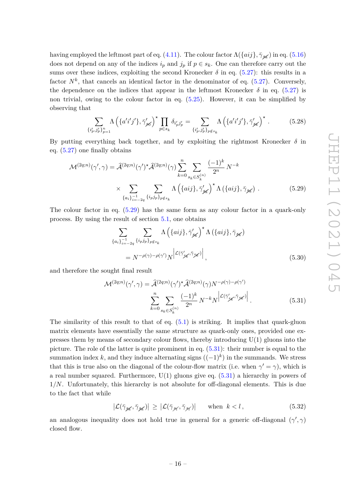having employed the leftmost part of eq. [\(4.11\)](#page-12-3). The colour factor  $\Lambda(\{aij\}, \bar{\gamma}_{\mathscr{K}})$  in eq. [\(5.16\)](#page-15-0) does not depend on any of the indices  $i_p$  and  $j_p$  if  $p \in s_k$ . One can therefore carry out the sums over these indices, exploiting the second Kronecker  $\delta$  in eq. [\(5.27\)](#page-16-1): this results in a factor  $N^k$ , that cancels an identical factor in the denominator of eq.  $(5.27)$ . Conversely, the dependence on the indices that appear in the leftmost Kronecker  $\delta$  in eq. [\(5.27\)](#page-16-1) is non trivial, owing to the colour factor in eq. [\(5.25\)](#page-16-2). However, it can be simplified by observing that

$$
\sum_{\{i'_p,j'_p\}_{p=1}^n} \Lambda \left( \{ a'i'j'\}, \bar{\gamma}'_{\mathcal{H}} \right)^{\star} \prod_{p \in s_k} \delta_{i'_p j'_p} = \sum_{\{i'_p,j'_p\}_{p \notin s_k}} \Lambda \left( \{ a'i'j'\}, \bar{\gamma}'_{\mathcal{H}} \right)^{\star} . \tag{5.28}
$$

By putting everything back together, and by exploiting the rightmost Kronecker  $\delta$  in eq. [\(5.27\)](#page-16-1) one finally obtains

$$
\mathcal{M}^{(2q;n)}(\gamma',\gamma) = \hat{\mathcal{A}}^{(2q;n)}(\gamma')^{\star}\hat{\mathcal{A}}^{(2q;n)}(\gamma)\sum_{k=0}^{n} \sum_{s_k \in S_k^{(n)}} \frac{(-1)^k}{2^n} N^{-k}
$$

$$
\times \sum_{\{a_i\}_{i=-2q}^{-1} \{i_p j_p\}_{p \notin s_k}} \Lambda\left(\{aij\}, \bar{\gamma}'_{s\mathcal{K}}\right)^{\star} \Lambda\left(\{aij\}, \bar{\gamma}_{s\mathcal{K}}\right). \tag{5.29}
$$

The colour factor in eq. [\(5.29\)](#page-17-0) has the same form as any colour factor in a quark-only process. By using the result of section [5.1,](#page-12-1) one obtains

<span id="page-17-0"></span>
$$
\sum_{\{a_{i}\}_{i=-2q}^{-1}} \sum_{\{i_{p}j_{p}\}_{p\notin s_{k}}} \Lambda\left(\{aij\}, \bar{\gamma}'_{\mathcal{H}}\right)^{\star} \Lambda\left(\{aij\}, \bar{\gamma}_{\mathcal{H}}\right)
$$
\n
$$
= N^{-\rho(\gamma)-\rho(\gamma')} N^{\left|\mathcal{L}(\bar{\gamma}'_{\mathcal{H}}, \bar{\gamma}_{\mathcal{H}})\right|}, \tag{5.30}
$$

and therefore the sought final result

<span id="page-17-1"></span>
$$
\mathcal{M}^{(2q;n)}(\gamma',\gamma) = \hat{\mathcal{A}}^{(2q;n)}(\gamma')^{\star}\hat{\mathcal{A}}^{(2q;n)}(\gamma)N^{-\rho(\gamma)-\rho(\gamma')}
$$

$$
\sum_{k=0}^{n} \sum_{s_k \in S_k^{(n)}} \frac{(-1)^k}{2^n} N^{-k} N \left| \mathcal{L}^{(\bar{\gamma}'_{s\vec{k}},\bar{\gamma}_{s\vec{k}})} \right|.
$$
(5.31)

The similarity of this result to that of eq. [\(5.1\)](#page-12-2) is striking. It implies that quark-gluon matrix elements have essentially the same structure as quark-only ones, provided one expresses them by means of secondary colour flows, thereby introducing  $U(1)$  gluons into the picture. The role of the latter is quite prominent in eq. [\(5.31\)](#page-17-1): their number is equal to the summation index  $k$ , and they induce alternating signs  $((-1)^k)$  in the summands. We stress that this is true also on the diagonal of the colour-flow matrix (i.e. when  $\gamma' = \gamma$ ), which is a real number squared. Furthermore,  $U(1)$  gluons give eq.  $(5.31)$  a hierarchy in powers of 1*/N*. Unfortunately, this hierarchy is not absolute for off-diagonal elements. This is due to the fact that while

$$
\left| \mathcal{L}(\bar{\gamma}_{\mathcal{H}}, \bar{\gamma}_{\mathcal{H}}) \right| \geq \left| \mathcal{L}(\bar{\gamma}_{\mathcal{H}}, \bar{\gamma}_{\mathcal{H}}) \right| \quad \text{when } k < l, \tag{5.32}
$$

an analogous inequality does not hold true in general for a generic off-diagonal  $(\gamma', \gamma)$ closed flow.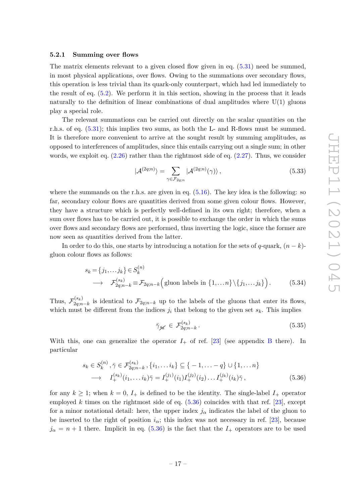#### <span id="page-18-0"></span>**5.2.1 Summing over flows**

The matrix elements relevant to a given closed flow given in eq.  $(5.31)$  need be summed, in most physical applications, over flows. Owing to the summations over secondary flows, this operation is less trivial than its quark-only counterpart, which had led immediately to the result of eq. [\(5.2\)](#page-13-4). We perform it in this section, showing in the process that it leads naturally to the definition of linear combinations of dual amplitudes where  $U(1)$  gluons play a special role.

The relevant summations can be carried out directly on the scalar quantities on the r.h.s. of eq. [\(5.31\)](#page-17-1); this implies two sums, as both the L- and R-flows must be summed. It is therefore more convenient to arrive at the sought result by summing amplitudes, as opposed to interferences of amplitudes, since this entails carrying out a single sum; in other words, we exploit eq.  $(2.26)$  rather than the rightmost side of eq.  $(2.27)$ . Thus, we consider

<span id="page-18-2"></span>
$$
|\mathcal{A}^{(2q;n)}\rangle = \sum_{\gamma \in \mathcal{F}_{2q;n}} |\mathcal{A}^{(2q;n)}(\gamma)\rangle ,\qquad(5.33)
$$

where the summands on the r.h.s. are given in eq.  $(5.16)$ . The key idea is the following: so far, secondary colour flows are quantities derived from some given colour flows. However, they have a structure which is perfectly well-defined in its own right; therefore, when a sum over flows has to be carried out, it is possible to exchange the order in which the sums over flows and secondary flows are performed, thus inverting the logic, since the former are now seen as quantities derived from the latter.

In order to do this, one starts by introducing a notation for the sets of *q*-quark,  $(n - k)$ gluon colour flows as follows:

$$
s_k = \{j_1, \dots j_k\} \in S_k^{(n)}
$$
  
\n
$$
\longrightarrow \mathcal{F}_{2q;n-k}^{(s_k)} \equiv \mathcal{F}_{2q;n-k} \Big( \text{gluon labels in } \{1, \dots n\} \setminus \{j_1, \dots j_k\} \Big). \tag{5.34}
$$

Thus,  $\mathcal{F}_{2a}^{(s_k)}$  $\mathcal{L}_{2q;n-k}^{(s_k)}$  is identical to  $\mathcal{F}_{2q;n-k}$  up to the labels of the gluons that enter its flows, which must be different from the indices  $j_i$  that belong to the given set  $s_k$ . This implies

<span id="page-18-3"></span><span id="page-18-1"></span>
$$
\bar{\gamma}_{\mathcal{K}} \in \mathcal{F}_{2q;n-k}^{(s_k)}.\tag{5.35}
$$

With this, one can generalize the operator  $I_+$  of ref. [\[23\]](#page-74-2) (see appendix [B](#page-65-0) there). In particular

$$
s_k \in S_k^{(n)}, \bar{\gamma} \in \mathcal{F}_{2q;n-k}^{(s_k)}, \{i_1, \dots i_k\} \subseteq \{-1, \dots -q\} \cup \{1, \dots n\}
$$
  
\n
$$
\longrightarrow I_+^{(s_k)}(i_1, \dots i_k) \bar{\gamma} = I_+^{(j_1)}(i_1) I_+^{(j_2)}(i_2) \dots I_+^{(j_k)}(i_k) \bar{\gamma},
$$
\n(5.36)

for any  $k \geq 1$ ; when  $k = 0$ ,  $I_+$  is defined to be the identity. The single-label  $I_+$  operator employed *k* times on the rightmost side of eq.  $(5.36)$  coincides with that ref. [\[23\]](#page-74-2), except for a minor notational detail: here, the upper index  $j_{\alpha}$  indicates the label of the gluon to be inserted to the right of position  $i_{\alpha}$ ; this index was not necessary in ref. [\[23\]](#page-74-2), because  $j_{\alpha} = n + 1$  there. Implicit in eq. [\(5.36\)](#page-18-1) is the fact that the  $I_{+}$  operators are to be used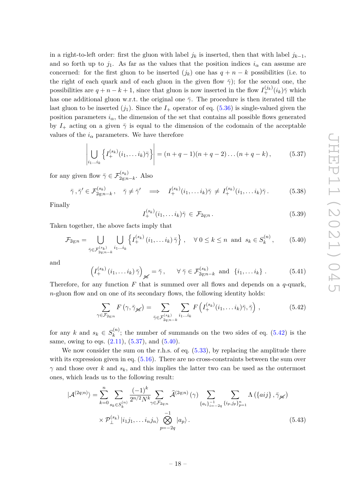in a right-to-left order: first the gluon with label  $j_k$  is inserted, then that with label  $j_{k-1}$ , and so forth up to  $j_1$ . As far as the values that the position indices  $i_\alpha$  can assume are concerned: for the first gluon to be inserted  $(j_k)$  one has  $q + n - k$  possibilities (i.e. to the right of each quark and of each gluon in the given flow  $\bar{\gamma}$ ); for the second one, the possibilities are  $q + n - k + 1$ , since that gluon is now inserted in the flow  $I_{+}^{(j_k)}(i_k)\bar{\gamma}$  which has one additional gluon w.r.t. the original one  $\bar{\gamma}$ . The procedure is then iterated till the last gluon to be inserted  $(j_1)$ . Since the  $I_+$  operator of eq. [\(5.36\)](#page-18-1) is single-valued given the position parameters  $i_{\alpha}$ , the dimension of the set that contains all possible flows generated by  $I_+$  acting on a given  $\bar{\gamma}$  is equal to the dimension of the codomain of the acceptable values of the  $i_{\alpha}$  parameters. We have therefore

<span id="page-19-1"></span>
$$
\left| \bigcup_{i_1...i_k} \left\{ I_+^{(s_k)}(i_1,...i_k)\bar{\gamma} \right\} \right| = (n+q-1)(n+q-2)...(n+q-k), \tag{5.37}
$$

for any given flow  $\bar{\gamma} \in \mathcal{F}_{2q;n-k}^{(s_k)}$ . Also

$$
\bar{\gamma}, \bar{\gamma}' \in \mathcal{F}_{2q;n-k}^{(s_k)}, \quad \bar{\gamma} \neq \bar{\gamma}' \quad \Longrightarrow \quad I_+^{(s_k)}(i_1, \dots i_k) \bar{\gamma} \neq I_+^{(s_k)}(i_1, \dots i_k) \bar{\gamma}. \tag{5.38}
$$

Finally

<span id="page-19-3"></span>
$$
I_+^{(s_k)}(i_1,\ldots i_k)\overline{\gamma} \in \mathcal{F}_{2q;n}.
$$
\n
$$
(5.39)
$$

Taken together, the above facts imply that

<span id="page-19-2"></span>
$$
\mathcal{F}_{2q;n} = \bigcup_{\bar{\gamma} \in \mathcal{F}_{2q;n-k}^{(s_k)} } \bigcup_{i_1 \dots i_k} \left\{ I_+^{(s_k)}(i_1, \dots i_k) \bar{\gamma} \right\}, \quad \forall \ 0 \le k \le n \ \text{and} \ s_k \in S_k^{(n)}, \tag{5.40}
$$

and

$$
\left(I^{(s_k)}_+(i_1,\ldots i_k)\,\bar{\gamma}\right)_{\mathscr{H}} = \bar{\gamma}\,,\qquad \forall\,\bar{\gamma}\in\mathcal{F}^{(s_k)}_{2q;n-k}\,\text{ and }\,\{i_1,\ldots i_k\}\,.
$$

Therefore, for any function *F* that is summed over all flows and depends on a *q*-quark, *n*-gluon flow and on one of its secondary flows, the following identity holds:

<span id="page-19-0"></span>
$$
\sum_{\gamma \in \mathcal{F}_{2q;n}} F\left(\gamma, \bar{\gamma}_{\mathcal{H}}\right) = \sum_{\bar{\gamma} \in \mathcal{F}_{2q;n-k}^{(s_k)}} \sum_{i_1 \dots i_k} F\left(I_+^{(s_k)}(i_1, \dots i_k)\bar{\gamma}, \bar{\gamma}\right),\tag{5.42}
$$

for any *k* and  $s_k \in S_k^{(n)}$  $\binom{n}{k}$ ; the number of summands on the two sides of eq. [\(5.42\)](#page-19-0) is the same, owing to eqs.  $(2.11)$ ,  $(5.37)$ , and  $(5.40)$ .

We now consider the sum on the r.h.s. of eq.  $(5.33)$ , by replacing the amplitude there with its expression given in eq.  $(5.16)$ . There are no cross-constraints between the sum over  $\gamma$  and those over *k* and  $s_k$ , and this implies the latter two can be used as the outermost ones, which leads us to the following result:

$$
|\mathcal{A}^{(2q;n)}\rangle = \sum_{k=0}^{n} \sum_{s_k \in S_k^{(n)}} \frac{(-1)^k}{2^{n/2} N^k} \sum_{\gamma \in \mathcal{F}_{2q;n}} \hat{\mathcal{A}}^{(2q;n)}(\gamma) \sum_{\{a_i\}_{i=-2q}^{-1} \{i_p, j_p\}_{p=1}^n} \Lambda\left(\{aij\}, \bar{\gamma}_{\mathcal{H}}\right)
$$

$$
\times \mathcal{P}_{\perp}^{(s_k)} |i_1 j_1, \dots, i_n j_n\rangle \bigotimes_{p=-2q}^{-1} |a_p\rangle.
$$
(5.43)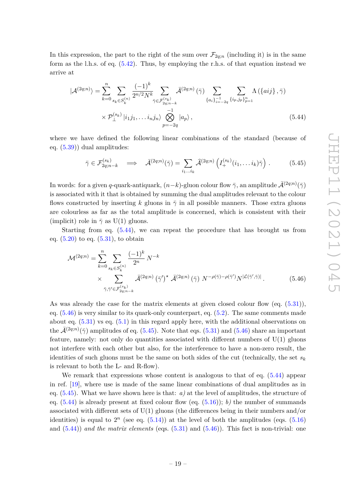In this expression, the part to the right of the sum over  $\mathcal{F}_{2q;n}$  (including it) is in the same form as the l.h.s. of eq. [\(5.42\)](#page-19-0). Thus, by employing the r.h.s. of that equation instead we arrive at

$$
|\mathcal{A}^{(2q;n)}\rangle = \sum_{k=0}^{n} \sum_{s_k \in S_k^{(n)}} \frac{(-1)^k}{2^{n/2} N^k} \sum_{\tilde{\gamma} \in \mathcal{F}_{2q;n-k}^{(s_k)}} \bar{\mathcal{A}}^{(2q;n)}(\bar{\gamma}) \sum_{\{a_i\}_{i=-2q}^{-1}} \sum_{\{i_p, j_p\}_{p=1}^n} \Lambda(\{aij\}, \bar{\gamma})
$$

$$
\times \mathcal{P}_{\perp}^{(s_k)} |i_1 j_1, \dots, i_n j_n\rangle \bigotimes_{p=-2q}^{-1} |a_p\rangle , \qquad (5.44)
$$

where we have defined the following linear combinations of the standard (because of eq. [\(5.39\)](#page-19-3)) dual amplitudes:

<span id="page-20-2"></span><span id="page-20-0"></span>
$$
\bar{\gamma} \in \mathcal{F}_{2q;n-k}^{(s_k)} \quad \Longrightarrow \quad \bar{\mathcal{A}}^{(2q;n)}(\bar{\gamma}) = \sum_{i_1...i_k} \hat{\mathcal{A}}^{(2q;n)} \left( I_+^{(s_k)}(i_1,\ldots i_k)\bar{\gamma} \right) \,. \tag{5.45}
$$

In words: for a given *q*-quark-antiquark,  $(n-k)$ -gluon colour flow  $\bar{\gamma}$ , an amplitude  $\bar{\mathcal{A}}^{(2q;n)}(\bar{\gamma})$ is associated with it that is obtained by summing the dual amplitudes relevant to the colour flows constructed by inserting *k* gluons in  $\bar{\gamma}$  in all possible manners. Those extra gluons are colourless as far as the total amplitude is concerned, which is consistent with their (implicit) role in  $\bar{\gamma}$  as U(1) gluons.

Starting from eq. [\(5.44\)](#page-20-0), we can repeat the procedure that has brought us from eq.  $(5.20)$  to eq.  $(5.31)$ , to obtain

<span id="page-20-1"></span>
$$
\mathcal{M}^{(2q;n)} = \sum_{k=0}^{n} \sum_{s_k \in S_k^{(n)}} \frac{(-1)^k}{2^n} N^{-k}
$$
  
 
$$
\times \sum_{\bar{\gamma}, \bar{\gamma}' \in \mathcal{F}_{2q;n-k}^{(s_k)}} \bar{\mathcal{A}}^{(2q;n)} (\bar{\gamma}')^* \bar{\mathcal{A}}^{(2q;n)} (\bar{\gamma}) N^{-\rho(\bar{\gamma})-\rho(\bar{\gamma}')} N^{|\mathcal{L}(\bar{\gamma}', \bar{\gamma})|}.
$$
 (5.46)

As was already the case for the matrix elements at given closed colour flow (eq. [\(5.31\)](#page-17-1)), eq. [\(5.46\)](#page-20-1) is very similar to its quark-only counterpart, eq. [\(5.2\)](#page-13-4). The same comments made about eq.  $(5.31)$  vs eq.  $(5.1)$  in this regard apply here, with the additional observations on the  $\bar{\mathcal{A}}^{(2q;n)}(\bar{\gamma})$  amplitudes of eq. [\(5.45\)](#page-20-2). Note that eqs. [\(5.31\)](#page-17-1) and [\(5.46\)](#page-20-1) share an important feature, namely: not only do quantities associated with different numbers of  $U(1)$  gluons not interfere with each other but also, for the interference to have a non-zero result, the identities of such gluons must be the same on both sides of the cut (technically, the set *s<sup>k</sup>* is relevant to both the L- and R-flow).

We remark that expressions whose content is analogous to that of eq.  $(5.44)$  appear in ref. [\[19\]](#page-74-5), where use is made of the same linear combinations of dual amplitudes as in eq. [\(5.45\)](#page-20-2). What we have shown here is that: *a)* at the level of amplitudes, the structure of eq.  $(5.44)$  is already present at fixed colour flow (eq.  $(5.16)$ ); *b*) the number of summands associated with different sets of  $U(1)$  gluons (the differences being in their numbers and/or identities) is equal to  $2^n$  (see eq.  $(5.14)$ ) at the level of both the amplitudes (eqs.  $(5.16)$ ) and  $(5.44)$  *and the matrix elements* (eqs.  $(5.31)$  and  $(5.46)$ ). This fact is non-trivial: one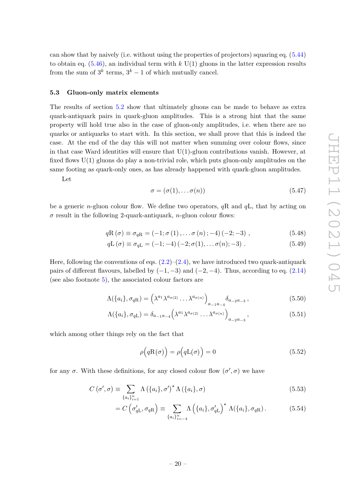can show that by naively (i.e. without using the properties of projectors) squaring eq. [\(5.44\)](#page-20-0) to obtain eq.  $(5.46)$ , an individual term with *k* U(1) gluons in the latter expression results from the sum of  $3^k$  terms,  $3^k - 1$  of which mutually cancel.

#### <span id="page-21-0"></span>**5.3 Gluon-only matrix elements**

The results of section [5.2](#page-13-0) show that ultimately gluons can be made to behave as extra quark-antiquark pairs in quark-gluon amplitudes. This is a strong hint that the same property will hold true also in the case of gluon-only amplitudes, i.e. when there are no quarks or antiquarks to start with. In this section, we shall prove that this is indeed the case. At the end of the day this will not matter when summing over colour flows, since in that case Ward identities will ensure that  $U(1)$ -gluon contributions vanish. However, at fixed flows  $U(1)$  gluons do play a non-trivial role, which puts gluon-only amplitudes on the same footing as quark-only ones, as has already happened with quark-gluon amplitudes.

Let

<span id="page-21-2"></span><span id="page-21-1"></span>
$$
\sigma = (\sigma(1), \dots \sigma(n)) \tag{5.47}
$$

be a generic *n*-gluon colour flow. We define two operators, *q*R and *q*L, that by acting on  $\sigma$  result in the following 2-quark-antiquark, *n*-gluon colour flows:

$$
qR(\sigma) \equiv \sigma_{qR} = (-1; \sigma(1), \dots \sigma(n); -4)(-2; -3), \qquad (5.48)
$$

$$
qL(\sigma) \equiv \sigma_{qL} = (-1; -4)(-2; \sigma(1), \dots \sigma(n); -3) . \qquad (5.49)
$$

Here, following the conventions of eqs.  $(2.2)$ – $(2.4)$ , we have introduced two quark-antiquark pairs of different flavours, labelled by  $(-1, -3)$  and  $(-2, -4)$ . Thus, according to eq.  $(2.14)$ (see also footnote [5\)](#page-5-0), the associated colour factors are

$$
\Lambda(\{a_i\}, \sigma_{qR}) = \left(\lambda^{a_1} \lambda^{a_{\sigma(2)}} \dots \lambda^{a_{\sigma(n)}}\right)_{a_{-1}a_{-4}} \delta_{a_{-2}a_{-3}},
$$
\n(5.50)

$$
\Lambda(\{a_i\}, \sigma_{qL}) = \delta_{a_{-1}a_{-4}} \left( \lambda^{a_1} \lambda^{a_{\sigma(2)}} \dots \lambda^{a_{\sigma(n)}} \right)_{a_{-2}a_{-3}},
$$
\n(5.51)

which among other things rely on the fact that

<span id="page-21-4"></span><span id="page-21-3"></span>
$$
\rho\Big(qR(\sigma)\Big) = \rho\Big(qL(\sigma)\Big) = 0\tag{5.52}
$$

for any  $\sigma$ . With these definitions, for any closed colour flow  $(\sigma', \sigma)$  we have

$$
C(\sigma', \sigma) \equiv \sum_{\{a_i\}_{i=1}^n} \Lambda\left(\{a_i\}, \sigma'\right)^* \Lambda\left(\{a_i\}, \sigma\right) \tag{5.53}
$$

$$
= C\left(\sigma'_{qL}, \sigma_{qR}\right) \equiv \sum_{\{a_i\}_{i=-4}^n} \Lambda\left(\{a_i\}, \sigma'_{qL}\right)^{\star} \Lambda(\{a_i\}, \sigma_{qR}). \tag{5.54}
$$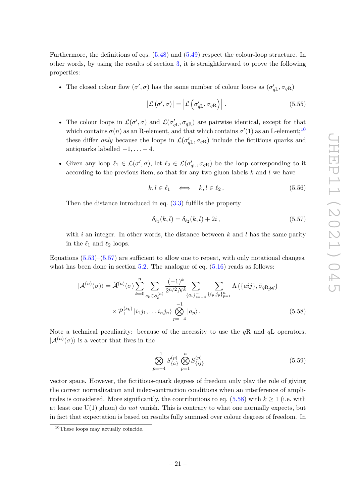Furthermore, the definitions of eqs. [\(5.48\)](#page-21-1) and [\(5.49\)](#page-21-2) respect the colour-loop structure. In other words, by using the results of section [3,](#page-8-0) it is straightforward to prove the following properties:

• The closed colour flow  $(\sigma', \sigma)$  has the same number of colour loops as  $(\sigma'_{qL}, \sigma_{qR})$ 

<span id="page-22-3"></span>
$$
|\mathcal{L}(\sigma', \sigma)| = |\mathcal{L}(\sigma'_{qL}, \sigma_{qR})|.
$$
 (5.55)

- The colour loops in  $\mathcal{L}(\sigma', \sigma)$  and  $\mathcal{L}(\sigma'_{qL}, \sigma_{qR})$  are pairwise identical, except for that which contains  $\sigma(n)$  as an R-element, and that which contains  $\sigma'(1)$  as an L-element;<sup>[10](#page-22-0)</sup> these differ *only* because the loops in  $\mathcal{L}(\sigma_{qL}^{\prime}, \sigma_{qR})$  include the fictitious quarks and antiquarks labelled  $-1, \ldots -4$ .
- Given any loop  $\ell_1 \in \mathcal{L}(\sigma', \sigma)$ , let  $\ell_2 \in \mathcal{L}(\sigma'_{qL}, \sigma_{qR})$  be the loop corresponding to it according to the previous item, so that for any two gluon labels *k* and *l* we have

$$
k, l \in \ell_1 \quad \Longleftrightarrow \quad k, l \in \ell_2. \tag{5.56}
$$

Then the distance introduced in eq.  $(3.3)$  fulfills the property

<span id="page-22-1"></span>
$$
\delta_{\ell_1}(k,l) = \delta_{\ell_2}(k,l) + 2i, \qquad (5.57)
$$

with *i* an integer. In other words, the distance between *k* and *l* has the same parity in the  $\ell_1$  and  $\ell_2$  loops.

Equations  $(5.53)$ – $(5.57)$  are sufficient to allow one to repeat, with only notational changes, what has been done in section  $5.2$ . The analogue of eq.  $(5.16)$  reads as follows:

$$
|\mathcal{A}^{(n)}(\sigma)\rangle = \hat{\mathcal{A}}^{(n)}(\sigma) \sum_{k=0}^{n} \sum_{s_k \in S_k^{(n)}} \frac{(-1)^k}{2^{n/2} N^k} \sum_{\{a_i\}_{i=-4}^{-1}} \sum_{\{i_p, j_p\}_{p=1}^{n}} \Lambda(\{aij\}, \bar{\sigma}_{qR,\cancel{sK}})
$$

$$
\times \mathcal{P}_{\perp}^{(s_k)} |i_1 j_1, \dots i_n j_n\rangle \bigotimes_{p=-4}^{-1} |a_p\rangle.
$$
 (5.58)

Note a technical peculiarity: because of the necessity to use the *q*R and *q*L operators,  $|\mathcal{A}^{(n)}(\sigma)\rangle$  is a vector that lives in the

<span id="page-22-2"></span>
$$
\bigotimes_{p=-4}^{-1} S_{\{a\}}^{(p)} \bigotimes_{p=1}^{n} S_{\{ij\}}^{(p)} \tag{5.59}
$$

vector space. However, the fictitious-quark degrees of freedom only play the role of giving the correct normalization and index-contraction conditions when an interference of amplitudes is considered. More significantly, the contributions to eq.  $(5.58)$  with  $k \ge 1$  (i.e. with at least one U(1) gluon) do *not* vanish. This is contrary to what one normally expects, but in fact that expectation is based on results fully summed over colour degrees of freedom. In

<span id="page-22-0"></span><sup>&</sup>lt;sup>10</sup>These loops may actually coincide.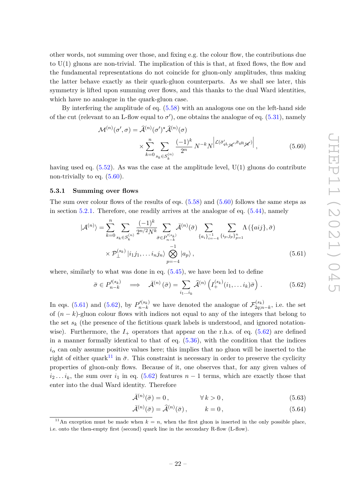other words, not summing over those, and fixing e.g. the colour flow, the contributions due to  $U(1)$  gluons are non-trivial. The implication of this is that, at fixed flows, the flow and the fundamental representations do not coincide for gluon-only amplitudes, thus making the latter behave exactly as their quark-gluon counterparts. As we shall see later, this symmetry is lifted upon summing over flows, and this thanks to the dual Ward identities, which have no analogue in the quark-gluon case.

By interfering the amplitude of eq. [\(5.58\)](#page-22-2) with an analogous one on the left-hand side of the cut (relevant to an L-flow equal to  $\sigma'$ ), one obtains the analogue of eq. [\(5.31\)](#page-17-1), namely

<span id="page-23-1"></span>
$$
\mathcal{M}^{(n)}(\sigma', \sigma) = \hat{\mathcal{A}}^{(n)}(\sigma')^* \hat{\mathcal{A}}^{(n)}(\sigma)
$$

$$
\times \sum_{k=0}^n \sum_{s_k \in S_k^{(n)}} \frac{(-1)^k}{2^n} N^{-k} N \left| \mathcal{L}(\bar{\sigma}'_{q \mathcal{L}_{\mathscr{K}}}, \bar{\sigma}_{q \mathcal{R}_{\mathscr{K}}}) \right|,
$$
(5.60)

having used eq.  $(5.52)$ . As was the case at the amplitude level,  $U(1)$  gluons do contribute non-trivially to eq.  $(5.60)$ .

#### <span id="page-23-0"></span>**5.3.1 Summing over flows**

The sum over colour flows of the results of eqs.  $(5.58)$  and  $(5.60)$  follows the same steps as in section [5.2.1.](#page-18-0) Therefore, one readily arrives at the analogue of eq. [\(5.44\)](#page-20-0), namely

$$
|\mathcal{A}^{(n)}\rangle = \sum_{k=0}^{n} \sum_{s_k \in S_k^{(n)}} \frac{(-1)^k}{2^{n/2} N^k} \sum_{\bar{\sigma} \in P_{n-k}^{\prime(s_k)}} \bar{\mathcal{A}}^{(n)}(\bar{\sigma}) \sum_{\{a_i\}_{i=-4}^{-1}} \sum_{\{i_p, j_p\}_{p=1}^{n}} \Lambda\left(\{aij\}, \bar{\sigma}\right)
$$

$$
\times \mathcal{P}_{\perp}^{(s_k)} |i_1 j_1, \dots, i_n j_n\rangle \bigotimes_{p=-4}^{-1} |a_p\rangle , \qquad (5.61)
$$

where, similarly to what was done in eq.  $(5.45)$ , we have been led to define

<span id="page-23-3"></span><span id="page-23-2"></span>
$$
\bar{\sigma} \in P_{n-k}^{\prime (s_k)} \quad \Longrightarrow \quad \bar{\mathcal{A}}^{(n)}\left(\bar{\sigma}\right) = \sum_{i_1 \dots i_k} \hat{\mathcal{A}}^{(n)}\left(I_+^{(s_k)}(i_1, \dots i_k)\bar{\sigma}\right) \,. \tag{5.62}
$$

In eqs. [\(5.61\)](#page-23-2) and [\(5.62\)](#page-23-3), by  $P'^{(s_k)}_{n-k}$  we have denoted the analogue of  $\mathcal{F}^{(s_k)}_{2q;n}$  $\chi_{2q;n-k}^{(s_k)}$ , i.e. the set of  $(n - k)$ -gluon colour flows with indices not equal to any of the integers that belong to the set  $s_k$  (the presence of the fictitious quark labels is understood, and ignored notationwise). Furthermore, the  $I_+$  operators that appear on the r.h.s. of eq. [\(5.62\)](#page-23-3) are defined in a manner formally identical to that of eq.  $(5.36)$ , with the condition that the indices  $i<sub>\alpha</sub>$  can only assume positive values here; this implies that no gluon will be inserted to the right of either quark<sup>[11](#page-23-4)</sup> in  $\bar{\sigma}$ . This constraint is necessary in order to preserve the cyclicity properties of gluon-only flows. Because of it, one observes that, for any given values of  $i_2 \ldots i_k$ , the sum over  $i_1$  in eq. [\(5.62\)](#page-23-3) features  $n-1$  terms, which are exactly those that enter into the dual Ward identity. Therefore

<span id="page-23-5"></span>
$$
\bar{\mathcal{A}}^{(n)}(\bar{\sigma}) = 0, \qquad \forall k > 0, \qquad (5.63)
$$

<span id="page-23-6"></span>
$$
\bar{\mathcal{A}}^{(n)}(\bar{\sigma}) = \hat{\mathcal{A}}^{(n)}(\bar{\sigma}), \qquad k = 0, \qquad (5.64)
$$

<span id="page-23-4"></span><sup>&</sup>lt;sup>11</sup>An exception must be made when  $k = n$ , when the first gluon is inserted in the only possible place, i.e. onto the then-empty first (second) quark line in the secondary R-flow (L-flow).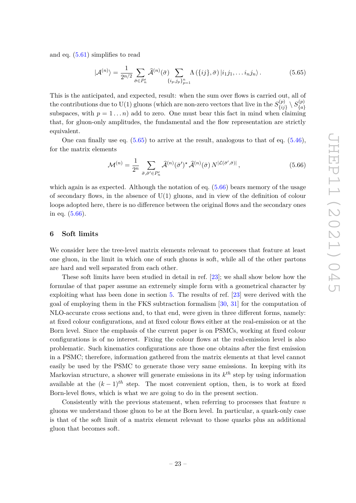and eq. [\(5.61\)](#page-23-2) simplifies to read

<span id="page-24-1"></span>
$$
|\mathcal{A}^{(n)}\rangle = \frac{1}{2^{n/2}} \sum_{\bar{\sigma} \in P'_n} \widehat{\mathcal{A}}^{(n)}(\bar{\sigma}) \sum_{\{i_p, j_p\}_{p=1}^n} \Lambda\left(\{ij\}, \bar{\sigma}\right) | i_1 j_1, \dots i_n j_n\rangle. \tag{5.65}
$$

This is the anticipated, and expected, result: when the sum over flows is carried out, all of the contributions due to U(1) gluons (which are non-zero vectors that live in the  $S_{f_{ij}}^{(p)}$  $S^{(p)}_{\{ij\}}\setminus S^{(p)}_{\{a\}}$ {*a*} subspaces, with  $p = 1 \dots n$ ) add to zero. One must bear this fact in mind when claiming that, for gluon-only amplitudes, the fundamental and the flow representation are strictly equivalent.

One can finally use eq.  $(5.65)$  to arrive at the result, analogous to that of eq.  $(5.46)$ , for the matrix elements

<span id="page-24-2"></span>
$$
\mathcal{M}^{(n)} = \frac{1}{2^n} \sum_{\bar{\sigma}, \bar{\sigma}' \in P'_n} \widehat{\mathcal{A}}^{(n)}(\bar{\sigma}')^{\star} \widehat{\mathcal{A}}^{(n)}(\bar{\sigma}) N^{|\mathcal{L}(\bar{\sigma}', \bar{\sigma})|}, \qquad (5.66)
$$

which again is as expected. Although the notation of eq.  $(5.66)$  bears memory of the usage of secondary flows, in the absence of  $U(1)$  gluons, and in view of the definition of colour loops adopted here, there is no difference between the original flows and the secondary ones in eq. [\(5.66\)](#page-24-2).

#### <span id="page-24-0"></span>**6 Soft limits**

We consider here the tree-level matrix elements relevant to processes that feature at least one gluon, in the limit in which one of such gluons is soft, while all of the other partons are hard and well separated from each other.

These soft limits have been studied in detail in ref. [\[23\]](#page-74-2); we shall show below how the formulae of that paper assume an extremely simple form with a geometrical character by exploiting what has been done in section [5.](#page-12-0) The results of ref. [\[23\]](#page-74-2) were derived with the goal of employing them in the FKS subtraction formalism [\[30,](#page-74-6) [31\]](#page-74-7) for the computation of NLO-accurate cross sections and, to that end, were given in three different forms, namely: at fixed colour configurations, and at fixed colour flows either at the real-emission or at the Born level. Since the emphasis of the current paper is on PSMCs, working at fixed colour configurations is of no interest. Fixing the colour flows at the real-emission level is also problematic. Such kinematics configurations are those one obtains after the first emission in a PSMC; therefore, information gathered from the matrix elements at that level cannot easily be used by the PSMC to generate those very same emissions. In keeping with its Markovian structure, a shower will generate emissions in its *k th* step by using information available at the  $(k-1)^{th}$  step. The most convenient option, then, is to work at fixed Born-level flows, which is what we are going to do in the present section.

Consistently with the previous statement, when referring to processes that feature *n* gluons we understand those gluon to be at the Born level. In particular, a quark-only case is that of the soft limit of a matrix element relevant to those quarks plus an additional gluon that becomes soft.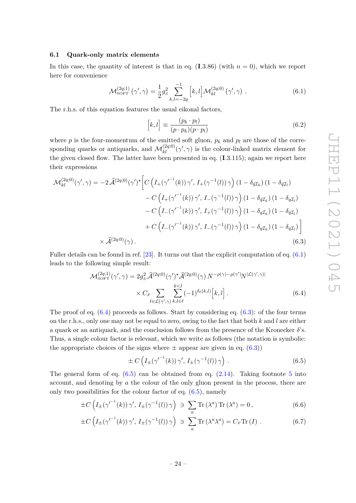### <span id="page-25-0"></span>**6.1 Quark-only matrix elements**

In this case, the quantity of interest is that in eq.  $(1.3.86)$  (with  $n = 0$ ), which we report here for convenience

$$
\mathcal{M}_{\text{SOFT}}^{(2q;1)}(\gamma',\gamma) = \frac{1}{2}g_s^2 \sum_{k,l=-2q}^{-1} [k,l] \mathcal{M}_{kl}^{(2q;0)}(\gamma',\gamma) . \qquad (6.1)
$$

The r.h.s. of this equation features the usual eikonal factors,

<span id="page-25-3"></span><span id="page-25-1"></span>
$$
[k,l] \equiv \frac{(p_k \cdot p_l)}{(p \cdot p_k)(p \cdot p_l)}\tag{6.2}
$$

where  $p$  is the four-momentum of the emitted soft gluon,  $p_k$  and  $p_l$  are those of the corresponding quarks or antiquarks, and  $\mathcal{M}_{kl}^{(2q;0)}(\gamma', \gamma)$  is the colour-linked matrix element for the given closed flow. The latter have been presented in eq. (**I**.3.115); again we report here their expressions

$$
\mathcal{M}_{kl}^{(2q;0)}(\gamma',\gamma) = -2\,\hat{\mathcal{A}}^{(2q;0)}(\gamma')^{\star} \Bigg[ C\left(I_{+}(\gamma'^{-1}(k))\,\gamma',\,I_{+}(\gamma^{-1}(l))\,\gamma\right)\left(1-\delta_{\bar{q}I_{k}}\right)\left(1-\delta_{\bar{q}I_{l}}\right) \n- C\left(I_{+}(\gamma'^{-1}(k))\,\gamma',\,I_{-}(\gamma^{-1}(l))\,\gamma\right)\left(1-\delta_{\bar{q}I_{k}}\right)\left(1-\delta_{qI_{l}}\right) \n- C\left(I_{-}(\gamma'^{-1}(k))\,\gamma',\,I_{+}(\gamma^{-1}(l))\,\gamma\right)\left(1-\delta_{qI_{k}}\right)\left(1-\delta_{\bar{q}I_{l}}\right) \n+ C\left(I_{-}(\gamma'^{-1}(k))\,\gamma',\,I_{-}(\gamma^{-1}(l))\,\gamma\right)\left(1-\delta_{qI_{k}}\right)\left(1-\delta_{qI_{l}}\right) \Bigg] \n\times\hat{\mathcal{A}}^{(2q;0)}(\gamma).
$$
\n(6.3)

Fuller details can be found in ref. [\[23\]](#page-74-2). It turns out that the explicit computation of eq. [\(6.1\)](#page-25-1) leads to the following simple result:

$$
\mathcal{M}_{\text{SOFT}}^{(2q;1)}(\gamma',\gamma) = 2g_s^2 \,\hat{\mathcal{A}}^{(2q;0)}(\gamma')^\star \hat{\mathcal{A}}^{(2q;0)}(\gamma) \, N^{-\rho(\gamma)-\rho(\gamma')} N^{|\mathcal{L}(\gamma',\gamma)|} \\
\times C_F \sum_{\ell \in \mathcal{L}(\gamma',\gamma)} \sum_{k,l \in \ell}^{k < l} (-1)^{\delta_\ell(k,l)} \left[ k, l \right].\n\tag{6.4}
$$

The proof of eq.  $(6.4)$  proceeds as follows. Start by considering eq.  $(6.3)$ : of the four terms on the r.h.s., only one may not be equal to zero, owing to the fact that both *k* and *l* are either a quark or an antiquark, and the conclusion follows from the presence of the Kronecker  $\delta$ 's. Thus, a single colour factor is relevant, which we write as follows (the notation is symbolic: the appropriate choices of the signs where  $\pm$  appear are given in eq. [\(6.3\)](#page-25-3))

<span id="page-25-6"></span><span id="page-25-5"></span><span id="page-25-4"></span><span id="page-25-2"></span>
$$
\pm C\left(I_{\pm}(\gamma^{-1}(k))\gamma', I_{\pm}(\gamma^{-1}(l))\gamma\right).
$$
 (6.5)

The general form of eq.  $(6.5)$  can be obtained from eq.  $(2.14)$ . Taking footnote [5](#page-5-0) into account, and denoting by *a* the colour of the only gluon present in the process, there are only two possibilities for the colour factor of eq.  $(6.5)$ , namely

$$
\pm C\left(I_{\pm}(\gamma'^{-1}(k))\gamma', I_{\pm}(\gamma^{-1}(l))\gamma\right) \ni \sum_{a} \text{Tr}\left(\lambda^{a}\right) \text{Tr}\left(\lambda^{a}\right) = 0, \tag{6.6}
$$

$$
\pm C\left(I_{\pm}(\gamma'^{-1}(k))\gamma', I_{\pm}(\gamma^{-1}(l))\gamma\right) \ni \sum_{a} \text{Tr}\left(\lambda^{a}\lambda^{a}\right) = C_{F}\text{Tr}\left(I\right). \tag{6.7}
$$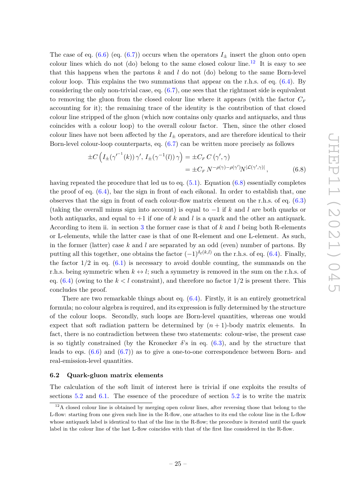The case of eq. [\(6.6\)](#page-25-5) (eq. [\(6.7\)](#page-25-6)) occurs when the operators  $I_{\pm}$  insert the gluon onto open colour lines which do not (do) belong to the same closed colour line.<sup>[12](#page-26-1)</sup> It is easy to see that this happens when the partons *k* and *l* do not (do) belong to the same Born-level colour loop. This explains the two summations that appear on the r.h.s. of eq.  $(6.4)$ . By considering the only non-trivial case, eq. [\(6.7\)](#page-25-6), one sees that the rightmost side is equivalent to removing the gluon from the closed colour line where it appears (with the factor  $C_F$ accounting for it); the remaining trace of the identity is the contribution of that closed colour line stripped of the gluon (which now contains only quarks and antiquarks, and thus coincides with a colour loop) to the overall colour factor. Then, since the other closed colour lines have not been affected by the  $I_{+}$  operators, and are therefore identical to their Born-level colour-loop counterparts, eq. [\(6.7\)](#page-25-6) can be written more precisely as follows

<span id="page-26-2"></span>
$$
\pm C \left( I_{\pm}(\gamma^{-1}(k)) \gamma', I_{\pm}(\gamma^{-1}(l)) \gamma \right) = \pm C_F C \left( \gamma', \gamma \right)
$$

$$
= \pm C_F N^{-\rho(\gamma) - \rho(\gamma')} N^{|\mathcal{L}(\gamma', \gamma)|}, \tag{6.8}
$$

having repeated the procedure that led us to eq.  $(5.1)$ . Equation  $(6.8)$  essentially completes the proof of eq. [\(6.4\)](#page-25-2), bar the sign in front of each eikonal. In order to establish that, one observes that the sign in front of each colour-flow matrix element on the r.h.s. of eq. [\(6.3\)](#page-25-3) (taking the overall minus sign into account) is equal to −1 if *k* and *l* are both quarks or both antiquarks, and equal to +1 if one of *k* and *l* is a quark and the other an antiquark. According to item ii. in section [3](#page-8-0) the former case is that of *k* and *l* being both R-elements or L-elements, while the latter case is that of one R-element and one L-element. As such, in the former (latter) case *k* and *l* are separated by an odd (even) number of partons. By putting all this together, one obtains the factor  $(-1)^{\delta_{\ell}(k,l)}$  on the r.h.s. of eq. [\(6.4\)](#page-25-2). Finally, the factor  $1/2$  in eq.  $(6.1)$  is necessary to avoid double counting, the summands on the r.h.s. being symmetric when  $k \leftrightarrow l$ ; such a symmetry is removed in the sum on the r.h.s. of eq.  $(6.4)$  (owing to the  $k < l$  constraint), and therefore no factor  $1/2$  is present there. This concludes the proof.

There are two remarkable things about eq.  $(6.4)$ . Firstly, it is an entirely geometrical formula; no colour algebra is required, and its expression is fully determined by the structure of the colour loops. Secondly, such loops are Born-level quantities, whereas one would expect that soft radiation pattern be determined by  $(n + 1)$ -body matrix elements. In fact, there is no contradiction between these two statements: colour-wise, the present case is so tightly constrained (by the Kronecker  $\delta$ 's in eq. [\(6.3\)](#page-25-3), and by the structure that leads to eqs.  $(6.6)$  and  $(6.7)$  as to give a one-to-one correspondence between Born- and real-emission-level quantities.

# <span id="page-26-0"></span>**6.2 Quark-gluon matrix elements**

The calculation of the soft limit of interest here is trivial if one exploits the results of sections [5.2](#page-13-0) and [6.1.](#page-25-0) The essence of the procedure of section [5.2](#page-13-0) is to write the matrix

<span id="page-26-1"></span> $12A$  closed colour line is obtained by merging open colour lines, after reversing those that belong to the L-flow: starting from one given such line in the R-flow, one attaches to its end the colour line in the L-flow whose antiquark label is identical to that of the line in the R-flow; the procedure is iterated until the quark label in the colour line of the last L-flow coincides with that of the first line considered in the R-flow.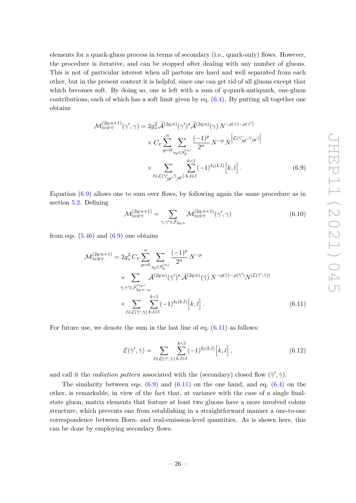elements for a quark-gluon process in terms of secondary (i.e., quark-only) flows. However, the procedure is iterative, and can be stopped after dealing with any number of gluons. This is not of particular interest when all partons are hard and well separated from each other, but in the present context it is helpful, since one can get rid of all gluons except that which becomes soft. By doing so, one is left with a sum of *q*-quark-antiquark, one-gluon contributions, each of which has a soft limit given by eq.  $(6.4)$ . By putting all together one obtains

$$
\mathcal{M}_{\text{SOFT}}^{(2q;n+1)}(\gamma',\gamma) = 2g_s^2 \,\hat{\mathcal{A}}^{(2q;n)}(\gamma')^\star \hat{\mathcal{A}}^{(2q;n)}(\gamma) \, N^{-\rho(\gamma)-\rho(\gamma')}
$$

$$
\times C_F \sum_{p=0}^n \sum_{s_p \in S_p^{(n)}} \frac{(-1)^p}{2^n} \, N^{-p} \, N^{\left| \mathcal{L}(\bar{\gamma}'_{\tilde{\mathcal{M}}},\bar{\gamma}_{\tilde{\mathcal{M}}}) \right|}
$$

$$
\times \sum_{\ell \in \mathcal{L}(\bar{\gamma}'_{\tilde{\mathcal{M}}},\bar{\gamma}_{\tilde{\mathcal{M}}})} \sum_{k,\ell \in \ell} (-1)^{\delta_{\ell}(k,l)} \left[ k,l \right]. \tag{6.9}
$$

Equation [\(6.9\)](#page-27-0) allows one to sum over flows, by following again the same procedure as in section [5.2.](#page-13-0) Defining

<span id="page-27-0"></span>
$$
\mathcal{M}_{\text{SOFT}}^{(2q;n+1)} = \sum_{\gamma,\gamma' \in \mathcal{F}_{2q;n}} \mathcal{M}_{\text{SOFT}}^{(2q;n+1)}(\gamma',\gamma)
$$
(6.10)

from eqs.  $(5.46)$  and  $(6.9)$  one obtains

$$
\mathcal{M}_{\text{SOFT}}^{(2q;n+1)} = 2g_S^2 C_F \sum_{p=0}^n \sum_{s_p \in S_p^{(n)}} \frac{(-1)^p}{2^n} N^{-p}
$$
  
 
$$
\times \sum_{\bar{\gamma}, \bar{\gamma}' \in \mathcal{F}_{2q;n-p}^{(s_p)}} \bar{\mathcal{A}}^{(2q;n)}(\bar{\gamma}')^* \bar{\mathcal{A}}^{(2q;n)}(\bar{\gamma}) N^{-\rho(\bar{\gamma})-\rho(\bar{\gamma}')} N^{|\mathcal{L}(\bar{\gamma}',\bar{\gamma})|}
$$
  
 
$$
\times \sum_{\ell \in \mathcal{L}(\bar{\gamma}',\bar{\gamma})} \sum_{k,l \in \ell} (-1)^{\delta_{\ell}(k,l)} [k,l]. \tag{6.11}
$$

For future use, we denote the sum in the last line of eq.  $(6.11)$  as follows:

<span id="page-27-2"></span><span id="page-27-1"></span>
$$
\mathcal{E}(\bar{\gamma}', \bar{\gamma}) = \sum_{\ell \in \mathcal{L}(\bar{\gamma}', \bar{\gamma})} \sum_{k,l \in \ell}^{k < l} (-1)^{\delta_{\ell}(k,l)} \left[ k, l \right],\tag{6.12}
$$

and call it the *radiation pattern* associated with the (secondary) closed flow  $(\bar{\gamma}', \bar{\gamma})$ .

The similarity between eqs.  $(6.9)$  and  $(6.11)$  on the one hand, and eq.  $(6.4)$  on the other, is remarkable, in view of the fact that, at variance with the case of a single finalstate gluon, matrix elements that feature at least two gluons have a more involved colour structure, which prevents one from establishing in a straightforward manner a one-to-one correspondence between Born- and real-emission-level quantities. As is shown here, this can be done by employing secondary flows.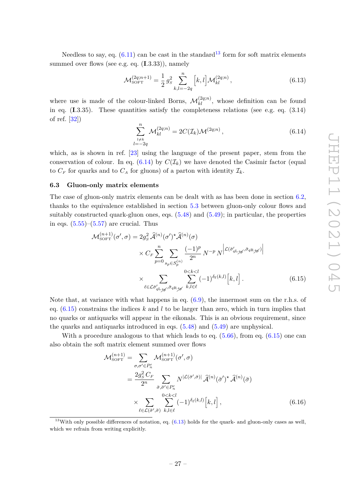Needless to say, eq.  $(6.11)$  can be cast in the standard<sup>[13](#page-28-1)</sup> form for soft matrix elements summed over flows (see e.g. eq. (**I**.3.33)), namely

<span id="page-28-4"></span>
$$
\mathcal{M}_{\text{SOFT}}^{(2q;n+1)} = \frac{1}{2} g_s^2 \sum_{k,l=-2q}^n \left[ k, l \right] \mathcal{M}_{kl}^{(2q;n)},\tag{6.13}
$$

where use is made of the colour-linked Borns,  $\mathcal{M}_{kl}^{(2q;n)}$ , whose definition can be found in eq.  $(1.3.35)$ . These quantities satisfy the completeness relations (see e.g. eq.  $(3.14)$ ) of ref. [\[32\]](#page-74-8))

<span id="page-28-2"></span>
$$
\sum_{\substack{l \neq k \\ l = -2q}}^{n} \mathcal{M}_{kl}^{(2q;n)} = 2C(\mathcal{I}_k)\mathcal{M}^{(2q;n)}, \qquad (6.14)
$$

which, as is shown in ref. [\[23\]](#page-74-2) using the language of the present paper, stem from the conservation of colour. In eq.  $(6.14)$  by  $C(\mathcal{I}_k)$  we have denoted the Casimir factor (equal to  $C_F$  for quarks and to  $C_A$  for gluons) of a parton with identity  $\mathcal{I}_k$ .

#### <span id="page-28-0"></span>**6.3 Gluon-only matrix elements**

The case of gluon-only matrix elements can be dealt with as has been done in section [6.2,](#page-26-0) thanks to the equivalence established in section [5.3](#page-21-0) between gluon-only colour flows and suitably constructed quark-gluon ones, eqs.  $(5.48)$  and  $(5.49)$ ; in particular, the properties in eqs.  $(5.55)$ – $(5.57)$  are crucial. Thus

<span id="page-28-3"></span>
$$
\mathcal{M}_{\text{SOFT}}^{(n+1)}(\sigma', \sigma) = 2g_s^2 \,\hat{\mathcal{A}}^{(n)}(\sigma')^* \hat{\mathcal{A}}^{(n)}(\sigma)
$$

$$
\times C_F \sum_{p=0}^n \sum_{s_p \in S_p^{(n)}} \frac{(-1)^p}{2^n} \, N^{-p} \, N^{\left| \mathcal{L}(\bar{\sigma}_{q \mathcal{L}_{\tilde{\mathcal{H}}}}, \bar{\sigma}_{q \mathcal{R}_{\tilde{\mathcal{H}}})} \right|}
$$

$$
\times \sum_{\ell \in \mathcal{L}(\bar{\sigma}_{q \mathcal{L}_{\tilde{\mathcal{H}}}}, \bar{\sigma}_{q \mathcal{R}_{\tilde{\mathcal{H}}}})} \sum_{k,l \in \ell}^{0 < k < l} (-1)^{\delta_{\ell}(k,l)} \left[ k, l \right]. \tag{6.15}
$$

Note that, at variance with what happens in eq.  $(6.9)$ , the innermost sum on the r.h.s. of eq.  $(6.15)$  constrains the indices  $k$  and  $l$  to be larger than zero, which in turn implies that no quarks or antiquarks will appear in the eikonals. This is an obvious requirement, since the quarks and antiquarks introduced in eqs. [\(5.48\)](#page-21-1) and [\(5.49\)](#page-21-2) are unphysical.

With a procedure analogous to that which leads to eq.  $(5.66)$ , from eq.  $(6.15)$  one can also obtain the soft matrix element summed over flows

<span id="page-28-5"></span>
$$
\mathcal{M}_{\text{SOFT}}^{(n+1)} = \sum_{\sigma,\sigma' \in P'_n} \mathcal{M}_{\text{SOFT}}^{(n+1)}(\sigma',\sigma)
$$
  
= 
$$
\frac{2g_S^2 C_F}{2^n} \sum_{\bar{\sigma},\bar{\sigma}' \in P'_n} N^{|\mathcal{L}(\bar{\sigma}',\bar{\sigma})|} \hat{\mathcal{A}}^{(n)}(\bar{\sigma}')^* \hat{\mathcal{A}}^{(n)}(\bar{\sigma})
$$
  

$$
\times \sum_{\ell \in \mathcal{L}(\bar{\sigma}',\bar{\sigma})} \sum_{k,l \in \ell}^{0 < k < l} (-1)^{\delta_{\ell}(k,l)} [k,l], \qquad (6.16)
$$

<span id="page-28-1"></span><sup>&</sup>lt;sup>13</sup>With only possible differences of notation, eq.  $(6.13)$  holds for the quark- and gluon-only cases as well, which we refrain from writing explicitly.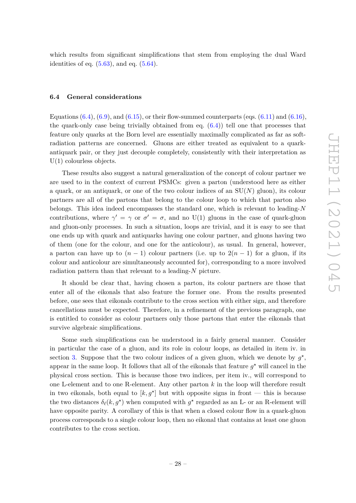which results from significant simplifications that stem from employing the dual Ward identities of eq.  $(5.63)$ , and eq.  $(5.64)$ .

#### <span id="page-29-0"></span>**6.4 General considerations**

Equations  $(6.4)$ ,  $(6.9)$ , and  $(6.15)$ , or their flow-summed counterparts (eqs.  $(6.11)$  and  $(6.16)$ , the quark-only case being trivially obtained from eq.  $(6.4)$ ) tell one that processes that feature only quarks at the Born level are essentially maximally complicated as far as softradiation patterns are concerned. Gluons are either treated as equivalent to a quarkantiquark pair, or they just decouple completely, consistently with their interpretation as U(1) colourless objects.

These results also suggest a natural generalization of the concept of colour partner we are used to in the context of current PSMCs: given a parton (understood here as either a quark, or an antiquark, or one of the two colour indices of an  $SU(N)$  gluon), its colour partners are all of the partons that belong to the colour loop to which that parton also belongs. This idea indeed encompasses the standard one, which is relevant to leading-*N* contributions, where  $\gamma' = \gamma$  or  $\sigma' = \sigma$ , and no U(1) gluons in the case of quark-gluon and gluon-only processes. In such a situation, loops are trivial, and it is easy to see that one ends up with quark and antiquarks having one colour partner, and gluons having two of them (one for the colour, and one for the anticolour), as usual. In general, however, a parton can have up to  $(n-1)$  colour partners (i.e. up to  $2(n-1)$  for a gluon, if its colour and anticolour are simultaneously accounted for), corresponding to a more involved radiation pattern than that relevant to a leading-*N* picture.

It should be clear that, having chosen a parton, its colour partners are those that enter all of the eikonals that also feature the former one. From the results presented before, one sees that eikonals contribute to the cross section with either sign, and therefore cancellations must be expected. Therefore, in a refinement of the previous paragraph, one is entitled to consider as colour partners only those partons that enter the eikonals that survive algebraic simplifications.

Some such simplifications can be understood in a fairly general manner. Consider in particular the case of a gluon, and its role in colour loops, as detailed in item iv. in section [3.](#page-8-0) Suppose that the two colour indices of a given gluon, which we denote by  $g^*$ , appear in the same loop. It follows that all of the eikonals that feature  $g^*$  will cancel in the physical cross section. This is because those two indices, per item iv., will correspond to one L-element and to one R-element. Any other parton *k* in the loop will therefore result in two eikonals, both equal to  $[k, g^*]$  but with opposite signs in front — this is because the two distances  $\delta_{\ell}(k, g^*)$  when computed with  $g^*$  regarded as an L- or an R-element will have opposite parity. A corollary of this is that when a closed colour flow in a quark-gluon process corresponds to a single colour loop, then no eikonal that contains at least one gluon contributes to the cross section.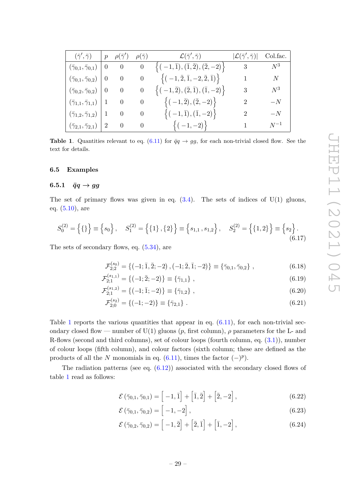<span id="page-30-3"></span> $\overline{5}$ 

| $(\bar{\gamma}', \bar{\gamma})$                | $\mid p$  |                          |                                   | $\rho(\bar{\gamma}')\ \ \ \ \rho(\bar{\gamma})\qquad \qquad \mathcal{L}(\bar{\gamma}',\bar{\gamma})$ | $ \mathcal{L}(\bar{\gamma}^\prime, \bar{\gamma}) $ | Col.fac. |
|------------------------------------------------|-----------|--------------------------|-----------------------------------|------------------------------------------------------------------------------------------------------|----------------------------------------------------|----------|
| $(\bar{\gamma}_{0,1},\bar{\gamma}_{0,1})$ 0 0  |           |                          |                                   | $0 \quad \left\{(-1,\bar{1}),(\bar{1},\bar{2}),(\bar{2},-2)\right\}$                                 | $3 \hspace{1.5cm} N^3$                             |          |
| $(\bar{\gamma}_{0,1}, \bar{\gamma}_{0,2})$     | $\vert 0$ |                          |                                   | 0 0 $\left\{(-1, \bar{2}, \bar{1}, -2, \bar{2}, \bar{1})\right\}$                                    | 1                                                  | N        |
| $(\bar{\gamma}_{0,2}, \bar{\gamma}_{0,2})$   0 |           | $\overline{0}$           | $\begin{array}{cc} 0 \end{array}$ | $\{(-1,\bar{2}), (\bar{2},\bar{1}), (\bar{1},-2)\}\$                                                 | 3 <sup>1</sup>                                     | $N^3$    |
| $(\bar{\gamma}_{1,1}, \bar{\gamma}_{1,1})$   1 |           | $\overline{0}$           | $\overline{0}$                    | $\left\{(-1,\bar{2}),(\bar{2},-2)\right\}$                                                           | $\overline{2}$                                     | $-N$     |
| $(\bar{\gamma}_{1,2}, \bar{\gamma}_{1,2})$   1 |           | $\overline{\phantom{0}}$ | $\overline{\phantom{0}}$          | $\{( -1,\bar{1}),(\bar{1},-2)\}\$                                                                    | $2^{\circ}$                                        | $-N$     |
| $(\bar{\gamma}_{2,1}, \bar{\gamma}_{2,1})$   2 |           | $\overline{\phantom{0}}$ | $\sim 0$                          | $\{(-1,-2)\}\$                                                                                       |                                                    | $N^{-1}$ |

<span id="page-30-2"></span>**Table 1.** Quantities relevant to eq. [\(6.11\)](#page-27-1) for  $\bar{q}q \rightarrow gg$ , for each non-trivial closed flow. See the text for details.

# <span id="page-30-0"></span>**6.5 Examples**

## <span id="page-30-1"></span>**6.5.1**  $\bar{q}q \rightarrow gg$

The set of primary flows was given in eq.  $(3.4)$ . The sets of indices of  $U(1)$  gluons, eq. [\(5.10\)](#page-14-3), are

$$
S_0^{(2)} = \left\{ \{ \} \right\} \equiv \left\{ s_0 \right\}, \quad S_1^{(2)} = \left\{ \{1\}, \{2\} \right\} \equiv \left\{ s_{1,1}, s_{1,2} \right\}, \quad S_2^{(2)} = \left\{ \{1, 2\} \right\} \equiv \left\{ s_2 \right\}. \tag{6.17}
$$

The sets of secondary flows, eq. [\(5.34\)](#page-18-3), are

$$
\mathcal{F}_{2;2}^{(s_0)} = \{ (-1;\bar{1},\bar{2};-2), (-1;\bar{2},\bar{1};-2) \} \equiv \{ \bar{\gamma}_{0,1}, \bar{\gamma}_{0,2} \},
$$
\n(6.18)

$$
\mathcal{F}_{2;1}^{(s_{1,1})} = \{(-1;\bar{2};-2)\} \equiv \{\bar{\gamma}_{1,1}\},\tag{6.19}
$$

$$
\mathcal{F}_{2;1}^{(s_{1,2})} = \{(-1;\bar{1};-2)\} \equiv \{\bar{\gamma}_{1,2}\},\tag{6.20}
$$

$$
\mathcal{F}_{2;0}^{(s_2)} = \{(-1;-2)\} \equiv \{\bar{\gamma}_{2,1}\} . \tag{6.21}
$$

Table [1](#page-30-2) reports the various quantities that appear in eq.  $(6.11)$ , for each non-trivial secondary closed flow — number of U(1) gluons  $(p, \text{first column})$ ,  $\rho$  parameters for the L- and R-flows (second and third columns), set of colour loops (fourth column, eq. [\(3.1\)](#page-8-1)), number of colour loops (fifth column), and colour factors (sixth column; these are defined as the products of all the *N* monomials in eq.  $(6.11)$ , times the factor  $(-)^p$ ).

The radiation patterns (see eq.  $(6.12)$ ) associated with the secondary closed flows of table [1](#page-30-2) read as follows:

$$
\mathcal{E}\left(\bar{\gamma}_{0,1},\bar{\gamma}_{0,1}\right) = \left[-1,\bar{1}\right] + \left[\bar{1},\bar{2}\right] + \left[\bar{2},-2\right],\tag{6.22}
$$

$$
\mathcal{E}(\bar{\gamma}_{0,1}, \bar{\gamma}_{0,2}) = \left[ -1, -2 \right], \tag{6.23}
$$

$$
\mathcal{E}(\bar{\gamma}_{0,2}, \bar{\gamma}_{0,2}) = \left[ -1, \bar{2} \right] + \left[ \bar{2}, \bar{1} \right] + \left[ \bar{1}, -2 \right], \tag{6.24}
$$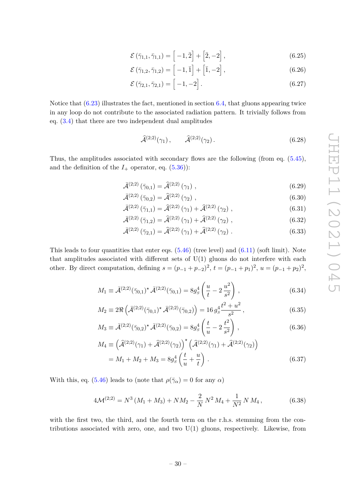$$
\mathcal{E}(\bar{\gamma}_{1,1}, \bar{\gamma}_{1,1}) = \left[ -1, \bar{2} \right] + \left[ \bar{2}, -2 \right],\tag{6.25}
$$

$$
\mathcal{E}(\bar{\gamma}_{1,2}, \bar{\gamma}_{1,2}) = \left[ -1, \bar{1} \right] + \left[ \bar{1}, -2 \right], \tag{6.26}
$$

$$
\mathcal{E}(\bar{\gamma}_{2,1}, \bar{\gamma}_{2,1}) = [-1, -2]. \tag{6.27}
$$

Notice that [\(6.23\)](#page-30-3) illustrates the fact, mentioned in section [6.4,](#page-29-0) that gluons appearing twice in any loop do not contribute to the associated radiation pattern. It trivially follows from eq. [\(3.4\)](#page-10-4) that there are two independent dual amplitudes

$$
\hat{\mathcal{A}}^{(2;2)}(\gamma_1), \qquad \hat{\mathcal{A}}^{(2;2)}(\gamma_2).
$$
\n(6.28)

Thus, the amplitudes associated with secondary flows are the following (from eq. [\(5.45\)](#page-20-2), and the definition of the  $I_+$  operator, eq.  $(5.36)$ :

$$
\bar{\mathcal{A}}^{(2;2)}\left(\bar{\gamma}_{0,1}\right) = \hat{\mathcal{A}}^{(2;2)}\left(\gamma_1\right),\tag{6.29}
$$

$$
\bar{\mathcal{A}}^{(2;2)}\left(\bar{\gamma}_{0,2}\right) = \hat{\mathcal{A}}^{(2;2)}\left(\gamma_2\right),\tag{6.30}
$$

$$
\bar{\mathcal{A}}^{(2;2)}\left(\bar{\gamma}_{1,1}\right) = \hat{\mathcal{A}}^{(2;2)}\left(\gamma_1\right) + \hat{\mathcal{A}}^{(2;2)}\left(\gamma_2\right),\tag{6.31}
$$

$$
\bar{\mathcal{A}}^{(2;2)}\left(\bar{\gamma}_{1,2}\right) = \hat{\mathcal{A}}^{(2;2)}\left(\gamma_1\right) + \hat{\mathcal{A}}^{(2;2)}\left(\gamma_2\right),\tag{6.32}
$$

$$
\bar{\mathcal{A}}^{(2;2)}\left(\bar{\gamma}_{2,1}\right) = \hat{\mathcal{A}}^{(2;2)}\left(\gamma_1\right) + \hat{\mathcal{A}}^{(2;2)}\left(\gamma_2\right). \tag{6.33}
$$

This leads to four quantities that enter eqs.  $(5.46)$  (tree level) and  $(6.11)$  (soft limit). Note that amplitudes associated with different sets of  $U(1)$  gluons do not interfere with each other. By direct computation, defining  $s = (p_{-1} + p_{-2})^2$ ,  $t = (p_{-1} + p_1)^2$ ,  $u = (p_{-1} + p_2)^2$ ,

$$
M_1 \equiv \bar{\mathcal{A}}^{(2;2)}(\bar{\gamma}_{0,1})^* \bar{\mathcal{A}}^{(2;2)}(\bar{\gamma}_{0,1}) = 8g_s^4 \left(\frac{u}{t} - 2\frac{u^2}{s^2}\right),\tag{6.34}
$$

$$
M_2 \equiv 2\Re\left(\bar{\mathcal{A}}^{(2;2)}(\bar{\gamma}_{0,1})^\star \bar{\mathcal{A}}^{(2;2)}(\bar{\gamma}_{0,2})\right) = 16 g_s^4 \frac{t^2 + u^2}{s^2},\tag{6.35}
$$

$$
M_3 \equiv \bar{\mathcal{A}}^{(2;2)}(\bar{\gamma}_{0,2})^* \bar{\mathcal{A}}^{(2;2)}(\bar{\gamma}_{0,2}) = 8g_s^4 \left(\frac{t}{u} - 2\frac{t^2}{s^2}\right),\tag{6.36}
$$

$$
M_4 \equiv \left(\widehat{\mathcal{A}}^{(2;2)}(\gamma_1) + \widehat{\mathcal{A}}^{(2;2)}(\gamma_2)\right)^{\star} \left(\widehat{\mathcal{A}}^{(2;2)}(\gamma_1) + \widehat{\mathcal{A}}^{(2;2)}(\gamma_2)\right)
$$
  
= M<sub>1</sub> + M<sub>2</sub> + M<sub>3</sub> = 8g<sub>s</sub><sup>4</sup>  $\left(\frac{t}{u} + \frac{u}{t}\right)$ . (6.37)

With this, eq. [\(5.46\)](#page-20-1) leads to (note that  $\rho(\bar{\gamma}_{\alpha}) = 0$  for any  $\alpha$ )

$$
4\mathcal{M}^{(2;2)} = N^3 \left(M_1 + M_3\right) + NM_2 - \frac{2}{N} N^2 M_4 + \frac{1}{N^2} N M_4,
$$
\n(6.38)

with the first two, the third, and the fourth term on the r.h.s. stemming from the contributions associated with zero, one, and two  $U(1)$  gluons, respectively. Likewise, from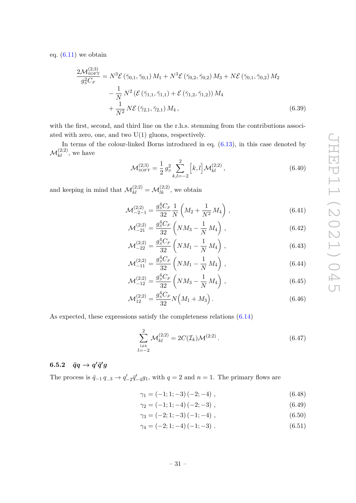eq.  $(6.11)$  we obtain

$$
\frac{2\mathcal{M}_{\text{SOFT}}^{(2;3)}}{g_S^2 C_F} = N^3 \mathcal{E} \left( \bar{\gamma}_{0,1}, \bar{\gamma}_{0,1} \right) M_1 + N^3 \mathcal{E} \left( \bar{\gamma}_{0,2}, \bar{\gamma}_{0,2} \right) M_3 + N \mathcal{E} \left( \bar{\gamma}_{0,1}, \bar{\gamma}_{0,2} \right) M_2 \n- \frac{1}{N} N^2 \left( \mathcal{E} \left( \bar{\gamma}_{1,1}, \bar{\gamma}_{1,1} \right) + \mathcal{E} \left( \bar{\gamma}_{1,2}, \bar{\gamma}_{1,2} \right) \right) M_4 \n+ \frac{1}{N^2} N \mathcal{E} \left( \bar{\gamma}_{2,1}, \bar{\gamma}_{2,1} \right) M_4, \tag{6.39}
$$

with the first, second, and third line on the r.h.s. stemming from the contributions associated with zero, one, and two  $U(1)$  gluons, respectively.

In terms of the colour-linked Borns introduced in eq. [\(6.13\)](#page-28-4), in this case denoted by  $\mathcal{M}^{(2;2)}_{kl}$ , we have

$$
\mathcal{M}_{\text{SOFT}}^{(2;3)} = \frac{1}{2} g_s^2 \sum_{k,l=-2}^2 \left[ k, l \right] \mathcal{M}_{kl}^{(2;2)},\tag{6.40}
$$

and keeping in mind that  $\mathcal{M}_{kl}^{(2;2)} = \mathcal{M}_{lk}^{(2;2)}$ , we obtain

$$
\mathcal{M}_{-2-1}^{(2;2)} = \frac{g_S^4 C_F}{32} \frac{1}{N} \left( M_2 + \frac{1}{N^2} M_4 \right) ,\qquad (6.41)
$$

$$
\mathcal{M}_{-21}^{(2;2)} = \frac{g_s^4 C_F}{32} \left( NM_3 - \frac{1}{N} M_4 \right), \tag{6.42}
$$

$$
\mathcal{M}_{-22}^{(2;2)} = \frac{g_s^4 C_F}{32} \left( NM_1 - \frac{1}{N} M_4 \right), \qquad (6.43)
$$

$$
\mathcal{M}_{-11}^{(2;2)} = \frac{g_s^4 C_F}{32} \left( NM_1 - \frac{1}{N} M_4 \right) ,\qquad (6.44)
$$

$$
\mathcal{M}_{-12}^{(2;2)} = \frac{g_s^4 C_F}{32} \left( NM_3 - \frac{1}{N} M_4 \right) ,\qquad (6.45)
$$

$$
\mathcal{M}_{12}^{(2;2)} = \frac{g_S^4 C_F}{32} N \Big( M_1 + M_3 \Big) \,. \tag{6.46}
$$

As expected, these expressions satisfy the completeness relations [\(6.14\)](#page-28-2)

$$
\sum_{\substack{l \neq k \\ l=-2}}^{2} \mathcal{M}_{kl}^{(2;2)} = 2C(\mathcal{I}_k)\mathcal{M}^{(2;2)}.
$$
\n(6.47)

# <span id="page-32-0"></span> $6.5.2$   $\bar{q}q \rightarrow q'\bar{q}'g$

The process is  $\bar{q}_{-1} q_{-3} \to q'_{-2} \bar{q}'_{-4} g_1$ , with  $q=2$  and  $n=1$ . The primary flows are

$$
\gamma_1 = (-1; 1; -3)(-2; -4) \tag{6.48}
$$

$$
\gamma_2 = (-1; 1; -4)(-2; -3) \tag{6.49}
$$

$$
\gamma_3 = (-2; 1; -3)(-1; -4) \tag{6.50}
$$

$$
\gamma_4 = (-2; 1; -4)(-1; -3) \tag{6.51}
$$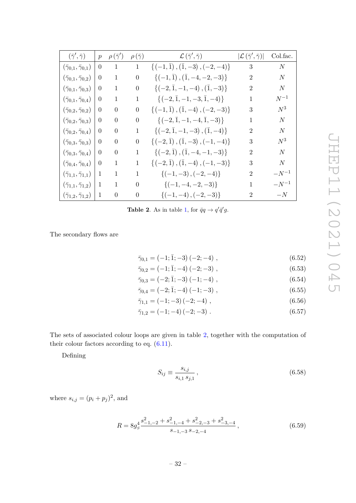| $(\bar{\gamma}', \bar{\gamma})$            | $\mathcal{p}$  | $\rho(\bar{\gamma}')$ | $\rho(\bar{\gamma})$ | $\mathcal{L}\left(\bar{\gamma}^\prime,\bar{\gamma}\right)$ | $ \mathcal{L}(\bar{\gamma}', \bar{\gamma}) $ | Col.fac.  |
|--------------------------------------------|----------------|-----------------------|----------------------|------------------------------------------------------------|----------------------------------------------|-----------|
| $(\bar{\gamma}_{0,1},\bar{\gamma}_{0,1})$  | $\theta$       | $\mathbf{1}$          | $1\,$                | $\{(-1,\bar{1}),(\bar{1},-3),(-2,-4)\}\$                   | 3                                            | N         |
| $(\bar{\gamma}_{0,1},\bar{\gamma}_{0,2})$  | $\theta$       | 1                     | $\overline{0}$       | $\{(-1,\bar{1}), (\bar{1},-4,-2,-3)\}\$                    | $\overline{2}$                               | N         |
| $(\bar{\gamma}_{0,1},\bar{\gamma}_{0,3})$  | $\theta$       | 1                     | $\boldsymbol{0}$     | $\{(-2,\bar{1},-1,-4),(\bar{1},-3)\}\$                     | 2                                            | N         |
| $(\bar{\gamma}_{0,1},\bar{\gamma}_{0,4})$  | $\theta$       | 1                     | $\mathbf{1}$         | $\{(-2,\bar{1},-1,-3,\bar{1},-4)\}\$                       | 1                                            | $N^{-1}$  |
| $(\bar{\gamma}_{0,2},\bar{\gamma}_{0,2})$  | $\Omega$       | $\overline{0}$        | $\theta$             | $\{(-1,\bar{1}),(\bar{1},-4),(-2,-3)\}\$                   | 3                                            | $N^3$     |
| $(\bar{\gamma}_{0,2},\bar{\gamma}_{0,3})$  | $\overline{0}$ | $\theta$              | $\overline{0}$       | $\{(-2,\bar{1},-1,-4,\bar{1},-3)\}\$                       | 1                                            | N         |
| $(\bar{\gamma}_{0,2},\bar{\gamma}_{0,4})$  | $\overline{0}$ | $\boldsymbol{0}$      | 1                    | $\{(-2,\bar{1},-1,-3),(\bar{1},-4)\}\$                     | 2                                            | N         |
| $(\bar{\gamma}_{0,3},\bar{\gamma}_{0,3})$  | $\Omega$       | $\overline{0}$        | $\boldsymbol{0}$     | $\{(-2,\bar{1}), (\bar{1},-3), (-1,-4)\}\$                 | 3                                            | $N^3$     |
| $(\bar{\gamma}_{0,3},\bar{\gamma}_{0,4})$  | $\overline{0}$ | $\theta$              | 1                    | $\{(-2,\bar{1}), (\bar{1},-4,-1,-3)\}\$                    | 2                                            | N         |
| $(\bar{\gamma}_{0,4},\bar{\gamma}_{0,4})$  | $\theta$       | 1                     | 1                    | $\{(-2,\bar{1}), (\bar{1},-4), (-1,-3)\}\$                 | 3                                            | N         |
| $(\bar{\gamma}_{1,1},\bar{\gamma}_{1,1})$  | $\mathbf 1$    | 1                     | $\mathbf{1}$         | ${(-1, -3), (-2, -4)}$                                     | 2                                            | $-N^{-1}$ |
| $(\bar{\gamma}_{1,1}, \bar{\gamma}_{1,2})$ | $\mathbf{1}$   | $\mathbf{1}$          | $\overline{0}$       | $\{(-1, -4, -2, -3)\}\$                                    | $\mathbf{1}$                                 | $-N^{-1}$ |
| $(\bar{\gamma}_{1,2},\bar{\gamma}_{1,2})$  | $\mathbf{1}$   | $\overline{0}$        | $\boldsymbol{0}$     | ${(-1, -4), (-2, -3)}$                                     | $\overline{2}$                               | $-N$      |

<span id="page-33-0"></span>**Table 2**. As in table [1,](#page-30-2) for  $\bar{q}q \rightarrow q'\bar{q}'g$ .

The secondary flows are

|  | $\bar{\gamma}_{0,1} = (-1;\bar{1};-3)(-2;-4)$ , | (6.52) |
|--|-------------------------------------------------|--------|
|--|-------------------------------------------------|--------|

$$
\bar{\gamma}_{0,2} = (-1;\bar{1};-4)(-2;-3) , \qquad (6.53)
$$

$$
\bar{\gamma}_{0,3} = (-2; \bar{1}; -3) (-1; -4) , \qquad (6.54)
$$

$$
\bar{\gamma}_{0,4} = (-2; \bar{1}; -4) (-1; -3) ,
$$
\n(6.55)\n  
\n
$$
\bar{\gamma}_{1,1} = (-1; -3) (-2; -4) ,
$$
\n(6.56)

$$
\bar{\gamma}_{1,2} = (-1; -4)(-2; -3) \tag{6.57}
$$

The sets of associated colour loops are given in table [2,](#page-33-0) together with the computation of their colour factors according to eq. [\(6.11\)](#page-27-1).

Defining

$$
S_{ij} \equiv \frac{s_{i,j}}{s_{i,1} \, s_{j,1}}\,,\tag{6.58}
$$

where  $s_{i,j} = (p_i + p_j)^2$ , and

$$
R = 8g_s^4 \frac{s_{-1,-2}^2 + s_{-1,-4}^2 + s_{-2,-3}^2 + s_{-3,-4}^2}{s_{-1,-3} s_{-2,-4}},
$$
\n(6.59)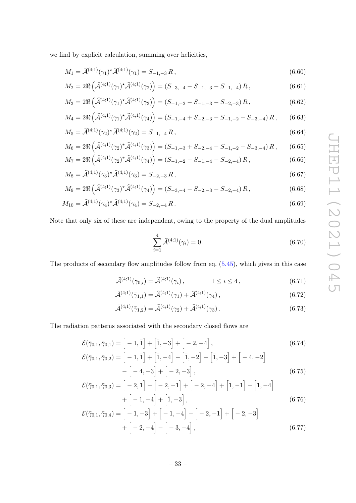we find by explicit calculation, summing over helicities,

$$
M_1 = \hat{\mathcal{A}}^{(4;1)}(\gamma_1)^{\star} \hat{\mathcal{A}}^{(4;1)}(\gamma_1) = S_{-1,-3} R, \qquad (6.60)
$$

$$
M_2 = 2\Re\left(\hat{\mathcal{A}}^{(4;1)}(\gamma_1)^* \hat{\mathcal{A}}^{(4;1)}(\gamma_2)\right) = (S_{-3,-4} - S_{-1,-3} - S_{-1,-4})R, \tag{6.61}
$$

$$
M_3 = 2\Re\left(\widehat{\mathcal{A}}^{(4;1)}(\gamma_1)^* \widehat{\mathcal{A}}^{(4;1)}(\gamma_3)\right) = (S_{-1,-2} - S_{-1,-3} - S_{-2,-3})R, \tag{6.62}
$$

$$
M_4 = 2\Re\left(\hat{\mathcal{A}}^{(4;1)}(\gamma_1)^* \hat{\mathcal{A}}^{(4;1)}(\gamma_4)\right) = (S_{-1,-4} + S_{-2,-3} - S_{-1,-2} - S_{-3,-4})R\,,\qquad(6.63)
$$

$$
M_5 = \hat{\mathcal{A}}^{(4;1)}(\gamma_2)^* \hat{\mathcal{A}}^{(4;1)}(\gamma_2) = S_{-1,-4} R, \qquad (6.64)
$$

$$
M_6 = 2\Re\left(\widehat{\mathcal{A}}^{(4;1)}(\gamma_2)^* \widehat{\mathcal{A}}^{(4;1)}(\gamma_3)\right) = (S_{-1,-3} + S_{-2,-4} - S_{-1,-2} - S_{-3,-4})R, \qquad (6.65)
$$
  

$$
M_7 = 2\Re\left(\widehat{\mathcal{A}}^{(4;1)}(\gamma_2)^* \widehat{\mathcal{A}}^{(4;1)}(\gamma_3)\right) = (S_{-1,-3} - S_{-1,-4} - S_{-3,-4})R, \qquad (6.66)
$$

$$
M_7 = 2\Re\left(\hat{\mathcal{A}}^{(4;1)}(\gamma_2)^{\star}\hat{\mathcal{A}}^{(4;1)}(\gamma_4)\right) = (S_{-1,-2} - S_{-1,-4} - S_{-2,-4})R,
$$
\n(6.66)

$$
M_8 = \hat{\mathcal{A}}^{(4;1)}(\gamma_3)^{\star} \hat{\mathcal{A}}^{(4;1)}(\gamma_3) = S_{-2,-3} R,
$$
\n(6.67)

$$
M_9 = 2\Re\left(\widehat{\mathcal{A}}^{(4;1)}(\gamma_3)^{\star}\widehat{\mathcal{A}}^{(4;1)}(\gamma_4)\right) = (S_{-3,-4} - S_{-2,-3} - S_{-2,-4})R, \tag{6.68}
$$

$$
M_{10} = \hat{\mathcal{A}}^{(4;1)}(\gamma_4)^{\star} \hat{\mathcal{A}}^{(4;1)}(\gamma_4) = S_{-2,-4} R. \tag{6.69}
$$

Note that only six of these are independent, owing to the property of the dual amplitudes

<span id="page-34-5"></span><span id="page-34-4"></span><span id="page-34-3"></span><span id="page-34-2"></span><span id="page-34-1"></span>
$$
\sum_{i=1}^{4} \hat{\mathcal{A}}^{(4;1)}(\gamma_i) = 0.
$$
\n(6.70)

The products of secondary flow amplitudes follow from eq. [\(5.45\)](#page-20-2), which gives in this case

$$
\bar{\mathcal{A}}^{(4;1)}(\bar{\gamma}_{0,i}) = \hat{\mathcal{A}}^{(4;1)}(\gamma_i), \qquad 1 \le i \le 4, \qquad (6.71)
$$

$$
\bar{\mathcal{A}}^{(4;1)}(\bar{\gamma}_{1,1}) = \hat{\mathcal{A}}^{(4;1)}(\gamma_1) + \hat{\mathcal{A}}^{(4;1)}(\gamma_4), \qquad (6.72)
$$

$$
\bar{\mathcal{A}}^{(4;1)}(\bar{\gamma}_{1,2}) = \hat{\mathcal{A}}^{(4;1)}(\gamma_2) + \hat{\mathcal{A}}^{(4;1)}(\gamma_3). \tag{6.73}
$$

The radiation patterns associated with the secondary closed flows are

$$
\mathcal{E}(\bar{\gamma}_{0,1}, \bar{\gamma}_{0,1}) = [-1, \bar{1}] + [\bar{1}, -3] + [-2, -4],
$$
\n
$$
\mathcal{E}(\bar{\gamma}_{0,1}, \bar{\gamma}_{0,2}) = [-1, \bar{1}] + [\bar{1}, -4] - [\bar{1}, -2] + [\bar{1}, -3] + [-4, -2]
$$
\n
$$
- [-4, -3] + [-2, -3],
$$
\n(6.75)

$$
\mathcal{E}(\overline{\gamma}_{0,1}, \overline{\gamma}_{0,3}) = \begin{bmatrix} -2, \overline{1} \end{bmatrix} - \begin{bmatrix} -2, -1 \end{bmatrix} + \begin{bmatrix} -2, -4 \end{bmatrix} + \begin{bmatrix} \overline{1}, -1 \end{bmatrix} - \begin{bmatrix} \overline{1}, -4 \end{bmatrix} + \begin{bmatrix} -1, -4 \end{bmatrix} + \begin{bmatrix} \overline{1}, -3 \end{bmatrix},
$$
\n(6.76)

<span id="page-34-0"></span>
$$
\mathcal{E}(\bar{\gamma}_{0,1}, \bar{\gamma}_{0,4}) = \left[ -1, -3 \right] + \left[ -1, -4 \right] - \left[ -2, -1 \right] + \left[ -2, -3 \right] + \left[ -2, -4 \right] - \left[ -3, -4 \right],
$$
\n(6.77)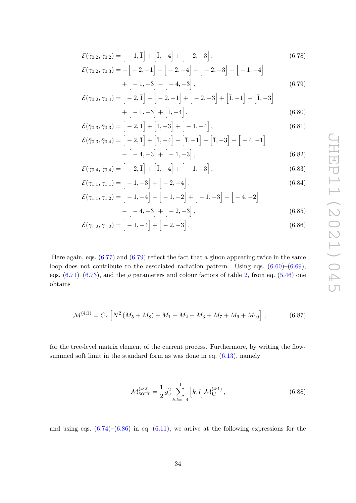$$
\mathcal{E}(\bar{\gamma}_{0,2}, \bar{\gamma}_{0,2}) = [-1, \bar{1}] + [\bar{1}, -4] + [-2, -3],
$$
\n
$$
\mathcal{E}(\bar{\gamma}_{0,2}, \bar{\gamma}_{0,3}) = -[-2, -1] + [-2, -4] + [-2, -3] + [-1, -4]
$$
\n
$$
+ [-1, -3] - [-4, -3],
$$
\n(6.79)

$$
\mathcal{E}(\bar{\gamma}_{0,2}, \bar{\gamma}_{0,4}) = \left[ -2, \bar{1} \right] - \left[ -2, -1 \right] + \left[ -2, -3 \right] + \left[ \bar{1}, -1 \right] - \left[ \bar{1}, -3 \right] + \left[ -1, -3 \right] + \left[ \bar{1}, -4 \right],
$$
\n(6.80)

$$
\mathcal{E}(\bar{\gamma}_{0,3}, \bar{\gamma}_{0,3}) = \left[ -2, \bar{1} \right] + \left[ \bar{1}, -3 \right] + \left[ -1, -4 \right],\tag{6.81}
$$

$$
\mathcal{E}(\bar{\gamma}_{0,3}, \bar{\gamma}_{0,4}) = \left[ -2, \bar{1} \right] + \left[ \bar{1}, -4 \right] - \left[ \bar{1}, -1 \right] + \left[ \bar{1}, -3 \right] + \left[ -4, -1 \right] -\left[ -4, -3 \right] + \left[ -1, -3 \right],
$$
\n(6.82)

<span id="page-35-1"></span><span id="page-35-0"></span>*,* (6.82)

$$
\mathcal{E}(\overline{\gamma}_{0,4}, \overline{\gamma}_{0,4}) = \left[ -2, \overline{1} \right] + \left[ \overline{1}, -4 \right] + \left[ -1, -3 \right],\tag{6.83}
$$

$$
\mathcal{E}(\bar{\gamma}_{1,1}, \bar{\gamma}_{1,1}) = [-1, -3] + [-2, -4],
$$
\n
$$
\mathcal{E}(\bar{\gamma}_{1,1}, \bar{\gamma}_{1,2}) = [-1, -4] - [-1, -2] + [-1, -3] + [-4, -2].
$$
\n(6.84)

$$
\mathcal{E}(\bar{\gamma}_{1,1}, \bar{\gamma}_{1,2}) = \left[ -1, -4 \right] - \left[ -1, -2 \right] + \left[ -1, -3 \right] + \left[ -4, -2 \right] \n- \left[ -4, -3 \right] + \left[ -2, -3 \right],
$$
\n(6.85)

$$
\mathcal{E}(\bar{\gamma}_{1,2}, \bar{\gamma}_{1,2}) = \left[ -1, -4 \right] + \left[ -2, -3 \right]. \tag{6.86}
$$

Here again, eqs.  $(6.77)$  and  $(6.79)$  reflect the fact that a gluon appearing twice in the same loop does not contribute to the associated radiation pattern. Using eqs.  $(6.60)$ – $(6.69)$ , eqs.  $(6.71)$ – $(6.73)$ , and the  $\rho$  parameters and colour factors of table [2,](#page-33-0) from eq. [\(5.46\)](#page-20-1) one obtains

$$
\mathcal{M}^{(4;1)} = C_F \left[ N^2 \left( M_5 + M_8 \right) + M_1 + M_2 + M_3 + M_7 + M_9 + M_{10} \right], \tag{6.87}
$$

for the tree-level matrix element of the current process. Furthermore, by writing the flowsummed soft limit in the standard form as was done in eq.  $(6.13)$ , namely

$$
\mathcal{M}_{\text{SOFT}}^{(4;2)} = \frac{1}{2} g_s^2 \sum_{k,l=-4}^1 \left[ k, l \right] \mathcal{M}_{kl}^{(4;1)}, \tag{6.88}
$$

and using eqs.  $(6.74)$ – $(6.86)$  in eq.  $(6.11)$ , we arrive at the following expressions for the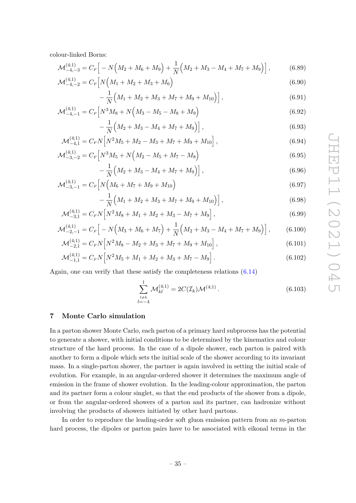colour-linked Borns:

$$
\mathcal{M}_{-4,-3}^{(4;1)} = C_F \Big[ -N \Big( M_2 + M_6 + M_9 \Big) + \frac{1}{N} \Big( M_2 + M_3 - M_4 + M_7 + M_9 \Big) \Big],\tag{6.89}
$$

$$
\mathcal{M}_{-4,-2}^{(4;1)} = C_F \left[ N \left( M_1 + M_2 + M_3 + M_6 \right) \right]
$$
\n(6.90)

<span id="page-36-0"></span>
$$
-\frac{1}{N}\left(M_1+M_2+M_3+M_7+M_9+M_{10}\right)\right],\tag{6.91}
$$

$$
\mathcal{M}_{-4,-1}^{(4;1)} = C_F \left[ N^3 M_8 + N \left( M_3 - M_5 - M_8 + M_9 \right) \right] \tag{6.92}
$$

$$
-\frac{1}{N}\left(M_2+M_3-M_4+M_7+M_9\right)\right],
$$
\n(6.93)

$$
\mathcal{M}_{-4,1}^{(4;1)} = C_F N \Big[ N^2 M_5 + M_2 - M_3 + M_7 + M_9 + M_{10} \Big],\tag{6.94}
$$

$$
\mathcal{M}_{-3,-2}^{(4;1)} = C_F \Big[ N^3 M_5 + N \Big( M_2 - M_5 + M_7 - M_8 \Big) \tag{6.95}
$$

$$
-\frac{1}{N}\left(M_2+M_3-M_4+M_7+M_9\right)\right],
$$
\n(6.96)

$$
\mathcal{M}_{-3,-1}^{(4;1)} = C_F \Big[ N \Big( M_6 + M_7 + M_9 + M_{10} \Big) \tag{6.97}
$$

$$
-\frac{1}{N}\Big(M_1+M_2+M_3+M_7+M_9+M_{10}\Big)\Big],\tag{6.98}
$$

$$
\mathcal{M}_{-3,1}^{(4;1)} = C_F N \Big[ N^2 M_8 + M_1 + M_2 + M_3 - M_7 + M_9 \Big],\tag{6.99}
$$

$$
\mathcal{M}_{-2,-1}^{(4;1)} = C_F \left[ -N \left( M_3 + M_6 + M_7 \right) + \frac{1}{N} \left( M_2 + M_3 - M_4 + M_7 + M_9 \right) \right],\tag{6.100}
$$

$$
\mathcal{M}_{-2,1}^{(4;1)} = C_F N \Big[ N^2 M_8 - M_2 + M_3 + M_7 + M_9 + M_{10} \Big],\tag{6.101}
$$

$$
\mathcal{M}_{-1,1}^{(4;1)} = C_F N \Big[ N^2 M_5 + M_1 + M_2 + M_3 + M_7 - M_9 \Big]. \tag{6.102}
$$

Again, one can verify that these satisfy the completeness relations  $(6.14)$ 

<span id="page-36-1"></span>
$$
\sum_{\substack{l \neq k \\ l=-4}}^{1} \mathcal{M}_{kl}^{(4;1)} = 2C(\mathcal{I}_k)\mathcal{M}^{(4;1)}.
$$
\n(6.103)

## <span id="page-36-2"></span>**7 Monte Carlo simulation**

In a parton shower Monte Carlo, each parton of a primary hard subprocess has the potential to generate a shower, with initial conditions to be determined by the kinematics and colour structure of the hard process. In the case of a dipole shower, each parton is paired with another to form a dipole which sets the initial scale of the shower according to its invariant mass. In a single-parton shower, the partner is again involved in setting the initial scale of evolution. For example, in an angular-ordered shower it determines the maximum angle of emission in the frame of shower evolution. In the leading-colour approximation, the parton and its partner form a colour singlet, so that the end products of the shower from a dipole, or from the angular-ordered showers of a parton and its partner, can hadronize without involving the products of showers initiated by other hard partons.

In order to reproduce the leading-order soft gluon emission pattern from an *m*-parton hard process, the dipoles or parton pairs have to be associated with eikonal terms in the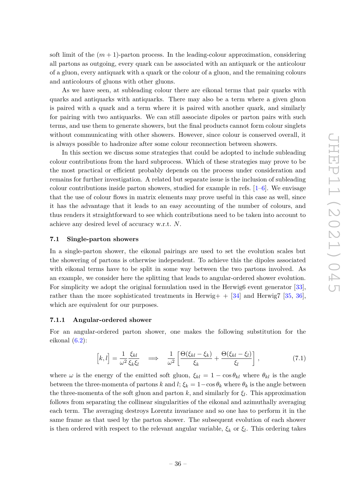soft limit of the  $(m+1)$ -parton process. In the leading-colour approximation, considering all partons as outgoing, every quark can be associated with an antiquark or the anticolour of a gluon, every antiquark with a quark or the colour of a gluon, and the remaining colours and anticolours of gluons with other gluons.

As we have seen, at subleading colour there are eikonal terms that pair quarks with quarks and antiquarks with antiquarks. There may also be a term where a given gluon is paired with a quark and a term where it is paired with another quark, and similarly for pairing with two antiquarks. We can still associate dipoles or parton pairs with such terms, and use them to generate showers, but the final products cannot form colour singlets without communicating with other showers. However, since colour is conserved overall, it is always possible to hadronize after some colour reconnection between showers.

In this section we discuss some strategies that could be adopted to include subleading colour contributions from the hard subprocess. Which of these strategies may prove to be the most practical or efficient probably depends on the process under consideration and remains for further investigation. A related but separate issue is the inclusion of subleading colour contributions inside parton showers, studied for example in refs.  $[1-6]$  $[1-6]$ . We envisage that the use of colour flows in matrix elements may prove useful in this case as well, since it has the advantage that it leads to an easy accounting of the number of colours, and thus renders it straightforward to see which contributions need to be taken into account to achieve any desired level of accuracy w.r.t. *N*.

#### **7.1 Single-parton showers**

In a single-parton shower, the eikonal pairings are used to set the evolution scales but the showering of partons is otherwise independent. To achieve this the dipoles associated with eikonal terms have to be split in some way between the two partons involved. As an example, we consider here the splitting that leads to angular-ordered shower evolution. For simplicity we adopt the original formulation used in the Herwig6 event generator [\[33\]](#page-74-0), rather than the more sophisticated treatments in Herwig+  $+$  [\[34\]](#page-74-1) and Herwig7 [\[35,](#page-74-2) [36\]](#page-75-0), which are equivalent for our purposes.

### <span id="page-37-1"></span>**7.1.1 Angular-ordered shower**

For an angular-ordered parton shower, one makes the following substitution for the eikonal  $(6.2)$ :

<span id="page-37-0"></span>
$$
\[k,l\] = \frac{1}{\omega^2} \frac{\xi_{kl}}{\xi_k \xi_l} \quad \Longrightarrow \quad \frac{1}{\omega^2} \left[ \frac{\Theta(\xi_{kl} - \xi_k)}{\xi_k} + \frac{\Theta(\xi_{kl} - \xi_l)}{\xi_l} \right],\tag{7.1}
$$

where  $\omega$  is the energy of the emitted soft gluon,  $\xi_{kl} = 1 - \cos \theta_{kl}$  where  $\theta_{kl}$  is the angle between the three-momenta of partons *k* and *l*;  $\xi_k = 1 - \cos \theta_k$  where  $\theta_k$  is the angle between the three-momenta of the soft gluon and parton *k*, and similarly for *ξ<sup>l</sup>* . This approximation follows from separating the collinear singularities of the eikonal and azimuthally averaging each term. The averaging destroys Lorentz invariance and so one has to perform it in the same frame as that used by the parton shower. The subsequent evolution of each shower is then ordered with respect to the relevant angular variable, *ξ<sup>k</sup>* or *ξ<sup>l</sup>* . This ordering takes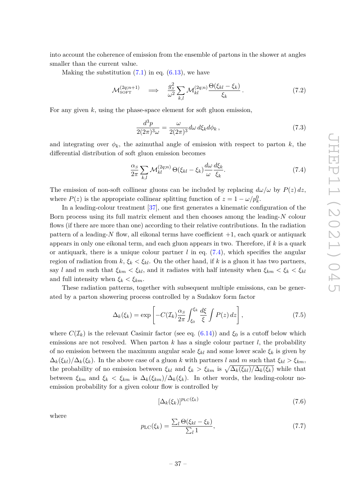into account the coherence of emission from the ensemble of partons in the shower at angles smaller than the current value.

Making the substitution  $(7.1)$  in eq.  $(6.13)$ , we have

$$
\mathcal{M}_{\text{SOFT}}^{(2q;n+1)} \quad \Longrightarrow \quad \frac{g_S^2}{\omega^2} \sum_{k,l} \mathcal{M}_{kl}^{(2q;n)} \frac{\Theta(\xi_{kl} - \xi_k)}{\xi_k} \,. \tag{7.2}
$$

For any given *k*, using the phase-space element for soft gluon emission,

$$
\frac{d^3p}{2(2\pi)^3\omega} = \frac{\omega}{2(2\pi)^3} d\omega \, d\xi_k d\phi_k \,,\tag{7.3}
$$

and integrating over  $\phi_k$ , the azimuthal angle of emission with respect to parton k, the differential distribution of soft gluon emission becomes

<span id="page-38-0"></span>
$$
\frac{\alpha_S}{2\pi} \sum_{k,l} \mathcal{M}_{kl}^{(2q;n)} \Theta(\xi_{kl} - \xi_k) \frac{d\omega}{\omega} \frac{d\xi_k}{\xi_k}.
$$
\n(7.4)

The emission of non-soft collinear gluons can be included by replacing  $d\omega/\omega$  by  $P(z) dz$ , where  $P(z)$  is the appropriate collinear splitting function of  $z = 1 - \omega/p_k^0$ .

In a leading-colour treatment [\[37\]](#page-75-1), one first generates a kinematic configuration of the Born process using its full matrix element and then chooses among the leading-*N* colour flows (if there are more than one) according to their relative contributions. In the radiation pattern of a leading- $N$  flow, all eikonal terms have coefficient  $+1$ , each quark or antiquark appears in only one eikonal term, and each gluon appears in two. Therefore, if *k* is a quark or antiquark, there is a unique colour partner  $l$  in eq.  $(7.4)$ , which specifies the angular region of radiation from  $k, \xi_k \leq \xi_{kl}$ . On the other hand, if k is a gluon it has two partners, say *l* and *m* such that  $\xi_{km} < \xi_{kl}$ , and it radiates with half intensity when  $\xi_{km} < \xi_k < \xi_{kl}$ and full intensity when  $\xi_k < \xi_{km}$ .

These radiation patterns, together with subsequent multiple emissions, can be generated by a parton showering process controlled by a Sudakov form factor

$$
\Delta_k(\xi_k) = \exp\left[-C(\mathcal{I}_k)\frac{\alpha_s}{2\pi} \int_{\xi_0}^{\xi_k} \frac{d\xi}{\xi} \int P(z) \, dz\right],\tag{7.5}
$$

where  $C(\mathcal{I}_k)$  is the relevant Casimir factor (see eq. [\(6.14\)](#page-28-0)) and  $\xi_0$  is a cutoff below which emissions are not resolved. When parton *k* has a single colour partner *l*, the probability of no emission between the maximum angular scale *ξkl* and some lower scale *ξ<sup>k</sup>* is given by  $\Delta_k(\xi_{kl})/\Delta_k(\xi_k)$ . In the above case of a gluon *k* with partners *l* and *m* such that  $\xi_{kl} > \xi_{km}$ , the probability of no emission between  $\xi_{kl}$  and  $\xi_k > \xi_{km}$  is  $\sqrt{\Delta_k(\xi_{kl})/\Delta_k(\xi_k)}$  while that between  $\xi_{km}$  and  $\xi_k < \xi_{km}$  is  $\Delta_k(\xi_{km})/\Delta_k(\xi_k)$ . In other words, the leading-colour noemission probability for a given colour flow is controlled by

$$
\left[\Delta_k(\xi_k)\right]^{p_{\rm LC}(\xi_k)}\tag{7.6}
$$

where

<span id="page-38-1"></span>
$$
p_{\rm LC}(\xi_k) = \frac{\sum_l \Theta(\xi_{kl} - \xi_k)}{\sum_l 1},\tag{7.7}
$$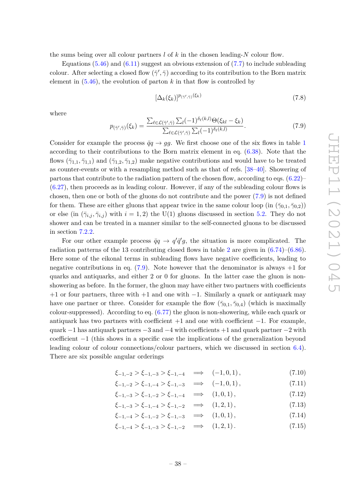the sums being over all colour partners  $l$  of  $k$  in the chosen leading- $N$  colour flow.

Equations  $(5.46)$  and  $(6.11)$  suggest an obvious extension of  $(7.7)$  to include subleading colour. After selecting a closed flow  $(\bar{\gamma}', \bar{\gamma})$  according to its contribution to the Born matrix element in  $(5.46)$ , the evolution of parton  $k$  in that flow is controlled by

$$
[\Delta_k(\xi_k)]^{p_{(\bar{\gamma}',\bar{\gamma})}(\xi_k)}\tag{7.8}
$$

where

<span id="page-39-0"></span>
$$
p_{(\bar{\gamma}', \bar{\gamma})}(\xi_k) = \frac{\sum_{\ell \in \mathcal{L}(\bar{\gamma}', \bar{\gamma})} \sum_l (-1)^{\delta_\ell(k, l)} \Theta(\xi_{kl} - \xi_k)}{\sum_{\ell \in \mathcal{L}(\bar{\gamma}', \bar{\gamma})} \sum_l (-1)^{\delta_\ell(k, l)}}.
$$
(7.9)

Consider for example the process  $\bar{q}q \rightarrow gg$ . We first choose one of the six flows in table [1](#page-30-0) according to their contributions to the Born matrix element in eq. [\(6.38\)](#page-31-0). Note that the flows  $(\bar{\gamma}_{1,1}, \bar{\gamma}_{1,1})$  and  $(\bar{\gamma}_{1,2}, \bar{\gamma}_{1,2})$  make negative contributions and would have to be treated as counter-events or with a resampling method such as that of refs. [\[38](#page-75-2)[–40\]](#page-75-3). Showering of partons that contribute to the radiation pattern of the chosen flow, according to eqs. [\(6.22\)](#page-30-1)–  $(6.27)$ , then proceeds as in leading colour. However, if any of the subleading colour flows is chosen, then one or both of the gluons do not contribute and the power [\(7.9\)](#page-39-0) is not defined for them. These are either gluons that appear twice in the same colour loop (in  $(\bar{\gamma}_{0,1}, \bar{\gamma}_{0,2})$ ) or else (in  $(\bar{\gamma}_{i,j}, \bar{\gamma}_{i,j})$  with  $i = 1, 2$ ) the U(1) gluons discussed in section [5.2.](#page-13-0) They do not shower and can be treated in a manner similar to the self-connected gluons to be discussed in section [7.2.2.](#page-42-0)

For our other example process  $\bar{q}q \rightarrow q'\bar{q}'g$ , the situation is more complicated. The radiation patterns of the 13 contributing closed flows in table [2](#page-33-0) are given in  $(6.74)$ – $(6.86)$ . Here some of the eikonal terms in subleading flows have negative coefficients, leading to negative contributions in eq.  $(7.9)$ . Note however that the denominator is always  $+1$  for quarks and antiquarks, and either 2 or 0 for gluons. In the latter case the gluon is nonshowering as before. In the former, the gluon may have either two partners with coefficients  $+1$  or four partners, three with  $+1$  and one with  $-1$ . Similarly a quark or antiquark may have one partner or three. Consider for example the flow  $(\bar{\gamma}_{0,1}, \bar{\gamma}_{0,4})$  (which is maximally colour-suppressed). According to eq. [\(6.77\)](#page-34-1) the gluon is non-showering, while each quark or antiquark has two partners with coefficient  $+1$  and one with coefficient  $-1$ . For example, quark  $-1$  has antiquark partners  $-3$  and  $-4$  with coefficients  $+1$  and quark partner  $-2$  with coefficient −1 (this shows in a specific case the implications of the generalization beyond leading colour of colour connections/colour partners, which we discussed in section [6.4\)](#page-29-0). There are six possible angular orderings

$$
\xi_{-1,-2} > \xi_{-1,-3} > \xi_{-1,-4} \quad \Longrightarrow \quad (-1,0,1) \,, \tag{7.10}
$$

$$
\xi_{-1,-2} > \xi_{-1,-4} > \xi_{-1,-3} \implies (-1,0,1), \tag{7.11}
$$

$$
\xi_{-1,-3} > \xi_{-1,-2} > \xi_{-1,-4} \implies (1,0,1), \tag{7.12}
$$

$$
\xi_{-1,-3} > \xi_{-1,-4} > \xi_{-1,-2} \quad \Longrightarrow \quad (1,2,1) \,, \tag{7.13}
$$

$$
\xi_{-1,-4} > \xi_{-1,-2} > \xi_{-1,-3} \quad \Longrightarrow \quad (1,0,1) \,, \tag{7.14}
$$

 $\xi_{-1,-4} > \xi_{-1,-3} > \xi_{-1,-2} \implies (1,2,1).$  (7.15)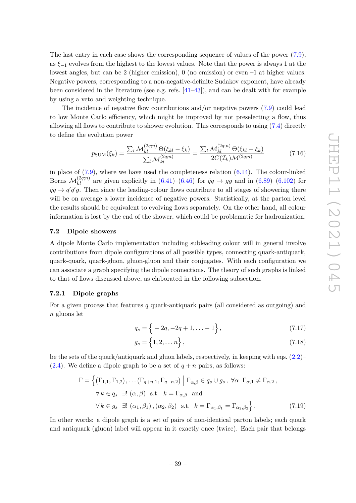The last entry in each case shows the corresponding sequence of values of the power [\(7.9\)](#page-39-0), as  $\xi_{-1}$  evolves from the highest to the lowest values. Note that the power is always 1 at the lowest angles, but can be 2 (higher emission), 0 (no emission) or even –1 at higher values. Negative powers, corresponding to a non-negative-definite Sudakov exponent, have already been considered in the literature (see e.g. refs. [\[41](#page-75-4)[–43\]](#page-75-5)), and can be dealt with for example by using a veto and weighting technique.

The incidence of negative flow contributions and/or negative powers [\(7.9\)](#page-39-0) could lead to low Monte Carlo efficiency, which might be improved by not preselecting a flow, thus allowing all flows to contribute to shower evolution. This corresponds to using [\(7.4\)](#page-38-0) directly to define the evolution power

$$
p_{\text{SUM}}(\xi_k) = \frac{\sum_{l} \mathcal{M}_{kl}^{(2q;n)} \Theta(\xi_{kl} - \xi_k)}{\sum_{l} \mathcal{M}_{kl}^{(2q;n)}} = \frac{\sum_{l} \mathcal{M}_{kl}^{(2q;n)} \Theta(\xi_{kl} - \xi_k)}{2C(\mathcal{I}_k)\mathcal{M}^{(2q;n)}} \tag{7.16}
$$

in place of  $(7.9)$ , where we have used the completeness relation  $(6.14)$ . The colour-linked Borns  $\mathcal{M}_{kl}^{(2q;n)}$  are given explicitly in [\(6.41\)](#page-32-0)–[\(6.46\)](#page-32-1) for  $\bar{q}q \to gg$  and in [\(6.89\)](#page-36-0)–[\(6.102\)](#page-36-1) for  $\bar{q}q \rightarrow q'\bar{q}'g$ . Then since the leading-colour flows contribute to all stages of showering there will be on average a lower incidence of negative powers. Statistically, at the parton level the results should be equivalent to evolving flows separately. On the other hand, all colour information is lost by the end of the shower, which could be problematic for hadronization.

## **7.2 Dipole showers**

A dipole Monte Carlo implementation including subleading colour will in general involve contributions from dipole configurations of all possible types, connecting quark-antiquark, quark-quark, quark-gluon, gluon-gluon and their conjugates. With each configuration we can associate a graph specifying the dipole connections. The theory of such graphs is linked to that of flows discussed above, as elaborated in the following subsection.

## <span id="page-40-1"></span>**7.2.1 Dipole graphs**

For a given process that features *q* quark-antiquark pairs (all considered as outgoing) and *n* gluons let

$$
q_s = \left\{ -2q, -2q+1, \ldots -1 \right\},\tag{7.17}
$$

<span id="page-40-0"></span>
$$
g_s = \left\{1, 2, \dots n\right\},\tag{7.18}
$$

be the sets of the quark/antiquark and gluon labels, respectively, in keeping with eqs.  $(2.2)$ – [\(2.4\)](#page-4-1). We define a dipole graph to be a set of  $q + n$  pairs, as follows:

$$
\Gamma = \left\{ (\Gamma_{1,1}, \Gamma_{1,2}), \dots (\Gamma_{q+n,1}, \Gamma_{q+n,2}) \middle| \Gamma_{\alpha,\beta} \in q_s \cup g_s, \forall \alpha \ \Gamma_{\alpha,1} \neq \Gamma_{\alpha,2}, \right\}
$$
  
\n
$$
\forall k \in q_s \ \exists! \ (\alpha, \beta) \ \text{s.t.} \ k = \Gamma_{\alpha,\beta} \ \text{and}
$$
  
\n
$$
\forall k \in g_s \ \exists! \ (\alpha_1, \beta_1), (\alpha_2, \beta_2) \ \text{s.t.} \ k = \Gamma_{\alpha_1, \beta_1} = \Gamma_{\alpha_2, \beta_2} \right\}.
$$
 (7.19)

In other words: a dipole graph is a set of pairs of non-identical parton labels; each quark and antiquark (gluon) label will appear in it exactly once (twice). Each pair that belongs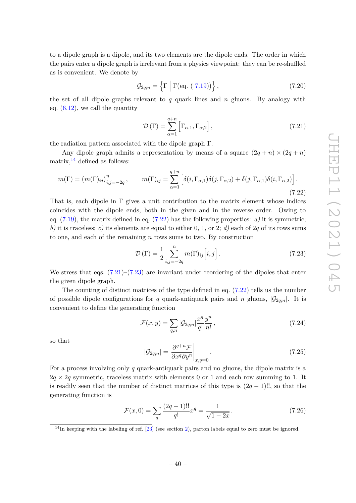to a dipole graph is a dipole, and its two elements are the dipole ends. The order in which the pairs enter a dipole graph is irrelevant from a physics viewpoint: they can be re-shuffled as is convenient. We denote by

$$
\mathcal{G}_{2q;n} = \left\{ \Gamma \mid \Gamma(\text{eq. (7.19)}) \right\},\tag{7.20}
$$

the set of all dipole graphs relevant to *q* quark lines and *n* gluons. By analogy with eq.  $(6.12)$ , we call the quantity

<span id="page-41-2"></span>
$$
\mathcal{D}\left(\Gamma\right) = \sum_{\alpha=1}^{q+n} \left[\Gamma_{\alpha,1}, \Gamma_{\alpha,2}\right],\tag{7.21}
$$

the radiation pattern associated with the dipole graph Γ.

Any dipole graph admits a representation by means of a square  $(2q + n) \times (2q + n)$ matrix, $^{14}$  $^{14}$  $^{14}$  defined as follows:

<span id="page-41-1"></span>
$$
m(\Gamma) = (m(\Gamma)_{ij})_{i,j=-2q}^n, \qquad m(\Gamma)_{ij} = \sum_{\alpha=1}^{q+n} \left[ \delta(i, \Gamma_{\alpha,1}) \delta(j, \Gamma_{\alpha,2}) + \delta(j, \Gamma_{\alpha,1}) \delta(i, \Gamma_{\alpha,2}) \right].
$$
\n(7.22)

That is, each dipole in  $\Gamma$  gives a unit contribution to the matrix element whose indices coincides with the dipole ends, both in the given and in the reverse order. Owing to eq.  $(7.19)$ , the matrix defined in eq.  $(7.22)$  has the following properties: *a)* it is symmetric; *b)* it is traceless; *c)* its elements are equal to either 0, 1, or 2; *d)* each of 2*q* of its rows sums to one, and each of the remaining *n* rows sums to two. By construction

<span id="page-41-3"></span>
$$
\mathcal{D}\left(\Gamma\right) = \frac{1}{2} \sum_{i,j=-2q}^{n} m(\Gamma)_{ij} \left[i,j\right].
$$
\n(7.23)

We stress that eqs.  $(7.21)$ – $(7.23)$  are invariant under reordering of the dipoles that enter the given dipole graph.

The counting of distinct matrices of the type defined in eq. [\(7.22\)](#page-41-1) tells us the number of possible dipole configurations for *q* quark-antiquark pairs and *n* gluons,  $|\mathcal{G}_{2*n*}|$ . It is convenient to define the generating function

$$
\mathcal{F}(x,y) = \sum_{q,n} |\mathcal{G}_{2q;n}| \frac{x^q}{q!} \frac{y^n}{n!},
$$
\n(7.24)

so that

$$
|\mathcal{G}_{2q;n}| = \left. \frac{\partial^{q+n} \mathcal{F}}{\partial x^q \partial y^n} \right|_{x,y=0}.
$$
\n(7.25)

For a process involving only *q* quark-antiquark pairs and no gluons, the dipole matrix is a  $2q \times 2q$  symmetric, traceless matrix with elements 0 or 1 and each row summing to 1. It is readily seen that the number of distinct matrices of this type is (2*q* − 1)!!, so that the generating function is

$$
\mathcal{F}(x,0) = \sum_{q} \frac{(2q-1)!!}{q!} x^q = \frac{1}{\sqrt{1-2x}}.\tag{7.26}
$$

<span id="page-41-0"></span> $14$ In keeping with the labeling of ref. [\[23\]](#page-74-3) (see section [2\)](#page-4-2), parton labels equal to zero must be ignored.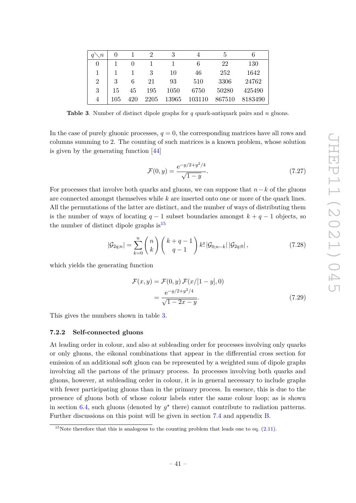|                |     |     | 2    | 3     |        | 5      |         |
|----------------|-----|-----|------|-------|--------|--------|---------|
| $\theta$       |     |     |      |       | 6      | 22     | 130     |
| 1              |     |     | 3    | 10    | 46     | 252    | 1642    |
| $\overline{2}$ | 3   |     | 21   | 93    | 510    | 3306   | 24762   |
| 3              | 15  | 45  | 195  | 1050  | 6750   | 50280  | 425490  |
| 4              | 105 | 420 | 2205 | 13965 | 103110 | 867510 | 8183490 |

<span id="page-42-2"></span>**Table 3**. Number of distinct dipole graphs for *q* quark-antiquark pairs and *n* gluons.

In the case of purely gluonic processes,  $q = 0$ , the corresponding matrices have all rows and columns summing to 2. The counting of such matrices is a known problem, whose solution is given by the generating function [\[44\]](#page-75-6)

$$
\mathcal{F}(0, y) = \frac{e^{-y/2 + y^2/4}}{\sqrt{1 - y}}.
$$
\n(7.27)

For processes that involve both quarks and gluons, we can suppose that *n*−*k* of the gluons are connected amongst themselves while *k* are inserted onto one or more of the quark lines. All the permutations of the latter are distinct, and the number of ways of distributing them is the number of ways of locating  $q - 1$  subset boundaries amongst  $k + q - 1$  objects, so the number of distinct dipole graphs is  $15$ 

$$
|\mathcal{G}_{2q;n}| = \sum_{k=0}^{n} {n \choose k} {k+q-1 \choose q-1} k! |\mathcal{G}_{0;n-k}| |\mathcal{G}_{2q;0}|,
$$
\n(7.28)

which yields the generating function

$$
\mathcal{F}(x, y) = \mathcal{F}(0, y) \mathcal{F}(x/[1 - y], 0)
$$

$$
= \frac{e^{-y/2 + y^2/4}}{\sqrt{1 - 2x - y}}.
$$
(7.29)

This gives the numbers shown in table [3.](#page-42-2)

# <span id="page-42-0"></span>**7.2.2 Self-connected gluons**

At leading order in colour, and also at subleading order for processes involving only quarks or only gluons, the eikonal combinations that appear in the differential cross section for emission of an additional soft gluon can be represented by a weighted sum of dipole graphs involving all the partons of the primary process. In processes involving both quarks and gluons, however, at subleading order in colour, it is in general necessary to include graphs with fewer participating gluons than in the primary process. In essence, this is due to the presence of gluons both of whose colour labels enter the same colour loop; as is shown in section [6.4,](#page-29-0) such gluons (denoted by  $g^*$  there) cannot contribute to radiation patterns. Further discussions on this point will be given in section [7.4](#page-47-0) and appendix [B.](#page-65-0)

<span id="page-42-1"></span><sup>&</sup>lt;sup>15</sup>Note therefore that this is analogous to the counting problem that leads one to eq.  $(2.11)$ .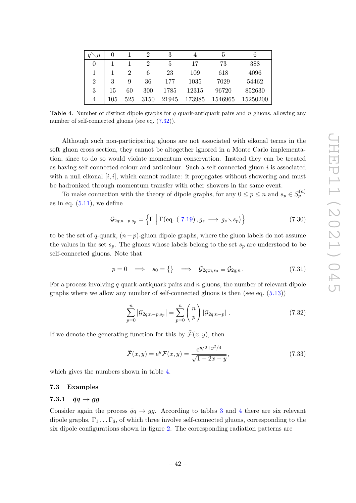| $\langle n$    | O   |                | 2                           | 3     | 4      | 5       | n        |
|----------------|-----|----------------|-----------------------------|-------|--------|---------|----------|
| 0              |     |                | $\mathcal{D}_{\mathcal{L}}$ | 5     | 17     | 73      | 388      |
|                |     | $\overline{2}$ | 6                           | 23    | 109    | 618     | 4096     |
| $\overline{2}$ | 3   | 9              | 36                          | 177   | 1035   | 7029    | 54462    |
| 3              | 15  | 60             | 300                         | 1785  | 12315  | 96720   | 852630   |
| $\overline{4}$ | 105 | 525            | 3150                        | 21945 | 173985 | 1546965 | 15250200 |

<span id="page-43-1"></span>**Table 4**. Number of distinct dipole graphs for *q* quark-antiquark pairs and *n* gluons, allowing any number of self-connected gluons (see eq.  $(7.32)$ ).

Although such non-participating gluons are not associated with eikonal terms in the soft gluon cross section, they cannot be altogether ignored in a Monte Carlo implementation, since to do so would violate momentum conservation. Instead they can be treated as having self-connected colour and anticolour. Such a self-connected gluon *i* is associated with a null eikonal  $[i, i]$ , which cannot radiate: it propagates without showering and must be hadronized through momentum transfer with other showers in the same event.

To make connection with the theory of dipole graphs, for any  $0 \le p \le n$  and  $s_p \in S_p^{(n)}$ as in eq.  $(5.11)$ , we define

$$
\mathcal{G}_{2q;n-p,s_p} = \left\{ \Gamma \mid \Gamma(\text{eq. } (7.19), g_s \longrightarrow g_s \searrow s_p) \right\} \tag{7.30}
$$

to be the set of *q*-quark, (*n*−*p*)-gluon dipole graphs, where the gluon labels do not assume the values in the set  $s_p$ . The gluons whose labels belong to the set  $s_p$  are understood to be self-connected gluons. Note that

$$
p = 0 \implies s_0 = \{\} \implies \mathcal{G}_{2q;n,s_0} \equiv \mathcal{G}_{2q;n}.
$$
 (7.31)

For a process involving *q* quark-antiquark pairs and *n* gluons, the number of relevant dipole graphs where we allow any number of self-connected gluons is then (see eq. [\(5.13\)](#page-14-1))

<span id="page-43-0"></span>
$$
\sum_{p=0}^{n} |\mathcal{G}_{2q;n-p,s_p}| = \sum_{p=0}^{n} {n \choose p} |\mathcal{G}_{2q;n-p}|.
$$
\n(7.32)

If we denote the generating function for this by  $\widetilde{\mathcal{F}}(x, y)$ , then

$$
\tilde{\mathcal{F}}(x,y) = e^y \mathcal{F}(x,y) = \frac{e^{y/2 + y^2/4}}{\sqrt{1 - 2x - y}},
$$
\n(7.33)

which gives the numbers shown in table [4.](#page-43-1)

## <span id="page-43-2"></span>**7.3 Examples**

# <span id="page-43-3"></span>**7.3.1**  $\bar{q}q \rightarrow gg$

Consider again the process  $\bar{q}q \rightarrow gg$ . According to tables [3](#page-42-2) and [4](#page-43-1) there are six relevant dipole graphs,  $\Gamma_1 \ldots \Gamma_6$ , of which three involve self-connected gluons, corresponding to the six dipole configurations shown in figure [2.](#page-44-0) The corresponding radiation patterns are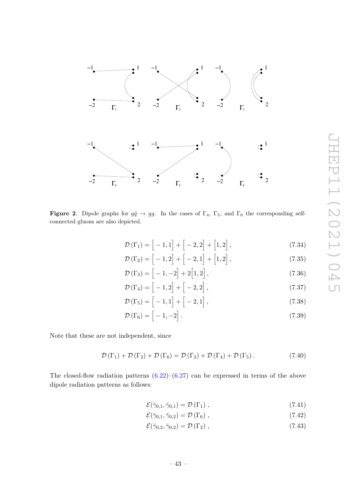

<span id="page-44-0"></span>**Figure 2.** Dipole graphs for  $q\bar{q} \rightarrow gg$ . In the cases of  $\Gamma_4$ ,  $\Gamma_5$ , and  $\Gamma_6$  the corresponding selfconnected gluons are also depicted.

$$
\mathcal{D}\left(\Gamma_{1}\right) = \left[-1,1\right] + \left[-2,2\right] + \left[1,2\right],\tag{7.34}
$$

$$
\mathcal{D}\left(\Gamma_{2}\right) = \left[-1,2\right] + \left[-2,1\right] + \left[1,2\right],\tag{7.35}
$$

$$
\mathcal{D}\left(\Gamma_{3}\right) = \left[-1, -2\right] + 2\left[1, 2\right],\tag{7.36}
$$

$$
\mathcal{D}\left(\Gamma_4\right) = \left[-1, 2\right] + \left[-2, 2\right],\tag{7.37}
$$

$$
\mathcal{D}\left(\Gamma_5\right) = \left[-1, 1\right] + \left[-2, 1\right],\tag{7.38}
$$

$$
\mathcal{D}\left(\Gamma_6\right) = \left[-1, -2\right].\tag{7.39}
$$

Note that these are not independent, since

<span id="page-44-1"></span>
$$
\mathcal{D}(\Gamma_1) + \mathcal{D}(\Gamma_2) + \mathcal{D}(\Gamma_6) = \mathcal{D}(\Gamma_3) + \mathcal{D}(\Gamma_4) + \mathcal{D}(\Gamma_5).
$$
\n(7.40)

The closed-flow radiation patterns  $(6.22)$ – $(6.27)$  can be expressed in terms of the above dipole radiation patterns as follows:

$$
\mathcal{E}(\bar{\gamma}_{0,1}, \bar{\gamma}_{0,1}) = \mathcal{D}(\Gamma_1) \tag{7.41}
$$

$$
\mathcal{E}(\bar{\gamma}_{0,1}, \bar{\gamma}_{0,2}) = \mathcal{D}(\Gamma_6) , \qquad (7.42)
$$

$$
\mathcal{E}(\bar{\gamma}_{0,2}, \bar{\gamma}_{0,2}) = \mathcal{D}(\Gamma_2) , \qquad (7.43)
$$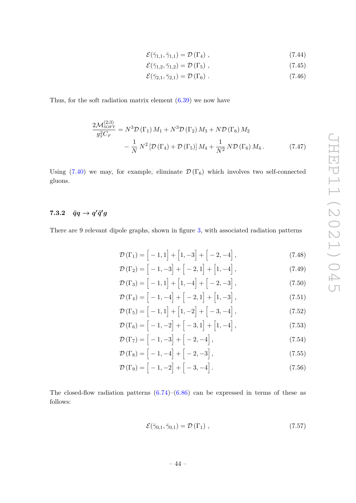$$
\mathcal{E}(\bar{\gamma}_{1,1}, \bar{\gamma}_{1,1}) = \mathcal{D}(\Gamma_4) \tag{7.44}
$$

$$
\mathcal{E}(\bar{\gamma}_{1,2}, \bar{\gamma}_{1,2}) = \mathcal{D}(\Gamma_5) \tag{7.45}
$$

<span id="page-45-0"></span>
$$
\mathcal{E}(\bar{\gamma}_{2,1}, \bar{\gamma}_{2,1}) = \mathcal{D}(\Gamma_6) \tag{7.46}
$$

Thus, for the soft radiation matrix element  $(6.39)$  we now have

$$
\frac{2\mathcal{M}_{\text{SOFT}}^{(2;3)}}{g_S^2 C_F} = N^3 \mathcal{D}(\Gamma_1) M_1 + N^3 \mathcal{D}(\Gamma_2) M_3 + N \mathcal{D}(\Gamma_6) M_2 \n- \frac{1}{N} N^2 \left[ \mathcal{D}(\Gamma_4) + \mathcal{D}(\Gamma_5) \right] M_4 + \frac{1}{N^2} N \mathcal{D}(\Gamma_6) M_4.
$$
\n(7.47)

Using [\(7.40\)](#page-44-1) we may, for example, eliminate  $\mathcal{D}(\Gamma_6)$  which involves two self-connected gluons.

# $\bar{q}q \rightarrow q'\bar{q}'g$

There are 9 relevant dipole graphs, shown in figure [3,](#page-46-0) with associated radiation patterns

$$
\mathcal{D}(\Gamma_1) = \left[ -1, 1 \right] + \left[ 1, -3 \right] + \left[ -2, -4 \right],\tag{7.48}
$$

$$
\mathcal{D}\left(\Gamma_{2}\right) = \left[-1, -3\right] + \left[-2, 1\right] + \left[1, -4\right],\tag{7.49}
$$

$$
\mathcal{D}(\Gamma_3) = [-1, 1] + [1, -4] + [-2, -3],
$$
\n
$$
\mathcal{D}(\Gamma_1) = [-1, -4] + [-2, 1] + [1, -3]
$$
\n(7.50)

$$
\mathcal{D}(\Gamma_4) = [-1, -4] + [-2, 1] + [1, -3],
$$
\n(7.51)  
\n
$$
\mathcal{D}(\Gamma_5) = [-1, 1] + [1, -2] + [-3, -4],
$$
\n(7.52)

$$
\mathcal{D}(\Gamma_6) = \begin{bmatrix} -1, 1 \end{bmatrix} + \begin{bmatrix} 1, -2 \end{bmatrix} + \begin{bmatrix} -3, -4 \end{bmatrix},
$$
(7.52)  

$$
\mathcal{D}(\Gamma_6) = \begin{bmatrix} -1, -2 \end{bmatrix} + \begin{bmatrix} -3, 1 \end{bmatrix} + \begin{bmatrix} 1, -4 \end{bmatrix},
$$
(7.53)

$$
\mathcal{D}\left(\Gamma_{7}\right) = \left[-1, -3\right] + \left[-2, -4\right],\tag{7.54}
$$

$$
\mathcal{D}\left(\Gamma_8\right) = \left[-1, -4\right] + \left[-2, -3\right],\tag{7.55}
$$

$$
\mathcal{D}\left(\Gamma_9\right) = \left[-1, -2\right] + \left[-3, -4\right].\tag{7.56}
$$

The closed-flow radiation patterns  $(6.74)$ – $(6.86)$  can be expressed in terms of these as follows:

$$
\mathcal{E}(\bar{\gamma}_{0,1}, \bar{\gamma}_{0,1}) = \mathcal{D}(\Gamma_1) \tag{7.57}
$$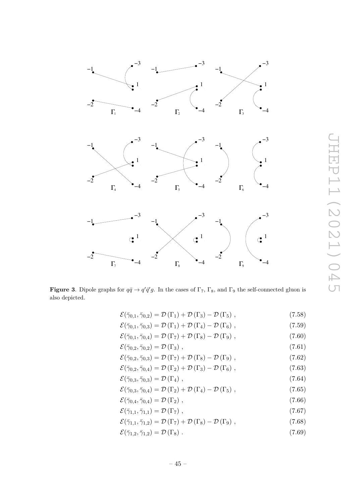

<span id="page-46-0"></span>**Figure 3.** Dipole graphs for  $q\bar{q} \to q'\bar{q}'g$ . In the cases of  $\Gamma_7$ ,  $\Gamma_8$ , and  $\Gamma_9$  the self-connected gluon is also depicted.

| $\mathcal{E}(\bar{\gamma}_{0,1}, \bar{\gamma}_{0,2}) = \mathcal{D}(\Gamma_1) + \mathcal{D}(\Gamma_3) - \mathcal{D}(\Gamma_5),$  | (7.58) |
|---------------------------------------------------------------------------------------------------------------------------------|--------|
| $\mathcal{E}(\bar{\gamma}_{0,1}, \bar{\gamma}_{0,3}) = \mathcal{D}(\Gamma_1) + \mathcal{D}(\Gamma_4) - \mathcal{D}(\Gamma_6),$  | (7.59) |
| $\mathcal{E}(\bar{\gamma}_{0,1}, \bar{\gamma}_{0,4}) = \mathcal{D}(\Gamma_7) + \mathcal{D}(\Gamma_8) - \mathcal{D}(\Gamma_9) ,$ | (7.60) |
| $\mathcal{E}(\bar{\gamma}_{0,2}, \bar{\gamma}_{0,2}) = \mathcal{D}(\Gamma_3)$ ,                                                 | (7.61) |
| $\mathcal{E}(\bar{\gamma}_{0,2}, \bar{\gamma}_{0,3}) = \mathcal{D}(\Gamma_7) + \mathcal{D}(\Gamma_8) - \mathcal{D}(\Gamma_9) ,$ | (7.62) |
| $\mathcal{E}(\bar{\gamma}_{0,2}, \bar{\gamma}_{0,4}) = \mathcal{D}(\Gamma_2) + \mathcal{D}(\Gamma_3) - \mathcal{D}(\Gamma_6),$  | (7.63) |
| $\mathcal{E}(\bar{\gamma}_{0,3}, \bar{\gamma}_{0,3}) = \mathcal{D}(\Gamma_4)$ ,                                                 | (7.64) |
| $\mathcal{E}(\bar{\gamma}_{0,3}, \bar{\gamma}_{0,4}) = \mathcal{D}(\Gamma_2) + \mathcal{D}(\Gamma_4) - \mathcal{D}(\Gamma_5),$  | (7.65) |
| $\mathcal{E}(\bar{\gamma}_{0,4}, \bar{\gamma}_{0,4}) = \mathcal{D}(\Gamma_2)$ ,                                                 | (7.66) |
| $\mathcal{E}(\bar{\gamma}_{1,1}, \bar{\gamma}_{1,1}) = \mathcal{D}(\Gamma_7)$ ,                                                 | (7.67) |
| $\mathcal{E}(\bar{\gamma}_{1,1}, \bar{\gamma}_{1,2}) = \mathcal{D}(\Gamma_7) + \mathcal{D}(\Gamma_8) - \mathcal{D}(\Gamma_9) ,$ | (7.68) |
| $\mathcal{E}(\bar{\gamma}_{1,2}, \bar{\gamma}_{1,2}) = \mathcal{D}(\Gamma_8)$ .                                                 | (7.69) |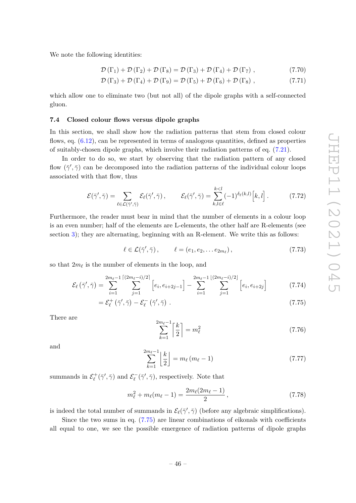We note the following identities:

$$
\mathcal{D}(\Gamma_1) + \mathcal{D}(\Gamma_2) + \mathcal{D}(\Gamma_8) = \mathcal{D}(\Gamma_3) + \mathcal{D}(\Gamma_4) + \mathcal{D}(\Gamma_7), \qquad (7.70)
$$

$$
\mathcal{D}(\Gamma_3) + \mathcal{D}(\Gamma_4) + \mathcal{D}(\Gamma_9) = \mathcal{D}(\Gamma_5) + \mathcal{D}(\Gamma_6) + \mathcal{D}(\Gamma_8), \qquad (7.71)
$$

which allow one to eliminate two (but not all) of the dipole graphs with a self-connected gluon.

#### <span id="page-47-0"></span>**7.4 Closed colour flows versus dipole graphs**

In this section, we shall show how the radiation patterns that stem from closed colour flows, eq.  $(6.12)$ , can be represented in terms of analogous quantities, defined as properties of suitably-chosen dipole graphs, which involve their radiation patterns of eq. [\(7.21\)](#page-41-2).

In order to do so, we start by observing that the radiation pattern of any closed flow  $(\bar{\gamma}', \bar{\gamma})$  can be decomposed into the radiation patterns of the individual colour loops associated with that flow, thus

<span id="page-47-2"></span>
$$
\mathcal{E}(\bar{\gamma}', \bar{\gamma}) = \sum_{\ell \in \mathcal{L}(\bar{\gamma}', \bar{\gamma})} \mathcal{E}_{\ell}(\bar{\gamma}', \bar{\gamma}), \qquad \mathcal{E}_{\ell}(\bar{\gamma}', \bar{\gamma}) = \sum_{k, l \in \ell}^{k < l} (-1)^{\delta_{\ell}(k, l)} \Big[ k, l \Big]. \tag{7.72}
$$

Furthermore, the reader must bear in mind that the number of elements in a colour loop is an even number; half of the elements are L-elements, the other half are R-elements (see section [3\)](#page-8-0); they are alternating, beginning with an R-element. We write this as follows:

$$
\ell \in \mathcal{L}(\bar{\gamma}', \bar{\gamma}), \qquad \ell = (e_1, e_2, \dots e_{2m_{\ell}}), \qquad (7.73)
$$

so that  $2m_\ell$  is the number of elements in the loop, and

$$
\mathcal{E}_{\ell}(\bar{\gamma}', \bar{\gamma}) = \sum_{i=1}^{2m_{\ell}-1} \sum_{j=1}^{\lceil (2m_{\ell}-i)/2 \rceil} \left[ e_i, e_{i+2j-1} \right] - \sum_{i=1}^{2m_{\ell}-1} \sum_{j=1}^{\lfloor (2m_{\ell}-i)/2 \rfloor} \left[ e_i, e_{i+2j} \right] \tag{7.74}
$$

$$
=\mathcal{E}_{\ell}^{+}(\bar{\gamma}',\bar{\gamma})-\mathcal{E}_{\ell}^{-}(\bar{\gamma}',\bar{\gamma})\ .
$$
\n(7.75)

There are

<span id="page-47-5"></span><span id="page-47-3"></span><span id="page-47-1"></span>
$$
\sum_{k=1}^{2m_{\ell}-1} \left\lceil \frac{k}{2} \right\rceil = m_{\ell}^{2} \tag{7.76}
$$

and

<span id="page-47-4"></span>
$$
\sum_{k=1}^{2m_{\ell}-1} \left\lfloor \frac{k}{2} \right\rfloor = m_{\ell} (m_{\ell} - 1)
$$
 (7.77)

summands in  $\mathcal{E}_{\ell}^{+}(\bar{\gamma}', \bar{\gamma})$  and  $\mathcal{E}_{\ell}^{-}$  $\chi_{\ell}^-(\bar{\gamma}', \bar{\gamma})$ , respectively. Note that

$$
m_{\ell}^2 + m_{\ell}(m_{\ell} - 1) = \frac{2m_{\ell}(2m_{\ell} - 1)}{2}, \qquad (7.78)
$$

is indeed the total number of summands in  $\mathcal{E}_{\ell}(\bar{\gamma}', \bar{\gamma})$  (before any algebraic simplifications).

Since the two sums in eq. [\(7.75\)](#page-47-1) are linear combinations of eikonals with coefficients all equal to one, we see the possible emergence of radiation patterns of dipole graphs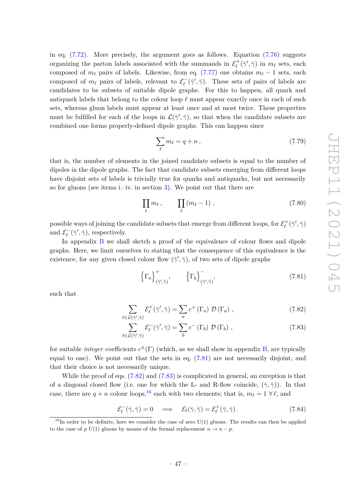in eq. [\(7.72\)](#page-47-2). More precisely, the argument goes as follows. Equation [\(7.76\)](#page-47-3) suggests organizing the parton labels associated with the summands in  $\mathcal{E}^+_\ell(\bar{\gamma}', \bar{\gamma})$  in  $m_\ell$  sets, each composed of  $m_\ell$  pairs of labels. Likewise, from eq. [\(7.77\)](#page-47-4) one obtains  $m_\ell - 1$  sets, each composed of  $m_\ell$  pairs of labels, relevant to  $\mathcal{E}^-_\ell$  $\chi_{\ell}^-(\bar{\gamma}', \bar{\gamma})$ . These sets of pairs of labels are candidates to be subsets of suitable dipole graphs. For this to happen, all quark and antiquark labels that belong to the colour loop  $\ell$  must appear exactly once in each of such sets, whereas gluon labels must appear at least once and at most twice. These properties must be fulfilled for each of the loops in  $\mathcal{L}(\bar{\gamma}', \bar{\gamma})$ , so that when the candidate subsets are combined one forms properly-defined dipole graphs. This can happen since

<span id="page-48-4"></span>
$$
\sum_{\ell} m_{\ell} = q + n \,, \tag{7.79}
$$

that is, the number of elements in the joined candidate subsets is equal to the number of dipoles in the dipole graphs. The fact that candidate subsets emerging from different loops have disjoint sets of labels is trivially true for quarks and antiquarks, but not necessarily so for gluons (see items i.–iv. in section [3\)](#page-8-0). We point out that there are

<span id="page-48-5"></span>
$$
\prod_{\ell} m_{\ell} , \qquad \prod_{\ell} (m_{\ell} - 1) , \qquad (7.80)
$$

 $\alpha$  possible ways of joining the candidate subsets that emerge from different loops, for  $\mathcal{E}^+_\ell(\bar{\gamma}',\bar{\gamma})$ and  $\mathcal{E}_{\ell}^{-}$  $\chi_{\ell}^{-}(\bar{\gamma}', \bar{\gamma}),$  respectively.

In appendix [B](#page-65-0) we shall sketch a proof of the equivalence of colour flows and dipole graphs. Here, we limit ourselves to stating that the consequence of this equivalence is the existence, for any given closed colour flow  $(\bar{\gamma}', \bar{\gamma})$ , of two sets of dipole graphs

<span id="page-48-2"></span><span id="page-48-1"></span><span id="page-48-0"></span>
$$
\left\{\Gamma_a\right\}_{\left(\bar{\gamma}',\bar{\gamma}\right)}^+, \qquad \left\{\Gamma_b\right\}_{\left(\bar{\gamma}',\bar{\gamma}\right)}^-, \tag{7.81}
$$

such that

$$
\sum_{\ell \in \mathcal{L}(\bar{\gamma}', \bar{\gamma})} \mathcal{E}_{\ell}^{+}(\bar{\gamma}', \bar{\gamma}) = \sum_{a} c^{+} (\Gamma_{a}) \mathcal{D}(\Gamma_{a}), \qquad (7.82)
$$

$$
\sum_{\ell \in \mathcal{L}(\bar{\gamma}', \bar{\gamma})} \mathcal{E}_{\ell}^-(\bar{\gamma}', \bar{\gamma}) = \sum_b c^-(\Gamma_b) \mathcal{D}(\Gamma_b) , \qquad (7.83)
$$

for suitable *integer* coefficients *c* <sup>±</sup>(Γ) (which, as we shall show in appendix [B,](#page-65-0) are typically equal to one). We point out that the sets in eq. [\(7.81\)](#page-48-0) are not necessarily disjoint, and that their choice is not necessarily unique.

While the proof of eqs. [\(7.82\)](#page-48-1) and [\(7.83\)](#page-48-2) is complicated in general, an exception is that of a diagonal closed flow (i.e. one for which the L- and R-flow coincide,  $(\bar{\gamma}, \bar{\gamma})$ ). In that case, there are  $q + n$  colour loops,<sup>[16](#page-48-3)</sup> each with two elements; that is,  $m_{\ell} = 1 \ \forall \ell$ , and

$$
\mathcal{E}_{\ell}^{-}(\bar{\gamma}, \bar{\gamma}) = 0 \quad \Longrightarrow \quad \mathcal{E}_{\ell}(\bar{\gamma}, \bar{\gamma}) = \mathcal{E}_{\ell}^{+}(\bar{\gamma}, \bar{\gamma}). \tag{7.84}
$$

<span id="page-48-3"></span><sup>&</sup>lt;sup>16</sup>In order to be definite, here we consider the case of zero  $U(1)$  gluons. The results can then be applied to the case of *p* U(1) gluons by means of the formal replacement  $n \to n - p$ .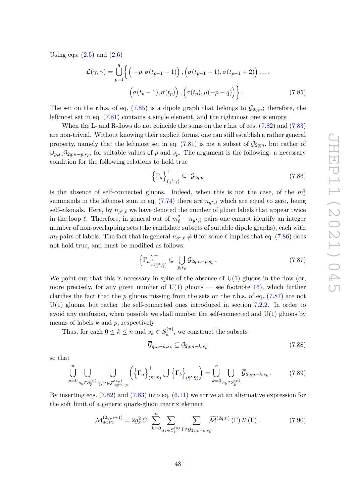Using eqs.  $(2.5)$  and  $(2.6)$ 

$$
\mathcal{L}(\bar{\gamma}, \bar{\gamma}) = \bigcup_{p=1}^{q} \left\{ \left( -p, \sigma(t_{p-1} + 1) \right), \left( \sigma(t_{p-1} + 1), \sigma(t_{p-1} + 2) \right), \dots \right\}
$$

$$
\left( \sigma(t_p - 1), \sigma(t_p) \right), \left( \sigma(t_p), \mu(-p - q) \right) \right\}. \tag{7.85}
$$

The set on the r.h.s. of eq. [\(7.85\)](#page-49-0) is a dipole graph that belongs to  $\mathcal{G}_{2a:n}$ ; therefore, the leftmost set in eq. [\(7.81\)](#page-48-0) contains a single element, and the rightmost one is empty.

When the L- and R-flows do not coincide the sums on the r.h.s. of eqs. [\(7.82\)](#page-48-1) and [\(7.83\)](#page-48-2) are non-trivial. Without knowing their explicit forms, one can still establish a rather general property, namely that the leftmost set in eq. [\(7.81\)](#page-48-0) is not a subset of  $\mathcal{G}_{2q;n}$ , but rather of  $\cup_{p,s_p}\mathcal{G}_{2q;n-p,s_p}$ , for suitable values of *p* and *s<sub>p</sub>*. The argument is the following: a necessary condition for the following relations to hold true

<span id="page-49-1"></span><span id="page-49-0"></span>
$$
\left\{\Gamma_a\right\}_{\left(\bar{\gamma}',\bar{\gamma}\right)}^{\dagger} \subseteq \mathcal{G}_{2q;n} \tag{7.86}
$$

is the absence of self-connected gluons. Indeed, when this is not the case, of the  $m_{\ell}^2$ summands in the leftmost sum in eq.  $(7.74)$  there are  $n_{g^{\star},\ell}$  which are equal to zero, being self-eikonals. Here, by  $n_{g^*,\ell}$  we have denoted the number of gluon labels that appear twice in the loop  $\ell$ . Therefore, in general out of  $m_{\ell}^2 - n_{g^{\star},\ell}$  pairs one cannot identify an integer number of non-overlapping sets (the candidate subsets of suitable dipole graphs), each with  $m_{\ell}$  pairs of labels. The fact that in general  $n_{g^*,\ell} \neq 0$  for some  $\ell$  implies that eq. [\(7.86\)](#page-49-1) does not hold true, and must be modified as follows:

<span id="page-49-2"></span>
$$
\left\{\Gamma_a\right\}_{\left(\bar{\gamma}',\bar{\gamma}\right)}^+ \subseteq \bigcup_{p,s_p} \mathcal{G}_{2q;n-p,s_p} \,. \tag{7.87}
$$

We point out that this is necessary in spite of the absence of  $U(1)$  gluons in the flow (or, more precisely, for any given number of  $U(1)$  gluons — see footnote [16\)](#page-48-3), which further clarifies the fact that the *p* gluons missing from the sets on the r.h.s. of eq. [\(7.87\)](#page-49-2) are not U(1) gluons, but rather the self-connected ones introduced in section [7.2.2.](#page-42-0) In order to avoid any confusion, when possible we shall number the self-connected and  $U(1)$  gluons by means of labels *k* and *p*, respectively.

Thus, for each  $0 \leq k \leq n$  and  $s_k \in S_k^{(n)}$  $k^{(n)}$ , we construct the subsets

<span id="page-49-3"></span>
$$
\overline{\mathcal{G}}_{q;n-k,s_k} \subseteq \mathcal{G}_{2q;n-k,s_k} \tag{7.88}
$$

so that

$$
\bigcup_{p=0}^{n} \bigcup_{s_p \in S_p^{(n)}} \bigcup_{\bar{\gamma}, \bar{\gamma}' \in \mathcal{F}_{2q; n-p}^{(sp)}} \left( \left\{ \Gamma_a \right\}_{(\bar{\gamma}', \bar{\gamma})}^+ \bigcup \left\{ \Gamma_b \right\}_{(\bar{\gamma}', \bar{\gamma})}^- \right) = \bigcup_{k=0}^{n} \bigcup_{s_k \in S_k^{(n)}} \overline{\mathcal{G}}_{2q; n-k, s_k} . \tag{7.89}
$$

By inserting eqs. [\(7.82\)](#page-48-1) and [\(7.83\)](#page-48-2) into eq. [\(6.11\)](#page-27-0) we arrive at an alternative expression for the soft limit of a generic quark-gluon matrix element

<span id="page-49-4"></span>
$$
\mathcal{M}_{\text{SOFT}}^{(2q;n+1)} = 2g_s^2 C_F \sum_{k=0}^n \sum_{s_k \in S_k^{(n)}} \sum_{\Gamma \in \overline{\mathcal{G}}_{2q;n-k,s_k}} \widetilde{\mathcal{M}}^{(2q;n)}(\Gamma) \mathcal{D}(\Gamma) , \qquad (7.90)
$$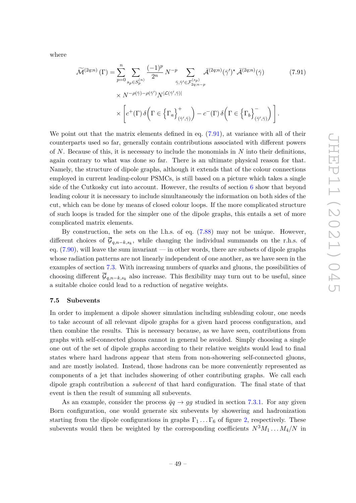where

<span id="page-50-0"></span>
$$
\widetilde{\mathcal{M}}^{(2q;n)}(\Gamma) = \sum_{p=0}^{n} \sum_{s_p \in S_p^{(n)}} \frac{(-1)^p}{2^n} N^{-p} \sum_{\bar{\gamma}, \bar{\gamma}' \in \mathcal{F}_{2q;n-p}^{(s_p)}} \bar{\mathcal{A}}^{(2q;n)}(\bar{\gamma})^* \bar{\mathcal{A}}^{(2q;n)}(\bar{\gamma})
$$
\n
$$
\times N^{-\rho(\bar{\gamma})-\rho(\bar{\gamma}')} N^{|\mathcal{L}(\bar{\gamma}', \bar{\gamma})|}
$$
\n
$$
\times \left[ c^+(\Gamma) \delta \left( \Gamma \in \left\{ \Gamma_a \right\}_{(\bar{\gamma}', \bar{\gamma})}^+ \right) - c^-(\Gamma) \delta \left( \Gamma \in \left\{ \Gamma_b \right\}_{(\bar{\gamma}', \bar{\gamma})}^- \right) \right].
$$
\n(7.91)

We point out that the matrix elements defined in eq.  $(7.91)$ , at variance with all of their counterparts used so far, generally contain contributions associated with different powers of *N*. Because of this, it is necessary to include the monomials in *N* into their definitions, again contrary to what was done so far. There is an ultimate physical reason for that. Namely, the structure of dipole graphs, although it extends that of the colour connections employed in current leading-colour PSMCs, is still based on a picture which takes a single side of the Cutkosky cut into account. However, the results of section [6](#page-24-0) show that beyond leading colour it is necessary to include simultaneously the information on both sides of the cut, which can be done by means of closed colour loops. If the more complicated structure of such loops is traded for the simpler one of the dipole graphs, this entails a set of more complicated matrix elements.

By construction, the sets on the l.h.s. of eq. [\(7.88\)](#page-49-3) may not be unique. However, different choices of G*q,n*−*k,s<sup>k</sup>* , while changing the individual summands on the r.h.s. of eq.  $(7.90)$ , will leave the sum invariant — in other words, there are subsets of dipole graphs whose radiation patterns are not linearly independent of one another, as we have seen in the examples of section [7.3.](#page-43-2) With increasing numbers of quarks and gluons, the possibilities of choosing different  $\mathcal{G}_{q,n-k,s_k}$  also increase. This flexibility may turn out to be useful, since a suitable choice could lead to a reduction of negative weights.

#### **7.5 Subevents**

In order to implement a dipole shower simulation including subleading colour, one needs to take account of all relevant dipole graphs for a given hard process configuration, and then combine the results. This is necessary because, as we have seen, contributions from graphs with self-connected gluons cannot in general be avoided. Simply choosing a single one out of the set of dipole graphs according to their relative weights would lead to final states where hard hadrons appear that stem from non-showering self-connected gluons, and are mostly isolated. Instead, those hadrons can be more conveniently represented as components of a jet that includes showering of other contributing graphs. We call each dipole graph contribution a *subevent* of that hard configuration. The final state of that event is then the result of summing all subevents.

As an example, consider the process  $\bar{q}q \rightarrow gg$  studied in section [7.3.1.](#page-43-3) For any given Born configuration, one would generate six subevents by showering and hadronization starting from the dipole configurations in graphs  $\Gamma_1 \ldots \Gamma_6$  of figure [2,](#page-44-0) respectively. These subevents would then be weighted by the corresponding coefficients  $N^3M_1 \ldots M_4/N$  in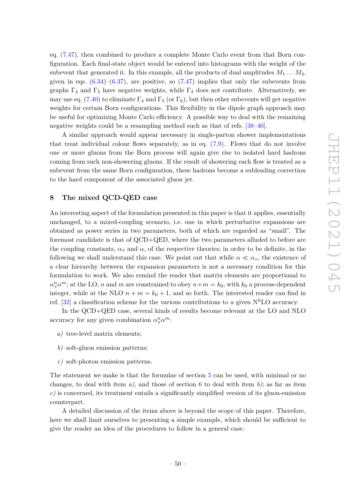eq. [\(7.47\)](#page-45-0), then combined to produce a complete Monte Carlo event from that Born configuration. Each final-state object would be entered into histograms with the weight of the subevent that generated it. In this example, all the products of dual amplitudes  $M_1 \ldots M_4$ , given in eqs.  $(6.34)$ – $(6.37)$ , are positive, so  $(7.47)$  implies that only the subevents from graphs  $\Gamma_4$  and  $\Gamma_5$  have negative weights, while  $\Gamma_3$  does not contribute. Alternatively, we may use eq. [\(7.40\)](#page-44-1) to eliminate  $\Gamma_4$  and  $\Gamma_5$  (or  $\Gamma_6$ ), but then other subevents will get negative weights for certain Born configurations. This flexibility in the dipole graph approach may be useful for optimizing Monte Carlo efficiency. A possible way to deal with the remaining negative weights could be a resampling method such as that of refs. [\[38–](#page-75-2)[40\]](#page-75-3).

A similar approach would appear necessary in single-parton shower implementations that treat individual colour flows separately, as in eq.  $(7.9)$ . Flows that do not involve one or more gluons from the Born process will again give rise to isolated hard hadrons coming from such non-showering gluons. If the result of showering each flow is treated as a subevent from the same Born configuration, these hadrons become a subleading correction to the hard component of the associated gluon jet.

# <span id="page-51-0"></span>**8 The mixed QCD-QED case**

An interesting aspect of the formulation presented in this paper is that it applies, essentially unchanged, to a mixed-coupling scenario, i.e. one in which perturbative expansions are obtained as power series in two parameters, both of which are regarded as "small". The foremost candidate is that of QCD+QED, where the two parameters alluded to before are the coupling constants,  $\alpha_s$  and  $\alpha$ , of the respective theories; in order to be definite, in the following we shall understand this case. We point out that while  $\alpha \ll \alpha_s$ , the existence of a clear hierarchy between the expansion parameters is not a necessary condition for this formulation to work. We also remind the reader that matrix elements are proportional to  $\alpha_s^n \alpha^m$ ; at the LO, *n* and *m* are constrained to obey  $n+m = k_0$ , with  $k_0$  a process-dependent integer, while at the NLO  $n + m = k_0 + 1$ , and so forth. The interested reader can find in ref.  $[32]$  a classification scheme for the various contributions to a given  $N^kLO$  accuracy.

In the QCD+QED case, several kinds of results become relevant at the LO and NLO accuracy for any given combination  $\alpha_S^n \alpha^m$ :

- *a)* tree-level matrix elements;
- *b)* soft-gluon emission patterns;
- *c)* soft-photon emission patterns.

The statement we make is that the formulae of section [5](#page-12-0) can be used, with minimal or no changes, to deal with item  $a$ ), and those of section [6](#page-24-0) to deal with item  $b$ ); as far as item *c)* is concerned, its treatment entails a significantly simplified version of its gluon-emission counterpart.

A detailed discussion of the items above is beyond the scope of this paper. Therefore, here we shall limit ourselves to presenting a simple example, which should be sufficient to give the reader an idea of the procedures to follow in a general case.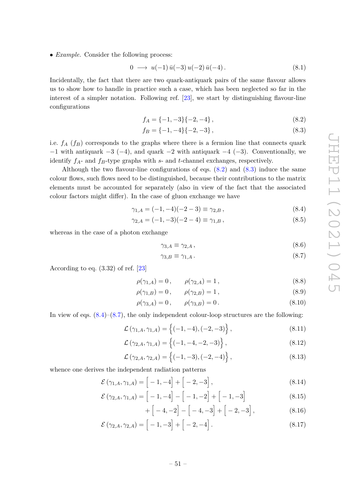• *Example.* Consider the following process:

<span id="page-52-4"></span>
$$
0 \longrightarrow u(-1) \bar{u}(-3) u(-2) \bar{u}(-4).
$$
 (8.1)

Incidentally, the fact that there are two quark-antiquark pairs of the same flavour allows us to show how to handle in practice such a case, which has been neglected so far in the interest of a simpler notation. Following ref. [\[23\]](#page-74-3), we start by distinguishing flavour-line configurations

<span id="page-52-0"></span>
$$
f_A = \{-1, -3\} \{-2, -4\},\tag{8.2}
$$

<span id="page-52-1"></span>
$$
f_B = \{-1, -4\} \{-2, -3\},\tag{8.3}
$$

i.e.  $f_A(f_B)$  corresponds to the graphs where there is a fermion line that connects quark  $-1$  with antiquark  $-3$  ( $-4$ ), and quark  $-2$  with antiquark  $-4$  ( $-3$ ). Conventionally, we identify *fA*- and *fB*-type graphs with *s*- and *t*-channel exchanges, respectively.

Although the two flavour-line configurations of eqs.  $(8.2)$  and  $(8.3)$  induce the same colour flows, such flows need to be distinguished, because their contributions to the matrix elements must be accounted for separately (also in view of the fact that the associated colour factors might differ). In the case of gluon exchange we have

$$
\gamma_{1,A} = (-1,-4)(-2-3) \equiv \gamma_{2,B},\tag{8.4}
$$

$$
\gamma_{2,A} = (-1,-3)(-2-4) \equiv \gamma_{1,B},\tag{8.5}
$$

whereas in the case of a photon exchange

<span id="page-52-3"></span><span id="page-52-2"></span>
$$
\gamma_{3,A} \equiv \gamma_{2,A} \,,\tag{8.6}
$$

$$
\gamma_{3,B} \equiv \gamma_{1,A} \,. \tag{8.7}
$$

According to eq.  $(3.32)$  of ref.  $[23]$ 

$$
\rho(\gamma_{1,A}) = 0, \qquad \rho(\gamma_{2,A}) = 1, \tag{8.8}
$$

$$
\rho(\gamma_{1,B}) = 0, \qquad \rho(\gamma_{2,B}) = 1, \tag{8.9}
$$

$$
\rho(\gamma_{3,A}) = 0, \qquad \rho(\gamma_{3,B}) = 0.
$$
\n(8.10)

In view of eqs.  $(8.4)$ – $(8.7)$ , the only independent colour-loop structures are the following:

$$
\mathcal{L}(\gamma_{1,A}, \gamma_{1,A}) = \left\{ (-1, -4), (-2, -3) \right\},\tag{8.11}
$$

$$
\mathcal{L}(\gamma_{2,A}, \gamma_{1,A}) = \left\{ (-1, -4, -2, -3) \right\},\tag{8.12}
$$

$$
\mathcal{L}(\gamma_{2,A}, \gamma_{2,A}) = \left\{ (-1, -3), (-2, -4) \right\},\tag{8.13}
$$

whence one derives the independent radiation patterns

$$
\mathcal{E}(\gamma_{1,A}, \gamma_{1,A}) = \left[ -1, -4 \right] + \left[ -2, -3 \right], \tag{8.14}
$$

$$
\mathcal{E}(\gamma_{2,A}, \gamma_{1,A}) = \begin{bmatrix} -1, -4 \end{bmatrix} - \begin{bmatrix} -1, -2 \end{bmatrix} + \begin{bmatrix} -1, -3 \end{bmatrix}
$$
 (8.15)

$$
+\left[-4,-2\right]-\left[-4,-3\right]+\left[-2,-3\right],\tag{8.16}
$$

$$
\mathcal{E}(\gamma_{2,A}, \gamma_{2,A}) = \left[ -1, -3 \right] + \left[ -2, -4 \right]. \tag{8.17}
$$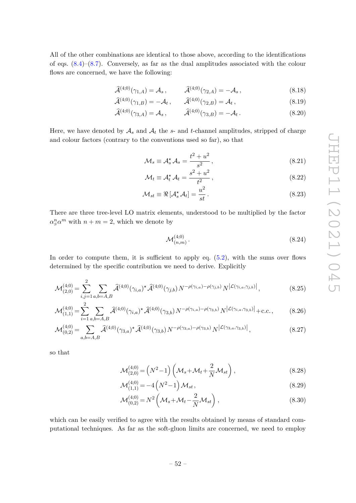All of the other combinations are identical to those above, according to the identifications of eqs.  $(8.4)$ – $(8.7)$ . Conversely, as far as the dual amplitudes associated with the colour flows are concerned, we have the following:

$$
\widehat{\mathcal{A}}^{(4;0)}(\gamma_{1,A}) = \mathcal{A}_s, \qquad \widehat{\mathcal{A}}^{(4;0)}(\gamma_{2,A}) = -\mathcal{A}_s, \qquad (8.18)
$$

$$
\widehat{\mathcal{A}}^{(4;0)}(\gamma_{1,B}) = -\mathcal{A}_t, \qquad \widehat{\mathcal{A}}^{(4;0)}(\gamma_{2,B}) = \mathcal{A}_t, \qquad (8.19)
$$

$$
\widehat{\mathcal{A}}^{(4;0)}(\gamma_{3,A}) = \mathcal{A}_s, \qquad \widehat{\mathcal{A}}^{(4;0)}(\gamma_{3,B}) = -\mathcal{A}_t. \tag{8.20}
$$

Here, we have denoted by  $A_s$  and  $A_t$  the *s*- and *t*-channel amplitudes, stripped of charge and colour factors (contrary to the conventions used so far), so that

$$
\mathcal{M}_s \equiv \mathcal{A}_s^{\star} \mathcal{A}_s = \frac{t^2 + u^2}{s^2},\tag{8.21}
$$

$$
\mathcal{M}_t \equiv \mathcal{A}_t^{\star} \mathcal{A}_t = \frac{s^2 + u^2}{t^2},\tag{8.22}
$$

$$
\mathcal{M}_{st} \equiv \Re \left[ \mathcal{A}_s^{\star} \mathcal{A}_t \right] = \frac{u^2}{st} \,. \tag{8.23}
$$

There are three tree-level LO matrix elements, understood to be multiplied by the factor  $\alpha_S^n \alpha^m$  with  $n + m = 2$ , which we denote by

<span id="page-53-1"></span><span id="page-53-0"></span>
$$
\mathcal{M}_{(n,m)}^{(4;0)}.\tag{8.24}
$$

In order to compute them, it is sufficient to apply eq.  $(5.2)$ , with the sums over flows determined by the specific contribution we need to derive. Explicitly

$$
\mathcal{M}_{(2,0)}^{(4;0)} = \sum_{i,j=1}^{2} \sum_{a,b=A,B} \hat{\mathcal{A}}^{(4;0)}(\gamma_{i,a})^{\star} \hat{\mathcal{A}}^{(4;0)}(\gamma_{j,b}) N^{-\rho(\gamma_{i,a})-\rho(\gamma_{j,b})} N^{|\mathcal{L}(\gamma_{i,a},\gamma_{j,b})|}, \qquad (8.25)
$$

$$
\mathcal{M}_{(1,1)}^{(4;0)} = \sum_{i=1}^{2} \sum_{a,b=A,B} \hat{\mathcal{A}}^{(4;0)}(\gamma_{i,a})^* \hat{\mathcal{A}}^{(4;0)}(\gamma_{3,b}) N^{-\rho(\gamma_{i,a})-\rho(\gamma_{3,b})} N^{|\mathcal{L}(\gamma_{i,a},\gamma_{3,b})|} + \text{c.c.},\tag{8.26}
$$

$$
\mathcal{M}_{(0,2)}^{(4;0)} = \sum_{a,b=A,B} \widehat{\mathcal{A}}^{(4;0)}(\gamma_{3,a})^* \widehat{\mathcal{A}}^{(4;0)}(\gamma_{3,b}) N^{-\rho(\gamma_{3,a})-\rho(\gamma_{3,b})} N^{|\mathcal{L}(\gamma_{3,a},\gamma_{3,b})|}, \qquad (8.27)
$$

so that

<span id="page-53-3"></span>
$$
\mathcal{M}_{(2,0)}^{(4;0)} = (N^2 - 1) \left( \mathcal{M}_s + \mathcal{M}_t + \frac{2}{N} \mathcal{M}_{st} \right),
$$
\n(8.28)

$$
\mathcal{M}_{(1,1)}^{(4;0)} = -4\left(N^2 - 1\right)\mathcal{M}_{st},\tag{8.29}
$$

<span id="page-53-4"></span><span id="page-53-2"></span>
$$
\mathcal{M}_{(0,2)}^{(4;0)} = N^2 \left( \mathcal{M}_s + \mathcal{M}_t - \frac{2}{N} \mathcal{M}_{st} \right),
$$
\n(8.30)

which can be easily verified to agree with the results obtained by means of standard computational techniques. As far as the soft-gluon limits are concerned, we need to employ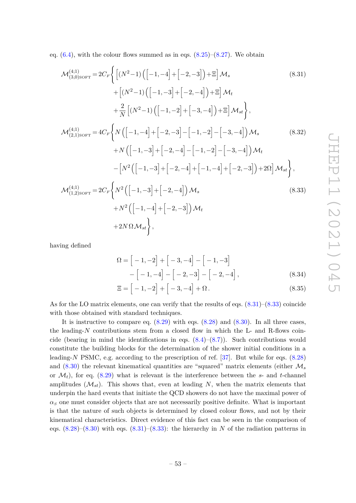eq.  $(6.4)$ , with the colour flows summed as in eqs.  $(8.25)-(8.27)$  $(8.25)-(8.27)$  $(8.25)-(8.27)$ . We obtain

<span id="page-54-0"></span>
$$
\mathcal{M}_{(3,0)SOFF}^{(4;1)} = 2C_F \Biggl\{ \Biggl[ (N^2 - 1) \Bigl( \Bigl[ -1, -4 \Bigr] + \Bigl[ -2, -3 \Bigr] \Bigr) + \Xi \Biggr] \mathcal{M}_s \tag{8.31}
$$
\n
$$
+ \Bigl[ (N^2 - 1) \Bigl( \Bigl[ -1, -3 \Bigr] + \Bigl[ -2, -4 \Bigr] \Bigr) + \Xi \Biggr] \mathcal{M}_t
$$
\n
$$
+ \frac{2}{N} \Bigl[ (N^2 - 1) \Bigl( \Bigl[ -1, -2 \Bigr] + \Bigl[ -3, -4 \Bigr] \Bigr) + \Xi \Biggr] \mathcal{M}_s
$$
\n
$$
\mathcal{M}_{(2,1)SOFF}^{(4;1)} = 4C_F \Biggl\{ N \Bigl( \Bigl[ -1, -4 \Bigr] + \Bigl[ -2, -3 \Bigr] - \Bigl[ -1, -2 \Bigr] - \Bigl[ -3, -4 \Bigr] \Biggr) \mathcal{M}_s \tag{8.32}
$$
\n
$$
+ N \Bigl( \Bigl[ -1, -3 \Bigr] + \Bigl[ -2, -4 \Bigr] - \Bigl[ -1, -2 \Bigr] - \Bigl[ -3, -4 \Bigr] \mathcal{M}_t
$$
\n
$$
- \Bigl[ N^2 \Bigl( \Bigl[ -1, -3 \Bigr] + \Bigl[ -2, -4 \Bigr] + \Bigl[ -1, -4 \Bigr] + \Bigl[ -2, -3 \Bigr] \Bigr) + 2\Omega \Biggr] \mathcal{M}_{st} \Biggr\},
$$
\n
$$
\mathcal{M}_{(1,2)SOFF}^{(4;1)} = 2C_F \Biggl\{ N^2 \Bigl( \Bigl[ -1, -3 \Bigr] + \Bigl[ -2, -4 \Bigr] \Bigr) \mathcal{M}_s \tag{8.33}
$$

$$
+N^{2}\left([-1,-4]+[-2,-3]\right)M_{t}
$$
  
+2N $\Omega M_{st}$ },  

$$
\left\{\n\begin{array}{l}\n-2. & -3 \\
-2. & -3\n\end{array}\n\right\}M_{t}
$$

having defined

<span id="page-54-2"></span><span id="page-54-1"></span>
$$
\Omega = \left[ -1, -2 \right] + \left[ -3, -4 \right] - \left[ -1, -3 \right] \n- \left[ -1, -4 \right] - \left[ -2, -3 \right] - \left[ -2, -4 \right],
$$
\n(8.34)

$$
\Xi = \left[ -1, -2 \right] + \left[ -3, -4 \right] + \Omega. \tag{8.35}
$$

As for the LO matrix elements, one can verify that the results of eqs. [\(8.31\)](#page-54-0)–[\(8.33\)](#page-54-1) coincide with those obtained with standard techniques.

It is instructive to compare eq.  $(8.29)$  with eqs.  $(8.28)$  and  $(8.30)$ . In all three cases, the leading-*N* contributions stem from a closed flow in which the L- and R-flows coincide (bearing in mind the identifications in eqs.  $(8.4)$ – $(8.7)$ ). Such contributions would constitute the building blocks for the determination of the shower initial conditions in a leading-*N* PSMC, e.g. according to the prescription of ref. [\[37\]](#page-75-1). But while for eqs. [\(8.28\)](#page-53-3) and [\(8.30\)](#page-53-4) the relevant kinematical quantities are "squared" matrix elements (either M*<sup>s</sup>* or  $\mathcal{M}_t$ , for eq. [\(8.29\)](#page-53-2) what is relevant is the interference between the *s*- and *t*-channel amplitudes  $(\mathcal{M}_{st})$ . This shows that, even at leading N, when the matrix elements that underpin the hard events that initiate the QCD showers do not have the maximal power of  $\alpha<sub>S</sub>$  one must consider objects that are not necessarily positive definite. What is important is that the nature of such objects is determined by closed colour flows, and not by their kinematical characteristics. Direct evidence of this fact can be seen in the comparison of eqs.  $(8.28)$ – $(8.30)$  with eqs.  $(8.31)$ – $(8.33)$ : the hierarchy in *N* of the radiation patterns in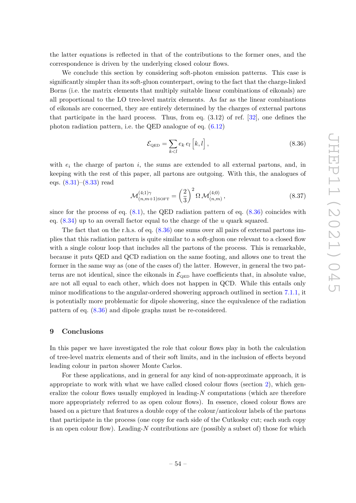the latter equations is reflected in that of the contributions to the former ones, and the correspondence is driven by the underlying closed colour flows.

We conclude this section by considering soft-photon emission patterns. This case is significantly simpler than its soft-gluon counterpart, owing to the fact that the charge-linked Borns (i.e. the matrix elements that multiply suitable linear combinations of eikonals) are all proportional to the LO tree-level matrix elements. As far as the linear combinations of eikonals are concerned, they are entirely determined by the charges of external partons that participate in the hard process. Thus, from eq. (3.12) of ref. [\[32\]](#page-74-4), one defines the photon radiation pattern, i.e. the QED analogue of eq. [\(6.12\)](#page-27-1)

<span id="page-55-0"></span>
$$
\mathcal{E}_{\text{QED}} = \sum_{k < l} e_k \, e_l \left[ k, l \right],\tag{8.36}
$$

with  $e_i$  the charge of parton  $i$ , the sums are extended to all external partons, and, in keeping with the rest of this paper, all partons are outgoing. With this, the analogues of eqs. [\(8.31\)](#page-54-0)–[\(8.33\)](#page-54-1) read

$$
\mathcal{M}_{(n,m+1)\text{SOF}}^{(4;1)\gamma} = \left(\frac{2}{3}\right)^2 \Omega \, \mathcal{M}_{(n,m)}^{(4;0)}\,,\tag{8.37}
$$

since for the process of eq.  $(8.1)$ , the QED radiation pattern of eq.  $(8.36)$  coincides with eq. [\(8.34\)](#page-54-2) up to an overall factor equal to the charge of the *u* quark squared.

The fact that on the r.h.s. of eq.  $(8.36)$  one sums over all pairs of external partons implies that this radiation pattern is quite similar to a soft-gluon one relevant to a closed flow with a single colour loop that includes all the partons of the process. This is remarkable, because it puts QED and QCD radiation on the same footing, and allows one to treat the former in the same way as (one of the cases of) the latter. However, in general the two patterns are not identical, since the eikonals in  $\mathcal{E}_{\text{QED}}$  have coefficients that, in absolute value, are not all equal to each other, which does not happen in QCD. While this entails only minor modifications to the angular-ordered showering approach outlined in section [7.1.1,](#page-37-1) it is potentially more problematic for dipole showering, since the equivalence of the radiation pattern of eq. [\(8.36\)](#page-55-0) and dipole graphs must be re-considered.

## **9 Conclusions**

In this paper we have investigated the role that colour flows play in both the calculation of tree-level matrix elements and of their soft limits, and in the inclusion of effects beyond leading colour in parton shower Monte Carlos.

For these applications, and in general for any kind of non-approximate approach, it is appropriate to work with what we have called closed colour flows (section [2\)](#page-4-2), which generalize the colour flows usually employed in leading-*N* computations (which are therefore more appropriately referred to as open colour flows). In essence, closed colour flows are based on a picture that features a double copy of the colour/anticolour labels of the partons that participate in the process (one copy for each side of the Cutkosky cut; each such copy is an open colour flow). Leading-*N* contributions are (possibly a subset of) those for which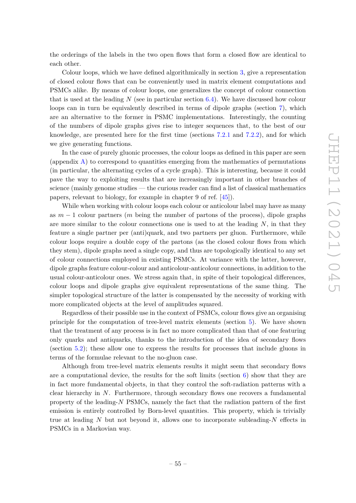the orderings of the labels in the two open flows that form a closed flow are identical to each other.

Colour loops, which we have defined algorithmically in section [3,](#page-8-0) give a representation of closed colour flows that can be conveniently used in matrix element computations and PSMCs alike. By means of colour loops, one generalizes the concept of colour connection that is used at the leading *N* (see in particular section [6.4\)](#page-29-0). We have discussed how colour loops can in turn be equivalently described in terms of dipole graphs (section [7\)](#page-36-2), which are an alternative to the former in PSMC implementations. Interestingly, the counting of the numbers of dipole graphs gives rise to integer sequences that, to the best of our knowledge, are presented here for the first time (sections [7.2.1](#page-40-1) and [7.2.2\)](#page-42-0), and for which we give generating functions.

In the case of purely gluonic processes, the colour loops as defined in this paper are seen (appendix  $\bf{A}$ ) to correspond to quantities emerging from the mathematics of permutations (in particular, the alternating cycles of a cycle graph). This is interesting, because it could pave the way to exploiting results that are increasingly important in other branches of science (mainly genome studies — the curious reader can find a list of classical mathematics papers, relevant to biology, for example in chapter 9 of ref. [\[45\]](#page-75-7)).

While when working with colour loops each colour or anticolour label may have as many as *m* − 1 colour partners (*m* being the number of partons of the process), dipole graphs are more similar to the colour connections one is used to at the leading *N*, in that they feature a single partner per (anti)quark, and two partners per gluon. Furthermore, while colour loops require a double copy of the partons (as the closed colour flows from which they stem), dipole graphs need a single copy, and thus are topologically identical to any set of colour connections employed in existing PSMCs. At variance with the latter, however, dipole graphs feature colour-colour and anticolour-anticolour connections, in addition to the usual colour-anticolour ones. We stress again that, in spite of their topological differences, colour loops and dipole graphs give equivalent representations of the same thing. The simpler topological structure of the latter is compensated by the necessity of working with more complicated objects at the level of amplitudes squared.

Regardless of their possible use in the context of PSMCs, colour flows give an organising principle for the computation of tree-level matrix elements (section [5\)](#page-12-0). We have shown that the treatment of any process is in fact no more complicated than that of one featuring only quarks and antiquarks, thanks to the introduction of the idea of secondary flows (section [5.2\)](#page-13-0); these allow one to express the results for processes that include gluons in terms of the formulae relevant to the no-gluon case.

Although from tree-level matrix elements results it might seem that secondary flows are a computational device, the results for the soft limits (section  $6$ ) show that they are in fact more fundamental objects, in that they control the soft-radiation patterns with a clear hierarchy in *N*. Furthermore, through secondary flows one recovers a fundamental property of the leading-*N* PSMCs, namely the fact that the radiation pattern of the first emission is entirely controlled by Born-level quantities. This property, which is trivially true at leading *N* but not beyond it, allows one to incorporate subleading-*N* effects in PSMCs in a Markovian way.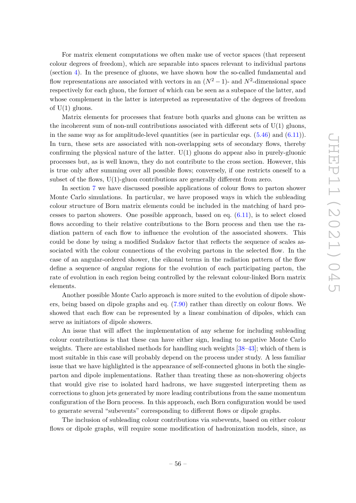For matrix element computations we often make use of vector spaces (that represent colour degrees of freedom), which are separable into spaces relevant to individual partons (section [4\)](#page-11-0). In the presence of gluons, we have shown how the so-called fundamental and flow representations are associated with vectors in an  $(N^2-1)$ - and  $N^2$ -dimensional space respectively for each gluon, the former of which can be seen as a subspace of the latter, and whose complement in the latter is interpreted as representative of the degrees of freedom of  $U(1)$  gluons.

Matrix elements for processes that feature both quarks and gluons can be written as the incoherent sum of non-null contributions associated with different sets of  $U(1)$  gluons, in the same way as for amplitude-level quantities (see in particular eqs.  $(5.46)$  and  $(6.11)$ ). In turn, these sets are associated with non-overlapping sets of secondary flows, thereby confirming the physical nature of the latter.  $U(1)$  gluons do appear also in purely-gluonic processes but, as is well known, they do not contribute to the cross section. However, this is true only after summing over all possible flows; conversely, if one restricts oneself to a subset of the flows, U(1)-gluon contributions are generally different from zero.

In section [7](#page-36-2) we have discussed possible applications of colour flows to parton shower Monte Carlo simulations. In particular, we have proposed ways in which the subleading colour structure of Born matrix elements could be included in the matching of hard processes to parton showers. One possible approach, based on eq. [\(6.11\)](#page-27-0), is to select closed flows according to their relative contributions to the Born process and then use the radiation pattern of each flow to influence the evolution of the associated showers. This could be done by using a modified Sudakov factor that reflects the sequence of scales associated with the colour connections of the evolving partons in the selected flow. In the case of an angular-ordered shower, the eikonal terms in the radiation pattern of the flow define a sequence of angular regions for the evolution of each participating parton, the rate of evolution in each region being controlled by the relevant colour-linked Born matrix elements.

Another possible Monte Carlo approach is more suited to the evolution of dipole showers, being based on dipole graphs and eq. [\(7.90\)](#page-49-4) rather than directly on colour flows. We showed that each flow can be represented by a linear combination of dipoles, which can serve as initiators of dipole showers.

An issue that will affect the implementation of any scheme for including subleading colour contributions is that these can have either sign, leading to negative Monte Carlo weights. There are established methods for handling such weights [\[38](#page-75-2)[–43\]](#page-75-5); which of them is most suitable in this case will probably depend on the process under study. A less familiar issue that we have highlighted is the appearance of self-connected gluons in both the singleparton and dipole implementations. Rather than treating these as non-showering objects that would give rise to isolated hard hadrons, we have suggested interpreting them as corrections to gluon jets generated by more leading contributions from the same momentum configuration of the Born process. In this approach, each Born configuration would be used to generate several "subevents" corresponding to different flows or dipole graphs.

The inclusion of subleading colour contributions via subevents, based on either colour flows or dipole graphs, will require some modification of hadronization models, since, as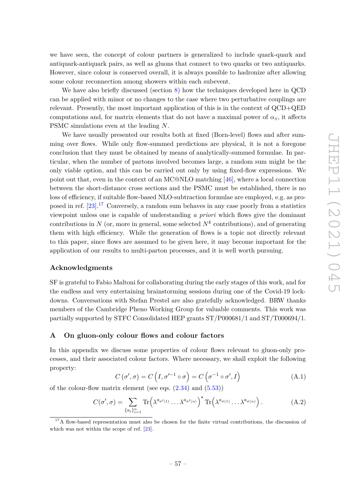we have seen, the concept of colour partners is generalized to include quark-quark and antiquark-antiquark pairs, as well as gluons that connect to two quarks or two antiquarks. However, since colour is conserved overall, it is always possible to hadronize after allowing some colour reconnection among showers within each subevent.

We have also briefly discussed (section [8\)](#page-51-0) how the techniques developed here in QCD can be applied with minor or no changes to the case where two perturbative couplings are relevant. Presently, the most important application of this is in the context of QCD+QED computations and, for matrix elements that do not have a maximal power of  $\alpha_s$ , it affects PSMC simulations even at the leading *N*.

We have usually presented our results both at fixed (Born-level) flows and after summing over flows. While only flow-summed predictions are physical, it is not a foregone conclusion that they must be obtained by means of analytically-summed formulae. In particular, when the number of partons involved becomes large, a random sum might be the only viable option, and this can be carried out only by using fixed-flow expressions. We point out that, even in the context of an MC@NLO matching [\[46\]](#page-75-8), where a local connection between the short-distance cross sections and the PSMC must be established, there is no loss of efficiency, if suitable flow-based NLO-subtraction formulae are employed, e.g. as proposed in ref. [\[23\]](#page-74-3).[17](#page-58-1) Conversely, a random sum behaves in any case poorly from a statistics viewpoint unless one is capable of understanding *a priori* which flows give the dominant contributions in  $N$  (or, more in general, some selected  $N^k$  contributions), and of generating them with high efficiency. While the generation of flows is a topic not directly relevant to this paper, since flows are assumed to be given here, it may become important for the application of our results to multi-parton processes, and it is well worth pursuing.

### **Acknowledgments**

SF is grateful to Fabio Maltoni for collaborating during the early stages of this work, and for the endless and very entertaining brainstorming sessions during one of the Covid-19 lockdowns. Conversations with Stefan Prestel are also gratefully acknowledged. BRW thanks members of the Cambridge Pheno Working Group for valuable comments. This work was partially supported by STFC Consolidated HEP grants ST/P000681/1 and ST/T000694/1.

## <span id="page-58-0"></span>**A On gluon-only colour flows and colour factors**

In this appendix we discuss some properties of colour flows relevant to gluon-only processes, and their associated colour factors. Where necessary, we shall exploit the following property:

<span id="page-58-2"></span>
$$
C(\sigma', \sigma) = C\left(I, \sigma'^{-1} \circ \sigma\right) = C\left(\sigma^{-1} \circ \sigma', I\right) \tag{A.1}
$$

of the colour-flow matrix element (see eqs.  $(2.34)$  and  $(5.53)$ )

<span id="page-58-3"></span>
$$
C(\sigma', \sigma) = \sum_{\{a_i\}_{i=1}^n} \text{Tr}\left(\lambda^{a_{\sigma'(1)}} \dots \lambda^{a_{\sigma'(n)}}\right)^* \text{Tr}\left(\lambda^{a_{\sigma(1)}} \dots \lambda^{a_{\sigma(n)}}\right). \tag{A.2}
$$

<span id="page-58-1"></span><sup>&</sup>lt;sup>17</sup>A flow-based representation must also be chosen for the finite virtual contributions, the discussion of which was not within the scope of ref. [\[23\]](#page-74-3).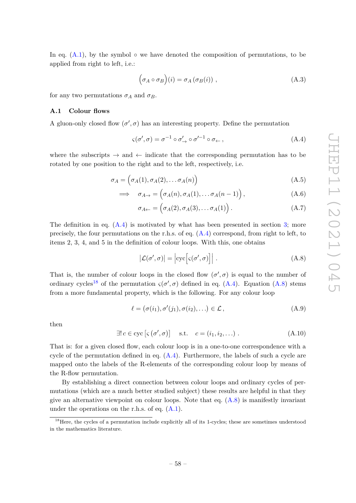In eq.  $(A.1)$ , by the symbol  $\circ$  we have denoted the composition of permutations, to be applied from right to left, i.e.:

$$
(\sigma_A \circ \sigma_B)(i) = \sigma_A(\sigma_B(i)), \qquad (A.3)
$$

for any two permutations  $\sigma_A$  and  $\sigma_B$ .

## **A.1 Colour flows**

A gluon-only closed flow  $(\sigma', \sigma)$  has an interesting property. Define the permutation

<span id="page-59-0"></span>
$$
\varsigma(\sigma', \sigma) = \sigma^{-1} \circ \sigma'_{\to} \circ \sigma'^{-1} \circ \sigma_{\leftarrow}, \tag{A.4}
$$

where the subscripts  $\rightarrow$  and  $\leftarrow$  indicate that the corresponding permutation has to be rotated by one position to the right and to the left, respectively, i.e.

$$
\sigma_A = \left(\sigma_A(1), \sigma_A(2), \dots \sigma_A(n)\right) \tag{A.5}
$$

$$
\implies \sigma_{A \to} = (\sigma_A(n), \sigma_A(1), \dots \sigma_A(n-1)), \qquad (A.6)
$$

$$
\sigma_{A \leftarrow} = (\sigma_A(2), \sigma_A(3), \dots \sigma_A(1)). \tag{A.7}
$$

The definition in eq.  $(A.4)$  is motivated by what has been presented in section [3;](#page-8-0) more precisely, the four permutations on the r.h.s. of eq. [\(A.4\)](#page-59-0) correspond, from right to left, to items 2, 3, 4, and 5 in the definition of colour loops. With this, one obtains

<span id="page-59-2"></span>
$$
|\mathcal{L}(\sigma', \sigma)| = \left| \operatorname{cyc} \left[ \varsigma(\sigma', \sigma) \right] \right|.
$$
 (A.8)

That is, the number of colour loops in the closed flow  $(\sigma', \sigma)$  is equal to the number of ordinary cycles<sup>[18](#page-59-1)</sup> of the permutation  $\varsigma(\sigma', \sigma)$  defined in eq. [\(A.4\)](#page-59-0). Equation [\(A.8\)](#page-59-2) stems from a more fundamental property, which is the following. For any colour loop

$$
\ell = (\sigma(i_1), \sigma'(j_1), \sigma(i_2), \ldots) \in \mathcal{L},
$$
\n(A.9)

then

$$
\exists! c \in \text{cyc} \left[ \varsigma \left( \sigma', \sigma \right) \right] \quad \text{s.t.} \quad c = (i_1, i_2, \ldots) \tag{A.10}
$$

That is: for a given closed flow, each colour loop is in a one-to-one correspondence with a cycle of the permutation defined in eq.  $(A.4)$ . Furthermore, the labels of such a cycle are mapped onto the labels of the R-elements of the corresponding colour loop by means of the R-flow permutation.

By establishing a direct connection between colour loops and ordinary cycles of permutations (which are a much better studied subject) these results are helpful in that they give an alternative viewpoint on colour loops. Note that eq.  $(A.8)$  is manifestly invariant under the operations on the r.h.s. of eq. [\(A.1\)](#page-58-2).

<span id="page-59-1"></span><sup>&</sup>lt;sup>18</sup>Here, the cycles of a permutation include explicitly all of its 1-cycles; these are sometimes understood in the mathematics literature.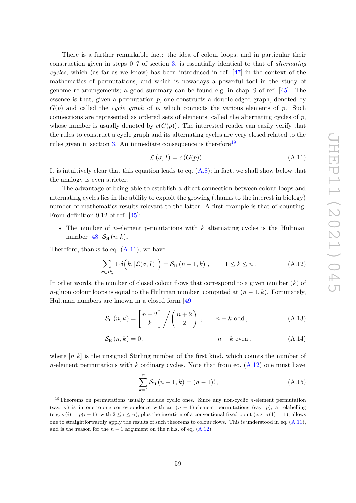There is a further remarkable fact: the idea of colour loops, and in particular their construction given in steps 0–7 of section [3,](#page-8-0) is essentially identical to that of *alternating cycles*, which (as far as we know) has been introduced in ref. [\[47\]](#page-75-9) in the context of the mathematics of permutations, and which is nowadays a powerful tool in the study of genome re-arrangements; a good summary can be found e.g. in chap. 9 of ref. [\[45\]](#page-75-7). The essence is that, given a permutation  $p$ , one constructs a double-edged graph, denoted by  $G(p)$  and called the *cycle graph* of *p*, which connects the various elements of *p*. Such connections are represented as ordered sets of elements, called the alternating cycles of *p*, whose number is usually denoted by  $c(G(p))$ . The interested reader can easily verify that the rules to construct a cycle graph and its alternating cycles are very closed related to the rules given in section [3.](#page-8-0) An immediate consequence is therefore<sup>[19](#page-60-0)</sup>

<span id="page-60-1"></span>
$$
\mathcal{L}(\sigma, I) = c(G(p)) .
$$
\n(A.11)

It is intuitively clear that this equation leads to eq.  $(A.8)$ ; in fact, we shall show below that the analogy is even stricter.

The advantage of being able to establish a direct connection between colour loops and alternating cycles lies in the ability to exploit the growing (thanks to the interest in biology) number of mathematics results relevant to the latter. A first example is that of counting. From definition 9.12 of ref. [\[45\]](#page-75-7):

• The number of *n*-element permutations with *k* alternating cycles is the Hultman number [\[48\]](#page-75-10)  $S_{\text{H}}(n,k)$ .

Therefore, thanks to eq.  $(A.11)$ , we have

<span id="page-60-2"></span>
$$
\sum_{\sigma \in P'_n} 1 \cdot \delta(k, |\mathcal{L}(\sigma, I)|) = \mathcal{S}_{\mathrm{H}}(n - 1, k) , \qquad 1 \le k \le n . \tag{A.12}
$$

In other words, the number of closed colour flows that correspond to a given number (*k*) of *n*-gluon colour loops is equal to the Hultman number, computed at  $(n-1,k)$ . Fortunately, Hultman numbers are known in a closed form [\[49\]](#page-75-11)

$$
S_{\mathrm{H}}(n,k) = \begin{bmatrix} n+2 \\ k \end{bmatrix} / \begin{pmatrix} n+2 \\ 2 \end{pmatrix}, \qquad n-k \text{ odd}, \tag{A.13}
$$

$$
S_{\mathrm{H}}\left(n,k\right) = 0\,,\tag{A.14}
$$

where [*n k*] is the unsigned Stirling number of the first kind, which counts the number of *n*-element permutations with *k* ordinary cycles. Note that from eq. [\(A.12\)](#page-60-2) one must have

<span id="page-60-5"></span><span id="page-60-4"></span><span id="page-60-3"></span>
$$
\sum_{k=1}^{n} S_{\mathrm{H}}(n-1,k) = (n-1)!, \qquad (A.15)
$$

<span id="page-60-0"></span><sup>19</sup>Theorems on permutations usually include cyclic ones. Since any non-cyclic *n*-element permutation (say,  $\sigma$ ) is in one-to-one correspondence with an  $(n - 1)$ -element permutations (say, *p*), a relabelling (e.g.  $\sigma(i) = p(i-1)$ , with  $2 \leq i \leq n$ ), plus the insertion of a conventional fixed point (e.g.  $\sigma(1) = 1$ ), allows one to straightforwardly apply the results of such theorems to colour flows. This is understood in eq. [\(A.11\)](#page-60-1), and is the reason for the  $n-1$  argument on the r.h.s. of eq.  $(A.12)$ .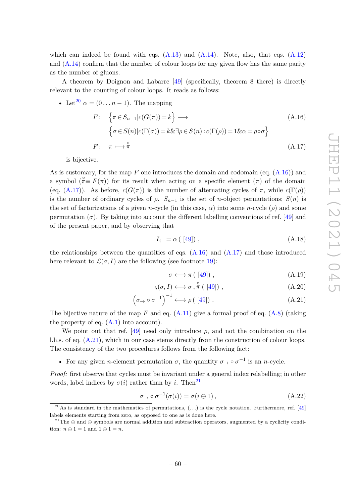which can indeed be found with eqs.  $(A.13)$  and  $(A.14)$ . Note, also, that eqs.  $(A.12)$ and [\(A.14\)](#page-60-4) confirm that the number of colour loops for any given flow has the same parity as the number of gluons.

A theorem by Doignon and Labarre [\[49\]](#page-75-11) (specifically, theorem 8 there) is directly relevant to the counting of colour loops. It reads as follows:

• Let<sup>20</sup> 
$$
\alpha = (0...n - 1)
$$
. The mapping  
\n
$$
F: \begin{cases} \pi \in S_{n-1}|c(G(\pi)) = k \end{cases} \longrightarrow \begin{cases} \sigma \in S(n)|c(\Gamma(\sigma)) = k \& \exists \rho \in S(n) : c(\Gamma(\rho)) = 1 \& \alpha = \rho \circ \sigma \end{cases}
$$
\n
$$
F: \pi \longmapsto \pi^{\circ}
$$
\n(A.17)

is bijective.

As is customary, for the map *F* one introduces the domain and codomain (eq. [\(A.16\)](#page-61-1)) and a symbol  $(\hat{\pi} \equiv F(\pi))$  for its result when acting on a specific element  $(\pi)$  of the domain (eq. [\(A.17\)](#page-61-2)). As before,  $c(G(\pi))$  is the number of alternating cycles of  $\pi$ , while  $c(\Gamma(\rho))$ is the number of ordinary cycles of  $\rho$ .  $S_{n-1}$  is the set of *n*-object permutations;  $S(n)$  is the set of factorizations of a given *n*-cycle (in this case, *α*) into some *n*-cycle (*ρ*) and some permutation  $(\sigma)$ . By taking into account the different labelling conventions of ref. [\[49\]](#page-75-11) and of the present paper, and by observing that

<span id="page-61-2"></span><span id="page-61-1"></span>
$$
I_{\leftarrow} = \alpha \left( \begin{array}{c} [49] \end{array} \right), \tag{A.18}
$$

the relationships between the quantities of eqs.  $(A.16)$  and  $(A.17)$  and those introduced here relevant to  $\mathcal{L}(\sigma, I)$  are the following (see footnote [19\)](#page-60-0):

<span id="page-61-3"></span>
$$
\sigma \longleftrightarrow \pi \left( \begin{array}{c} [49] \end{array} \right) , \tag{A.19}
$$

$$
\varsigma(\sigma, I) \longleftrightarrow \sigma \,, \stackrel{\circ}{\pi} \left( \begin{bmatrix} 49 \end{bmatrix} \right) \,, \tag{A.20}
$$

$$
\left(\sigma_{\rightarrow} \circ \sigma^{-1}\right)^{-1} \longleftrightarrow \rho \left(\begin{bmatrix}49\end{bmatrix}\right). \tag{A.21}
$$

The bijective nature of the map  $F$  and eq.  $(A.11)$  give a formal proof of eq.  $(A.8)$  (taking the property of eq.  $(A.1)$  into account).

We point out that ref. [\[49\]](#page-75-11) need only introduce  $\rho$ , and not the combination on the l.h.s. of eq. [\(A.21\)](#page-61-3), which in our case stems directly from the construction of colour loops. The consistency of the two procedures follows from the following fact:

• For any given *n*-element permutation  $\sigma$ , the quantity  $\sigma \rightarrow \sigma^{-1}$  is an *n*-cycle.

*Proof:* first observe that cycles must be invariant under a general index relabelling; in other words, label indices by  $\sigma(i)$  rather than by *i*. Then<sup>[21](#page-61-4)</sup>

$$
\sigma_{\rightarrow} \circ \sigma^{-1}(\sigma(i)) = \sigma(i \ominus 1), \qquad (A.22)
$$

<span id="page-61-0"></span><sup>&</sup>lt;sup>20</sup>As is standard in the mathematics of permutations,  $(...)$  is the cycle notation. Furthermore, ref. [\[49\]](#page-75-11) labels elements starting from zero, as opposed to one as is done here.

<span id="page-61-4"></span><sup>&</sup>lt;sup>21</sup>The  $\oplus$  and  $\ominus$  symbols are normal addition and subtraction operators, augmented by a cyclicity condition:  $n \oplus 1 = 1$  and  $1 \ominus 1 = n$ .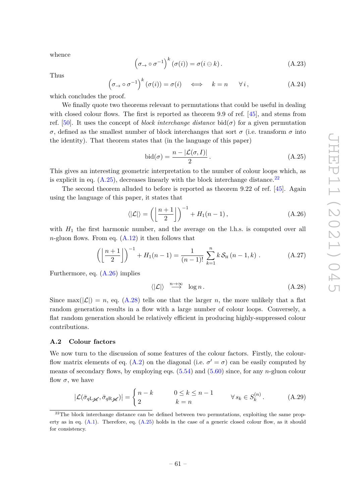whence

$$
\left(\sigma_{\rightarrow}\circ\sigma^{-1}\right)^{k}\left(\sigma(i)\right)=\sigma(i\ominus k). \tag{A.23}
$$

Thus

$$
\left(\sigma_{\rightarrow} \circ \sigma^{-1}\right)^k \left(\sigma(i)\right) = \sigma(i) \quad \Longleftrightarrow \quad k = n \quad \forall i,
$$
\n(A.24)

which concludes the proof.

We finally quote two theorems relevant to permutations that could be useful in dealing with closed colour flows. The first is reported as theorem 9.9 of ref. [\[45\]](#page-75-7), and stems from ref. [\[50\]](#page-75-12). It uses the concept of *block interchange distance* bid $(\sigma)$  for a given permutation *σ*, defined as the smallest number of block interchanges that sort *σ* (i.e. transform *σ* into the identity). That theorem states that (in the language of this paper)

<span id="page-62-0"></span>
$$
bid(\sigma) = \frac{n - |\mathcal{L}(\sigma, I)|}{2}.
$$
\n(A.25)

This gives an interesting geometric interpretation to the number of colour loops which, as is explicit in eq.  $(A.25)$ , decreases linearly with the block interchange distance.<sup>[22](#page-62-1)</sup>

The second theorem alluded to before is reported as theorem 9.22 of ref. [\[45\]](#page-75-7). Again using the language of this paper, it states that

<span id="page-62-2"></span>
$$
\langle |\mathcal{L}| \rangle = \left( \left[ \frac{n+1}{2} \right] \right)^{-1} + H_1(n-1), \tag{A.26}
$$

with  $H_1$  the first harmonic number, and the average on the l.h.s. is computed over all *n*-gluon flows. From eq.  $(A.12)$  it then follows that

$$
\left( \left[ \frac{n+1}{2} \right] \right)^{-1} + H_1(n-1) = \frac{1}{(n-1)!} \sum_{k=1}^{n} k \, \mathcal{S}_{\mathrm{H}} \left( n-1, k \right) \,. \tag{A.27}
$$

Furthermore, eq. [\(A.26\)](#page-62-2) implies

<span id="page-62-3"></span>
$$
\langle |\mathcal{L}| \rangle \stackrel{n \to \infty}{\longrightarrow} \log n. \tag{A.28}
$$

Since  $\max(|\mathcal{L}|) = n$ , eq. [\(A.28\)](#page-62-3) tells one that the larger *n*, the more unlikely that a flat random generation results in a flow with a large number of colour loops. Conversely, a flat random generation should be relatively efficient in producing highly-suppressed colour contributions.

#### **A.2 Colour factors**

We now turn to the discussion of some features of the colour factors. Firstly, the colour-flow matrix elements of eq. [\(A.2\)](#page-58-3) on the diagonal (i.e.  $\sigma' = \sigma$ ) can be easily computed by means of secondary flows, by employing eqs. [\(5.54\)](#page-21-1) and [\(5.60\)](#page-23-0) since, for any *n*-gluon colour flow  $\sigma$ , we have

$$
|\mathcal{L}(\bar{\sigma}_{q\mathcal{L}\mathscr{K}}, \bar{\sigma}_{q\mathcal{R}\mathscr{K}})| = \begin{cases} n - k & 0 \le k \le n - 1 \\ 2 & k = n \end{cases} \qquad \forall s_k \in S_k^{(n)}.
$$
 (A.29)

<span id="page-62-1"></span> $2<sup>22</sup>$ The block interchange distance can be defined between two permutations, exploiting the same property as in eq. [\(A.1\)](#page-58-2). Therefore, eq. [\(A.25\)](#page-62-0) holds in the case of a generic closed colour flow, as it should for consistency.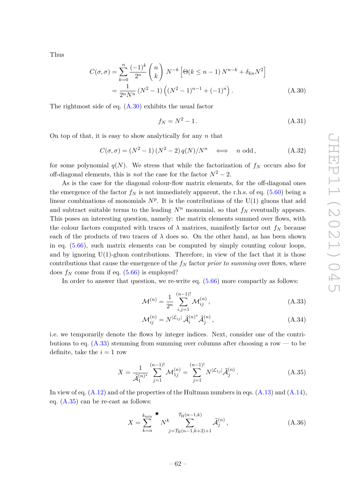Thus

$$
C(\sigma, \sigma) = \sum_{k=0}^{n} \frac{(-1)^k}{2^n} {n \choose k} N^{-k} \left[ \Theta(k \le n - 1) N^{n-k} + \delta_{kn} N^2 \right]
$$
  
= 
$$
\frac{1}{2^n N^n} (N^2 - 1) \left( (N^2 - 1)^{n-1} + (-1)^n \right).
$$
 (A.30)

The rightmost side of eq.  $(A.30)$  exhibits the usual factor

<span id="page-63-0"></span>
$$
f_N = N^2 - 1.
$$
 (A.31)

On top of that, it is easy to show analytically for any *n* that

$$
C(\sigma, \sigma) = (N^2 - 1)(N^2 - 2)q(N)/N^n \iff n \text{ odd},
$$
 (A.32)

for some polynomial  $q(N)$ . We stress that while the factorization of  $f_N$  occurs also for off-diagonal elements, this is *not* the case for the factor  $N^2 - 2$ .

As is the case for the diagonal colour-flow matrix elements, for the off-diagonal ones the emergence of the factor  $f_N$  is not immediately apparent, the r.h.s. of eq. [\(5.60\)](#page-23-0) being a linear combinations of monomials  $N^p$ . It is the contributions of the U(1) gluons that add and subtract suitable terms to the leading  $N^n$  monomial, so that  $f_N$  eventually appears. This poses an interesting question, namely: the matrix elements summed over flows, with the colour factors computed with traces of  $\lambda$  matrices, manifestly factor out  $f_N$  because each of the products of two traces of  $\lambda$  does so. On the other hand, as has been shown in eq. [\(5.66\)](#page-24-1), such matrix elements can be computed by simply counting colour loops, and by ignoring  $U(1)$ -gluon contributions. Therefore, in view of the fact that it is those contributions that cause the emergence of the *f<sup>N</sup>* factor *prior to summing* over flows, where does  $f_N$  come from if eq.  $(5.66)$  is employed?

In order to answer that question, we re-write eq. [\(5.66\)](#page-24-1) more compactly as follows:

$$
\mathcal{M}^{(n)} = \frac{1}{2^n} \sum_{i,j=1}^{(n-1)!} \mathcal{M}_{ij}^{(n)},
$$
\n(A.33)

<span id="page-63-1"></span>
$$
\mathcal{M}_{ij}^{(n)} = N^{|\mathcal{L}_{ij}|} \,\widehat{\mathcal{A}}_i^{(n)^\star} \widehat{\mathcal{A}}_j^{(n)},\tag{A.34}
$$

i.e. we temporarily denote the flows by integer indices. Next, consider one of the contributions to eq.  $(A.33)$  stemming from summing over columns after choosing a row — to be definite, take the  $i = 1$  row

<span id="page-63-2"></span>
$$
X = \frac{1}{\widehat{\mathcal{A}}_1^{(n)*}} \sum_{j=1}^{(n-1)!} \mathcal{M}_{1j}^{(n)} = \sum_{j=1}^{(n-1)!} N^{|\mathcal{L}_{1j}|} \widehat{\mathcal{A}}_j^{(n)}.
$$
 (A.35)

In view of eq.  $(A.12)$  and of the properties of the Hultman numbers in eqs.  $(A.13)$  and  $(A.14)$ , eq. [\(A.35\)](#page-63-2) can be re-cast as follows:

<span id="page-63-3"></span>
$$
X = \sum_{k=n}^{k_{\text{min}}} N^k \sum_{j=\mathcal{T}_{\text{H}}(n-1,k+2)+1}^{\mathcal{T}_{\text{H}}(n-1,k)} \hat{\mathcal{A}}_j^{(n)},
$$
(A.36)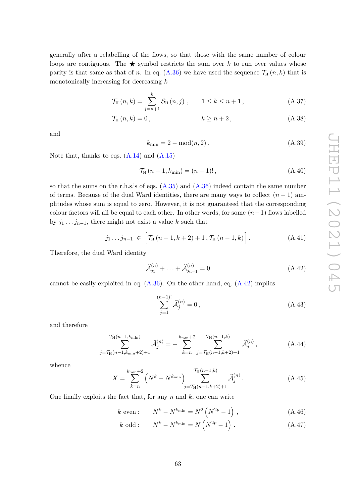generally after a relabelling of the flows, so that those with the same number of colour loops are contiguous. The  $\star$  symbol restricts the sum over *k* to run over values whose parity is that same as that of *n*. In eq.  $(A.36)$  we have used the sequence  $\mathcal{T}_H(n,k)$  that is monotonically increasing for decreasing *k*

$$
\mathcal{T}_{H}(n,k) = \sum_{j=n+1}^{k} \mathcal{S}_{H}(n,j) , \qquad 1 \le k \le n+1 , \qquad (A.37)
$$

$$
\mathcal{T}_{H}(n,k) = 0, \qquad k \ge n+2, \qquad (A.38)
$$

and

$$
k_{\min} = 2 - \text{mod}(n, 2). \tag{A.39}
$$

Note that, thanks to eqs.  $(A.14)$  and  $(A.15)$ 

$$
\mathcal{T}_{\rm H}(n-1,k_{\rm min}) = (n-1)!,\tag{A.40}
$$

so that the sums on the r.h.s.'s of eqs.  $(A.35)$  and  $(A.36)$  indeed contain the same number of terms. Because of the dual Ward identities, there are many ways to collect  $(n-1)$  amplitudes whose sum is equal to zero. However, it is not guaranteed that the corresponding colour factors will all be equal to each other. In other words, for some  $(n-1)$  flows labelled by  $j_1 \tldots j_{n-1}$ , there might not exist a value k such that

$$
j_{1} \ldots j_{n-1} \in \left[ \mathcal{T}_{H} \left( n-1, k+2 \right) + 1, \mathcal{T}_{H} \left( n-1, k \right) \right]. \tag{A.41}
$$

Therefore, the dual Ward identity

<span id="page-64-0"></span>
$$
\widehat{\mathcal{A}}_{j_1}^{(n)} + \ldots + \widehat{\mathcal{A}}_{j_{n-1}}^{(n)} = 0 \tag{A.42}
$$

cannot be easily exploited in eq.  $(A.36)$ . On the other hand, eq.  $(A.42)$  implies

<span id="page-64-2"></span>
$$
\sum_{j=1}^{(n-1)!} \hat{\mathcal{A}}_j^{(n)} = 0, \tag{A.43}
$$

and therefore

$$
\sum_{j=\mathcal{T}_{\rm H}(n-1,k_{\rm min}+2)+1}^{\mathcal{T}_{\rm H}(n-1,k_{\rm min})} \hat{\mathcal{A}}_j^{(n)} = -\sum_{k=n}^{k_{\rm min}+2} \sum_{j=\mathcal{T}_{\rm H}(n-1,k+2)+1}^{\mathcal{T}_{\rm H}(n-1,k)} \hat{\mathcal{A}}_j^{(n)}, \tag{A.44}
$$

whence

<span id="page-64-1"></span>
$$
X = \sum_{k=n}^{k_{\min}+2} \left( N^k - N^{k_{\min}} \right) \sum_{j=\mathcal{T}_{\mathrm{H}}(n-1,k+2)+1}^{\mathcal{T}_{\mathrm{H}}(n-1,k)} \hat{\mathcal{A}}_j^{(n)}.
$$
 (A.45)

One finally exploits the fact that, for any *n* and *k*, one can write

$$
k \text{ even} : \qquad N^k - N^{k_{\min}} = N^2 \left( N^{2p} - 1 \right) ,
$$
 (A.46)

$$
k \text{ odd}: \qquad N^k - N^{k_{\min}} = N\left(N^{2p} - 1\right). \tag{A.47}
$$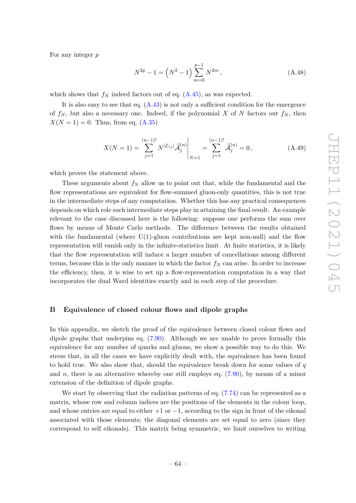For any integer *p*

$$
N^{2p} - 1 = \left(N^2 - 1\right) \sum_{m=0}^{p-1} N^{2m},\tag{A.48}
$$

which shows that  $f_N$  indeed factors out of eq.  $(A.45)$ , as was expected.

It is also easy to see that eq.  $(A.43)$  is not only a sufficient condition for the emergence of  $f_N$ , but also a necessary one. Indeed, if the polynomial X of N factors out  $f_N$ , then  $X(N = 1) = 0$ . Thus, from eq. [\(A.35\)](#page-63-2)

$$
X(N=1) = \sum_{j=1}^{(n-1)!} N^{|\mathcal{L}_{1j}|} \hat{\mathcal{A}}_j^{(n)} \Big|_{N=1} = \sum_{j=1}^{(n-1)!} \hat{\mathcal{A}}_j^{(n)} = 0, \tag{A.49}
$$

which proves the statement above.

These arguments about  $f_N$  allow us to point out that, while the fundamental and the flow representations are equivalent for flow-summed gluon-only quantities, this is not true in the intermediate steps of any computation. Whether this has any practical consequences depends on which role such intermediate steps play in attaining the final result. An example relevant to the case discussed here is the following: suppose one performs the sum over flows by means of Monte Carlo methods. The difference between the results obtained with the fundamental (where  $U(1)$ -gluon contributions are kept non-null) and the flow representation will vanish only in the infinite-statistics limit. At finite statistics, it is likely that the flow representation will induce a larger number of cancellations among different terms, because this is the only manner in which the factor  $f_N$  can arise. In order to increase the efficiency, then, it is wise to set up a flow-representation computation in a way that incorporates the dual Ward identities exactly and in each step of the procedure.

## <span id="page-65-0"></span>**B Equivalence of closed colour flows and dipole graphs**

In this appendix, we sketch the proof of the equivalence between closed colour flows and dipole graphs that underpins eq. [\(7.90\)](#page-49-4). Although we are unable to prove formally this equivalence for any number of quarks and gluons, we show a possible way to do this. We stress that, in all the cases we have explicitly dealt with, the equivalence has been found to hold true. We also show that, should the equivalence break down for some values of *q* and *n*, there is an alternative whereby one still employs eq. [\(7.90\)](#page-49-4), by means of a minor extension of the definition of dipole graphs.

We start by observing that the radiation patterns of eq.  $(7.74)$  can be represented as a matrix, whose row and column indices are the positions of the elements in the colour loop, and whose entries are equal to either  $+1$  or  $-1$ , according to the sign in front of the eikonal associated with those elements; the diagonal elements are set equal to zero (since they correspond to self eikonals). This matrix being symmetric, we limit ourselves to writing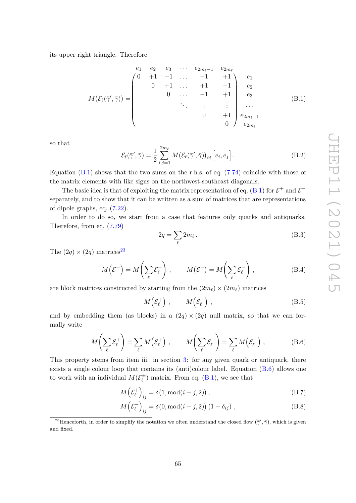its upper right triangle. Therefore

<span id="page-66-0"></span>
$$
M(\mathcal{E}_{\ell}(\bar{\gamma}', \bar{\gamma})) = \begin{pmatrix} e_1 & e_2 & e_3 & \cdots & e_{2m_{\ell}-1} & e_{2m_{\ell}} \\ 0 & +1 & -1 & \cdots & -1 & +1 \\ 0 & +1 & \cdots & +1 & -1 & e_2 \\ 0 & \cdots & -1 & +1 & e_3 \\ & \ddots & \vdots & \vdots & \cdots & \\ & & 0 & +1 & e_{2m_{\ell}-1} \\ & & & & 0 \end{pmatrix} \begin{matrix} e_1 \\ e_2 \\ e_3 \\ e_{2m_{\ell}-1} \\ e_{2m_{\ell}} \end{matrix}
$$
 (B.1)

so that

<span id="page-66-3"></span>
$$
\mathcal{E}_{\ell}(\bar{\gamma}', \bar{\gamma}) = \frac{1}{2} \sum_{i,j=1}^{2m_{\ell}} M(\mathcal{E}_{\ell}(\bar{\gamma}', \bar{\gamma}))_{ij} \left[ e_i, e_j \right]. \tag{B.2}
$$

Equation  $(B.1)$  shows that the two sums on the r.h.s. of eq.  $(7.74)$  coincide with those of the matrix elements with like signs on the northwest-southeast diagonals.

The basic idea is that of exploiting the matrix representation of eq. [\(B.1\)](#page-66-0) for  $\mathcal{E}^+$  and  $\mathcal{E}^$ separately, and to show that it can be written as a sum of matrices that are representations of dipole graphs, eq. [\(7.22\)](#page-41-1).

In order to do so, we start from a case that features only quarks and antiquarks. Therefore, from eq. [\(7.79\)](#page-48-4)

$$
2q = \sum_{\ell} 2m_{\ell} \,. \tag{B.3}
$$

The  $(2q) \times (2q)$  matrices<sup>[23](#page-66-1)</sup>

$$
M(\mathcal{E}^+) = M\bigg(\sum_{\ell} \mathcal{E}_{\ell}^+\bigg) , \qquad M(\mathcal{E}^-) = M\bigg(\sum_{\ell} \mathcal{E}_{\ell}^-\bigg) , \tag{B.4}
$$

are block matrices constructed by starting from the  $(2m_\ell) \times (2m_\ell)$  matrices

$$
M\left(\mathcal{E}_{\ell}^{+}\right) ,\qquad M\left(\mathcal{E}_{\ell}^{-}\right) ,\qquad (B.5)
$$

and by embedding them (as blocks) in a  $(2q) \times (2q)$  null matrix, so that we can formally write

<span id="page-66-2"></span>
$$
M\left(\sum_{\ell} \mathcal{E}_{\ell}^{+}\right) = \sum_{\ell} M\left(\mathcal{E}_{\ell}^{+}\right) , \qquad M\left(\sum_{\ell} \mathcal{E}_{\ell}^{-}\right) = \sum_{\ell} M\left(\mathcal{E}_{\ell}^{-}\right) , \tag{B.6}
$$

This property stems from item iii. in section [3:](#page-8-0) for any given quark or antiquark, there exists a single colour loop that contains its (anti)colour label. Equation [\(B.6\)](#page-66-2) allows one to work with an individual  $M(\mathcal{E}_{\ell}^{\pm})$  $\chi^{\pm}_{\ell}$  matrix. From eq. [\(B.1\)](#page-66-0), we see that

$$
M\left(\mathcal{E}_{\ell}^{+}\right)_{ij} = \delta(1, \text{mod}(i-j, 2)),\tag{B.7}
$$

<span id="page-66-4"></span>
$$
M\left(\mathcal{E}_{\ell}^{-}\right)_{ij} = \delta(0, \text{mod}(i-j, 2))\left(1 - \delta_{ij}\right),\tag{B.8}
$$

<span id="page-66-1"></span><sup>&</sup>lt;sup>23</sup>Henceforth, in order to simplify the notation we often understand the closed flow  $(\bar{\gamma}', \bar{\gamma})$ , which is given and fixed.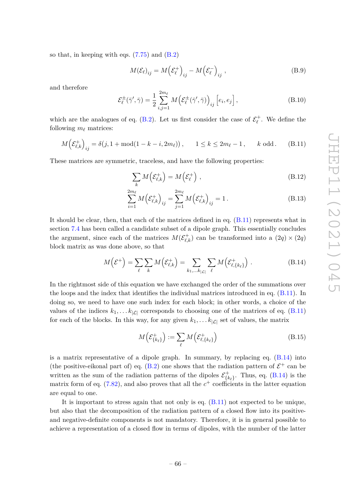so that, in keeping with eqs.  $(7.75)$  and  $(B.2)$ 

$$
M(\mathcal{E}_{\ell})_{ij} = M(\mathcal{E}_{\ell}^{+})_{ij} - M(\mathcal{E}_{\ell}^{-})_{ij}, \qquad (B.9)
$$

and therefore

$$
\mathcal{E}_{\ell}^{\pm}(\bar{\gamma}', \bar{\gamma}) = \frac{1}{2} \sum_{i,j=1}^{2m_{\ell}} M\left(\mathcal{E}_{\ell}^{\pm}(\bar{\gamma}', \bar{\gamma})\right)_{ij} \left[e_i, e_j\right],\tag{B.10}
$$

which are the analogues of eq. [\(B.2\)](#page-66-3). Let us first consider the case of  $\mathcal{E}_{\ell}^{+}$ . We define the following  $m_\ell$  matrices:

<span id="page-67-0"></span>
$$
M\left(\mathcal{E}_{\ell,k}^{+}\right)_{ij} = \delta(j, 1 + \text{mod}(1 - k - i, 2m_{\ell})), \quad 1 \le k \le 2m_{\ell} - 1, \quad k \text{ odd.} \tag{B.11}
$$

These matrices are symmetric, traceless, and have the following properties:

<span id="page-67-3"></span><span id="page-67-2"></span>
$$
\sum_{k} M(\mathcal{E}_{\ell,k}^{+}) = M(\mathcal{E}_{\ell}^{+}), \qquad (B.12)
$$

$$
\sum_{i=1}^{2m_{\ell}} M(\mathcal{E}_{\ell,k}^{+})_{ij} = \sum_{j=1}^{2m_{\ell}} M(\mathcal{E}_{\ell,k}^{+})_{ij} = 1.
$$
 (B.13)

It should be clear, then, that each of the matrices defined in eq.  $(B.11)$  represents what in section [7.4](#page-47-0) has been called a candidate subset of a dipole graph. This essentially concludes the argument, since each of the matrices  $M(\mathcal{E}^+_{\ell,k})$  can be transformed into a  $(2q) \times (2q)$ block matrix as was done above, so that

<span id="page-67-1"></span>
$$
M\left(\mathcal{E}^+\right) = \sum_{\ell} \sum_{k} M\left(\mathcal{E}_{\ell,k}^+\right) = \sum_{k_1,\dots,k_{|\mathcal{L}|}} \sum_{\ell} M\left(\mathcal{E}_{\ell,\{k_{\ell}\}}^+\right) . \tag{B.14}
$$

In the rightmost side of this equation we have exchanged the order of the summations over the loops and the index that identifies the individual matrices introduced in eq. [\(B.11\)](#page-67-0). In doing so, we need to have one such index for each block; in other words, a choice of the values of the indices  $k_1, \ldots k_{|\mathcal{L}|}$  corresponds to choosing one of the matrices of eq. [\(B.11\)](#page-67-0) for each of the blocks. In this way, for any given  $k_1, \ldots, k_{|\mathcal{L}|}$  set of values, the matrix

$$
M\left(\mathcal{E}_{\{k_{\ell}\}}^{+}\right) := \sum_{\ell} M\left(\mathcal{E}_{\ell,\{k_{\ell}\}}^{+}\right) \tag{B.15}
$$

is a matrix representative of a dipole graph. In summary, by replacing eq. [\(B.14\)](#page-67-1) into (the positive-eikonal part of) eq. [\(B.2\)](#page-66-3) one shows that the radiation pattern of  $\mathcal{E}^+$  can be written as the sum of the radiation patterns of the dipoles  $\mathcal{E}_{I_k}^+$  $\{k_{\ell}\}$ . Thus, eq. [\(B.14\)](#page-67-1) is the matrix form of eq.  $(7.82)$ , and also proves that all the  $c^{+}$  coefficients in the latter equation are equal to one.

It is important to stress again that not only is eq. [\(B.11\)](#page-67-0) not expected to be unique, but also that the decomposition of the radiation pattern of a closed flow into its positiveand negative-definite components is not mandatory. Therefore, it is in general possible to achieve a representation of a closed flow in terms of dipoles, with the number of the latter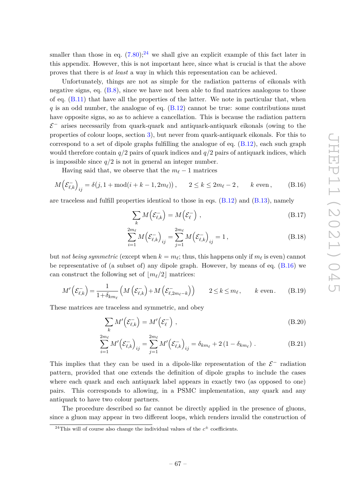smaller than those in eq.  $(7.80)$ ;<sup>[24](#page-68-0)</sup> we shall give an explicit example of this fact later in this appendix. However, this is not important here, since what is crucial is that the above proves that there is *at least* a way in which this representation can be achieved.

Unfortunately, things are not as simple for the radiation patterns of eikonals with negative signs, eq. [\(B.8\)](#page-66-4), since we have not been able to find matrices analogous to those of eq. [\(B.11\)](#page-67-0) that have all the properties of the latter. We note in particular that, when *q* is an odd number, the analogue of eq. [\(B.12\)](#page-67-2) cannot be true: some contributions must have opposite signs, so as to achieve a cancellation. This is because the radiation pattern  $\mathcal{E}^-$  arises necessarily from quark-quark and antiquark-antiquark eikonals (owing to the properties of colour loops, section [3\)](#page-8-0), but never from quark-antiquark eikonals. For this to correspond to a set of dipole graphs fulfilling the analogue of eq.  $(B.12)$ , each such graph would therefore contain *q/*2 pairs of quark indices and *q/*2 pairs of antiquark indices, which is impossible since  $q/2$  is not in general an integer number.

Having said that, we observe that the  $m_\ell - 1$  matrices

<span id="page-68-1"></span>
$$
M\left(\mathcal{E}_{\ell,k}^{-}\right)_{ij} = \delta(j, 1 + \text{mod}(i+k-1, 2m_{\ell})), \qquad 2 \le k \le 2m_{\ell} - 2, \qquad k \text{ even}, \tag{B.16}
$$

are traceless and fulfill properties identical to those in eqs. [\(B.12\)](#page-67-2) and [\(B.13\)](#page-67-3), namely

$$
\sum_{k} M(\mathcal{E}_{\ell,k}^{-}) = M(\mathcal{E}_{\ell}^{-}) , \qquad (B.17)
$$

$$
\sum_{i=1}^{2m_{\ell}} M(\mathcal{E}_{\ell,k})_{ij} = \sum_{j=1}^{2m_{\ell}} M(\mathcal{E}_{\ell,k})_{ij} = 1, \qquad (B.18)
$$

but *not being symmetric* (except when  $k = m_{\ell}$ ; thus, this happens only if  $m_{\ell}$  is even) cannot be representative of (a subset of) any dipole graph. However, by means of eq. [\(B.16\)](#page-68-1) we can construct the following set of  $\lfloor m_{\ell}/2 \rfloor$  matrices:

$$
M'\left(\mathcal{E}_{\ell,k}^{-}\right) = \frac{1}{1+\delta_{km_{\ell}}}\left(M\left(\mathcal{E}_{\ell,k}^{-}\right) + M\left(\mathcal{E}_{\ell,2m_{\ell}-k}^{-}\right)\right) \qquad 2 \le k \le m_{\ell}, \qquad k \text{ even.} \tag{B.19}
$$

These matrices are traceless and symmetric, and obey

$$
\sum_{k} M' \left( \mathcal{E}_{\ell,k}^{-} \right) = M' \left( \mathcal{E}_{\ell}^{-} \right) , \tag{B.20}
$$

$$
\sum_{i=1}^{2m_{\ell}} M' \left( \mathcal{E}_{\ell,k}^{-} \right)_{ij} = \sum_{j=1}^{2m_{\ell}} M' \left( \mathcal{E}_{\ell,k}^{-} \right)_{ij} = \delta_{km_{\ell}} + 2 \left( 1 - \delta_{km_{\ell}} \right) . \tag{B.21}
$$

This implies that they can be used in a dipole-like representation of the  $\mathcal{E}^-$  radiation pattern, provided that one extends the definition of dipole graphs to include the cases where each quark and each antiquark label appears in exactly two (as opposed to one) pairs. This corresponds to allowing, in a PSMC implementation, any quark and any antiquark to have two colour partners.

The procedure described so far cannot be directly applied in the presence of gluons, since a gluon may appear in two different loops, which renders invalid the construction of

<span id="page-68-0"></span><sup>&</sup>lt;sup>24</sup>This will of course also change the individual values of the  $c^{\pm}$  coefficients.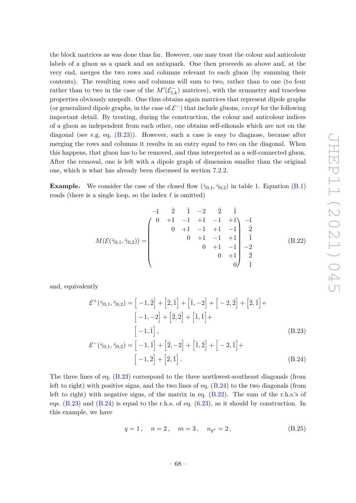the block matrices as was done thus far. However, one may treat the colour and anticolour labels of a gluon as a quark and an antiquark. One then proceeds as above and, at the very end, merges the two rows and columns relevant to each gluon (by summing their contents). The resulting rows and columns will sum to two, rather than to one (to four rather than to two in the case of the  $M'(\mathcal{E}_{\ell,k}^-)$  matrices), with the symmetry and traceless properties obviously unspoilt. One thus obtains again matrices that represent dipole graphs (or generalized dipole graphs, in the case of  $\mathcal{E}^-$ ) that include gluons, *except* for the following important detail. By treating, during the construction, the colour and anticolour indices of a gluon as independent from each other, one obtains self-eikonals which are not on the diagonal (see e.g. eq.  $(B.23)$ ). However, such a case is easy to diagnose, because after merging the rows and columns it results in an entry equal to two on the diagonal. When this happens, that gluon has to be removed, and thus interpreted as a self-connected gluon. After the removal, one is left with a dipole graph of dimension smaller than the original one, which is what has already been discussed in section [7.2.2.](#page-42-0)

**Example.** We consider the case of the closed flow  $(\bar{\gamma}_{0.1}, \bar{\gamma}_{0.2})$  in table [1.](#page-30-0) Equation [\(B.1\)](#page-66-0) reads (there is a single loop, so the index  $\ell$  is omitted)

<span id="page-69-2"></span>
$$
M(\mathcal{E}(\bar{\gamma}_{0,1},\bar{\gamma}_{0,2})) = \begin{pmatrix} -1 & \bar{2} & \bar{1} & -2 & \bar{2} & \bar{1} \\ 0 & +1 & -1 & +1 & -1 & +1 \\ 0 & +1 & -1 & +1 & -1 \\ 0 & +1 & -1 & +1 & \bar{1} \\ 0 & +1 & -1 & -1 & -2 \\ 0 & +1 & -1 & -2 & 0 \\ 0 & +1 & \bar{2} & 0 & \bar{1} \end{pmatrix} (B.22)
$$

and, equivalently

$$
\mathcal{E}^+(\overline{\gamma}_{0,1}, \overline{\gamma}_{0,2}) = \left[-1, \overline{2}\right] + \left[\overline{2}, \overline{1}\right] + \left[\overline{1}, -2\right] + \left[-2, \overline{2}\right] + \left[\overline{2}, \overline{1}\right] + \left[-1, -2\right] + \left[\overline{2}, \overline{2}\right] + \left[\overline{1}, \overline{1}\right] + \left[-1, \overline{1}\right],
$$
\n(B.23)

$$
\mathcal{E}^{-}(\bar{\gamma}_{0,1}, \bar{\gamma}_{0,2}) = \left[ -1, \bar{1} \right] + \left[ \bar{2}, -2 \right] + \left[ \bar{1}, \bar{2} \right] + \left[ -2, \bar{1} \right] + \left[ -1, \bar{2} \right] + \left[ \bar{2}, \bar{1} \right]. \tag{B.24}
$$

The three lines of eq. [\(B.23\)](#page-69-0) correspond to the three northwest-southeast diagonals (from left to right) with positive signs, and the two lines of eq. [\(B.24\)](#page-69-1) to the two diagonals (from left to right) with negative signs, of the matrix in eq. [\(B.22\)](#page-69-2). The sum of the r.h.s.'s of eqs.  $(B.23)$  and  $(B.24)$  is equal to the r.h.s. of eq.  $(6.23)$ , as it should by construction. In this example, we have

<span id="page-69-1"></span><span id="page-69-0"></span>
$$
q = 1, \quad n = 2, \quad m = 3, \quad n_{g^*} = 2,
$$
 (B.25)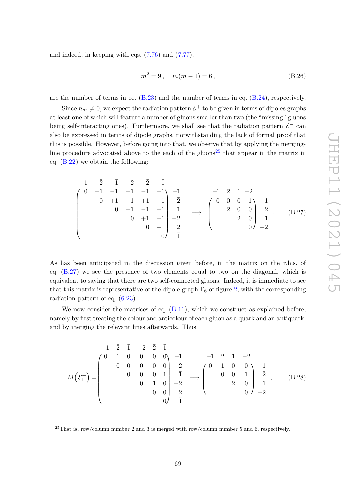and indeed, in keeping with eqs. [\(7.76\)](#page-47-3) and [\(7.77\)](#page-47-4),

$$
m^2 = 9, \quad m(m-1) = 6,
$$
 (B.26)

are the number of terms in eq. [\(B.23\)](#page-69-0) and the number of terms in eq. [\(B.24\)](#page-69-1), respectively.

Since  $n_{g^*} \neq 0$ , we expect the radiation pattern  $\mathcal{E}^+$  to be given in terms of dipoles graphs at least one of which will feature a number of gluons smaller than two (the "missing" gluons being self-interacting ones). Furthermore, we shall see that the radiation pattern  $\mathcal{E}^-$  can also be expressed in terms of dipole graphs, notwithstanding the lack of formal proof that this is possible. However, before going into that, we observe that by applying the merging-line procedure advocated above to the each of the gluons<sup>[25](#page-70-0)</sup> that appear in the matrix in eq. [\(B.22\)](#page-69-2) we obtain the following:

<span id="page-70-1"></span>
$$
\begin{pmatrix}\n-1 & \bar{2} & \bar{1} & -2 & \bar{2} & \bar{1} \\
0 & +1 & -1 & +1 & -1 & +1 \\
0 & +1 & -1 & +1 & -1 & \bar{2} \\
0 & +1 & -1 & +1 & \bar{1} & \bar{1} \\
0 & +1 & -1 & +1 & \bar{1} & -2 \\
0 & +1 & -1 & -2 & -2\n\end{pmatrix}\n\begin{pmatrix}\n0 & 0 & 0 & 1 \\
0 & 0 & 0 & 1 \\
2 & 0 & 0 & \bar{2} \\
2 & 0 & 0 & \bar{1} \\
0 & -2 & 0 & -2\n\end{pmatrix}
$$
\n(B.27)

As has been anticipated in the discussion given before, in the matrix on the r.h.s. of eq. [\(B.27\)](#page-70-1) we see the presence of two elements equal to two on the diagonal, which is equivalent to saying that there are two self-connected gluons. Indeed, it is immediate to see that this matrix is representative of the dipole graph  $\Gamma_6$  of figure [2,](#page-44-0) with the corresponding radiation pattern of eq. [\(6.23\)](#page-30-2).

We now consider the matrices of eq. [\(B.11\)](#page-67-0), which we construct as explained before, namely by first treating the colour and anticolour of each gluon as a quark and an antiquark, and by merging the relevant lines afterwards. Thus

<span id="page-70-2"></span>
$$
M\left(\mathcal{E}_{1}^{+}\right) = \begin{pmatrix} -1 & \frac{1}{2} & \frac{1}{2} & \frac{1}{2} & \frac{1}{2} \\ 0 & 0 & 0 & 0 & 0 \\ 0 & 0 & 0 & 1 & \frac{1}{2} \\ 0 & 0 & 1 & 0 & \frac{1}{2} \\ 0 & 0 & 0 & \frac{1}{2} \end{pmatrix} \xrightarrow{\mathbf{1}} \begin{pmatrix} -1 & \frac{1}{2} & \frac{1}{2} & -2 \\ 0 & 1 & 0 & 0 \\ 0 & 0 & 1 & \frac{1}{2} \\ 0 & 0 & \frac{1}{2} & \frac{1}{2} \end{pmatrix} \xrightarrow{\mathbf{1}} \begin{pmatrix} 0 & 1 & 0 & 0 \\ 0 & 0 & 1 & \frac{1}{2} \\ 0 & 0 & 0 & \frac{1}{2} \\ 0 & 0 & -2 \end{pmatrix} \xrightarrow{\mathbf{1}} \begin{pmatrix} 0 & \frac{1}{2} & \frac{1}{2} & \frac{1}{2} \\ 0 & \frac{1}{2} & \frac{1}{2} & \frac{1}{2} \\ 0 & 0 & 0 & \frac{1}{2} \end{pmatrix} \xrightarrow{\mathbf{1}} \begin{pmatrix} 0 & \frac{1}{2} & \frac{1}{2} & \frac{1}{2} \\ 0 & \frac{1}{2} & \frac{1}{2} & \frac{1}{2} \\ 0 & 0 & 0 & \frac{1}{2} \end{pmatrix} \xrightarrow{\mathbf{1}} \begin{pmatrix} 0 & \frac{1}{2} & \frac{1}{2} & \frac{1}{2} \\ 0 & \frac{1}{2} & \frac{1}{2} & \frac{1}{2} \\ 0 & 0 & 0 & \frac{1}{2} \end{pmatrix} \xrightarrow{\mathbf{1}} \begin{pmatrix} 0 & \frac{1}{2} & \frac{1}{2} & \frac{1}{
$$

<span id="page-70-0"></span> $^{25}$ That is, row/column number 2 and 3 is merged with row/column number 5 and 6, respectively.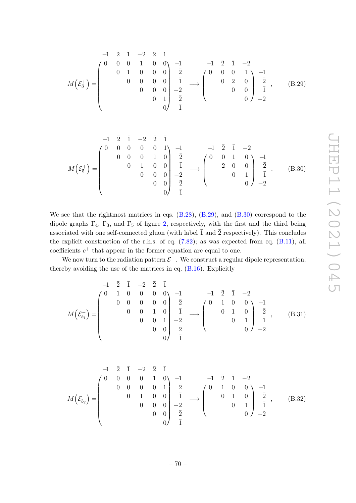<span id="page-71-0"></span>
$$
M\left(\mathcal{E}_3^+\right) = \begin{pmatrix} -1 & \overline{2} & \overline{1} & -2 & \overline{2} & \overline{1} \\ 0 & 0 & 0 & 1 & 0 & 0 \\ 0 & 1 & 0 & 0 & 0 \\ 0 & 0 & 0 & 0 & \overline{1} \\ 0 & 0 & 0 & 0 & -2 \\ 0 & 0 & 1 & \overline{2} \\ 0 & 0 & 0 & \overline{1} \end{pmatrix} \xrightarrow{\overline{1}} \begin{pmatrix} -1 & \overline{2} & \overline{1} & -2 \\ 0 & 0 & 0 & 1 \\ 0 & 2 & 0 & 0 \\ 0 & 0 & 0 & \overline{1} \end{pmatrix} \xrightarrow{\overline{2}}_{-1}, \quad (B.29)
$$

<span id="page-71-1"></span>
$$
M\left(\mathcal{E}_{5}^{+}\right) = \begin{pmatrix} -1 & \overline{2} & \overline{1} & -2 & \overline{2} & \overline{1} \\ 0 & 0 & 0 & 0 & 1 \\ 0 & 0 & 0 & 1 & 0 \\ 0 & 0 & 0 & 0 \\ 0 & 0 & 0 & 0 \\ 0 & 0 & 0 & \overline{2} \end{pmatrix} \begin{pmatrix} -1 & \overline{2} & \overline{1} & -2 \\ \overline{2} & \overline{1} & -2 \\ 0 & 0 & 1 \\ 0 & 0 & 0 \\ 0 & 0 & \overline{2} \end{pmatrix} \begin{pmatrix} 0 & 0 & 1 & 0 \\ 0 & 0 & 1 & 0 \\ 0 & 0 & 1 \\ 0 & 0 & 1 \end{pmatrix} \begin{pmatrix} -1 & \overline{2} & \overline{1} & -2 \\ \overline{2} & \overline{1} & -2 \\ 0 & 0 & 1 \\ 0 & 0 & 0 \end{pmatrix} \begin{pmatrix} 0 & \overline{2} & \overline{1} & -2 \\ \overline{2} & \overline{1} & -2 \\ 0 & 0 & 1 \\ 0 & 0 & 0 \end{pmatrix} \begin{pmatrix} 0 & \overline{2} & \overline{1} & -2 \\ \overline{2} & \overline{1} & -2 \\ 0 & 0 & 1 \\ 0 & 0 & 0 \end{pmatrix} \begin{pmatrix} 0 & \overline{2} & \overline{1} & -2 \\ \overline{2} & \overline{1} & -2 \\ 0 & 0 & 1 \\ 0 & 0 & 0 \end{pmatrix} \begin{pmatrix} 0 & \overline{2} & \overline{1} & -2 \\ \overline{2} & \overline{1} & -2 \\ 0 & 0 & 1 \\ 0 & 0
$$

We see that the rightmost matrices in eqs.  $(B.28)$ ,  $(B.29)$ , and  $(B.30)$  correspond to the dipole graphs  $\Gamma_4$ ,  $\Gamma_3$ , and  $\Gamma_5$  of figure [2,](#page-44-0) respectively, with the first and the third being associated with one self-connected gluon (with label  $\bar{1}$  and  $\bar{2}$  respectively). This concludes the explicit construction of the r.h.s. of eq.  $(7.82)$ ; as was expected from eq.  $(B.11)$ , all  $\alpha$  coefficients  $c^+$  that appear in the former equation are equal to one.

We now turn to the radiation pattern  $\mathcal{E}^-$ . We construct a regular dipole representation, thereby avoiding the use of the matrices in eq. [\(B.16\)](#page-68-1). Explicitly

$$
M\left(\mathcal{E}_{b_1}^{-}\right) = \begin{pmatrix} -1 & \overline{2} & \overline{1} & -2 & \overline{2} & \overline{1} \\ 0 & 1 & 0 & 0 & 0 & 0 \\ 0 & 0 & 0 & 0 & 0 \\ 0 & 0 & 1 & 0 & \overline{1} \\ 0 & 0 & 0 & 1 \\ 0 & 0 & 0 & \overline{2} \end{pmatrix} \xrightarrow{\mathbf{1}} \begin{pmatrix} -1 & \overline{2} & \overline{1} & -2 \\ 0 & 1 & 0 & 0 \\ 0 & 1 & 0 & \overline{2} \\ 0 & 0 & 1 & \overline{1} \end{pmatrix} \xrightarrow{\mathbf{2}}_{\mathbf{1}} \begin{pmatrix} 0 & 1 & 0 & 0 \\ 0 & 1 & 0 & 0 \\ 0 & 1 & 0 & \overline{2} \\ 0 & 0 & -2 \end{pmatrix} \xrightarrow{\mathbf{2}} \begin{pmatrix} 0 & 0 & 0 & 0 \\ 0 & 0 & 0 & 0 \\ 0 & 0 & 0 & \overline{2} \\ 0 & 0 & 0 & \overline{2} \end{pmatrix} \xrightarrow{\mathbf{2}} \begin{pmatrix} 0 & 0 & 0 & 0 \\ 0 & 0 & 0 & 0 \\ 0 & 0 & 0 & \overline{2} \\ 0 & 0 & 0 & \overline{2} \end{pmatrix} \xrightarrow{\mathbf{2}} \begin{pmatrix} 0 & 0 & 0 & 0 \\ 0 & 0 & 0 & 0 \\ 0 & 0 & 0 & 0 \\ 0 & 0 & 0 & \overline{2} \end{pmatrix}
$$

$$
M\left(\mathcal{E}_{b_2}^{-}\right) = \begin{pmatrix} -1 & \bar{2} & \bar{1} & -2 & \bar{2} & \bar{1} \\ 0 & 0 & 0 & 1 & 0 \\ 0 & 0 & 0 & 0 & 1 \\ 0 & 0 & 0 & 0 & \bar{1} \\ 0 & 0 & 0 & 0 & -2 \\ 0 & 0 & 0 & \bar{2} & \end{pmatrix} \xrightarrow{\bar{2}} \begin{pmatrix} 0 & 1 & 0 & 0 \\ 0 & 1 & 0 & 0 \\ 0 & 1 & 0 & \bar{2} \\ 0 & 0 & 1 & \bar{1} \end{pmatrix} \xrightarrow{\bar{2}} \begin{pmatrix} 0 & 0 & 0 & 0 \\ 0 & 0 & 0 & 0 \\ 0 & 0 & 1 & \bar{2} \\ 0 & 0 & 0 & -2 \end{pmatrix} \xrightarrow{\bar{2}} (B.32)
$$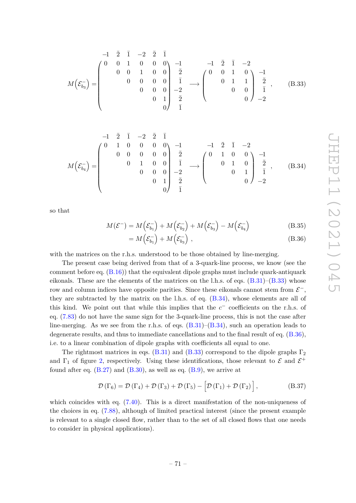<span id="page-72-0"></span>
$$
M\left(\mathcal{E}_{b_3}^{-}\right) = \begin{pmatrix} -1 & \overline{2} & \overline{1} & -2 & \overline{2} & \overline{1} \\ 0 & 0 & 1 & 0 & 0 \\ 0 & 0 & 1 & 0 & 0 \\ 0 & 0 & 0 & 0 \\ 0 & 0 & 0 & 0 \\ 0 & 0 & 1 & \overline{2} \\ 0 & 0 & 1 & \overline{2} \end{pmatrix} \xrightarrow{\mathbf{1}} \begin{pmatrix} -1 & \overline{2} & \overline{1} & -2 \\ 0 & 0 & 1 & 0 \\ 0 & 1 & 1 & \overline{2} \\ 0 & 0 & 0 & \overline{1} \end{pmatrix} \xrightarrow{\mathbf{2}}_{\mathbf{1}} \begin{pmatrix} 0 & 0 & 1 & 0 \\ 0 & 1 & 1 & \overline{2} \\ 0 & 0 & 0 & \overline{1} \end{pmatrix} \xrightarrow{\mathbf{2}}_{\mathbf{2}} \begin{pmatrix} 0 & 0 & 0 & 0 \\ 0 & 0 & 1 & 0 \\ 0 & 0 & 0 & \overline{1} \end{pmatrix} \xrightarrow{\mathbf{2}}_{\mathbf{2}} \begin{pmatrix} 0 & \overline{2} & \overline{2} & \overline{2} \\ 0 & 0 & \overline{2} & \overline{1} \end{pmatrix} \xrightarrow{\mathbf{2}} \begin{pmatrix} 0 & \overline{2} & \overline{2} & \overline{2} \\ 0 & 0 & \overline{2} & \overline{1} \end{pmatrix}
$$

<span id="page-72-1"></span>
$$
M\left(\mathcal{E}_{b_4}^{-}\right) = \begin{pmatrix} -1 & \overline{2} & \overline{1} & -2 & \overline{2} & \overline{1} \\ 0 & 1 & 0 & 0 & 0 & 0 \\ 0 & 0 & 0 & 0 & 0 \\ 0 & 1 & 0 & 0 & \overline{1} \\ 0 & 0 & 0 & 0 & -2 \\ 0 & 0 & 1 & \overline{2} \end{pmatrix} \xrightarrow{\overline{1}} \begin{pmatrix} -1 & \overline{2} & \overline{1} & -2 \\ 0 & 1 & 0 & 0 \\ 0 & 1 & 0 & \overline{2} \\ 0 & 0 & 1 & \overline{1} \end{pmatrix} \xrightarrow{\overline{2}} \begin{pmatrix} 0 & 1 & 0 & 0 \\ 0 & 1 & 0 & 0 \\ 0 & 1 & 0 & \overline{2} \\ 0 & 0 & -2 & \end{pmatrix} \xrightarrow{\overline{2}} \begin{pmatrix} 0 & \overline{2} & \overline{2} & \overline{2} \\ 0 & \overline{2} & \overline{2} \\ 0 & 0 & 0 & \overline{2} \end{pmatrix} \xrightarrow{\overline{2}} \begin{pmatrix} 0 & \overline{2} & \overline{2} & \overline{2} \\ 0 & \overline{2} & \overline{2} \\ 0 & 0 & 0 & \overline{2} \end{pmatrix} \xrightarrow{\overline{2}} \begin{pmatrix} 0 & \overline{2} & \overline{2} & \overline{2} \\ 0 & \overline{2} & \overline{2} \\ 0 & 0 & \overline{2} & \overline{2} \end{pmatrix}
$$

so that

$$
M(\mathcal{E}^-) = M\left(\mathcal{E}_{b_1}^-\right) + M\left(\mathcal{E}_{b_2}^-\right) + M\left(\mathcal{E}_{b_3}^-\right) - M\left(\mathcal{E}_{b_4}^-\right) \tag{B.35}
$$

<span id="page-72-2"></span>
$$
= M\left(\mathcal{E}_{b_1}^-\right) + M\left(\mathcal{E}_{b_3}^-\right) ,\tag{B.36}
$$

with the matrices on the r.h.s. understood to be those obtained by line-merging.

The present case being derived from that of a 3-quark-line process, we know (see the comment before eq.  $(B.16)$ ) that the equivalent dipole graphs must include quark-antiquark eikonals. These are the elements of the matrices on the l.h.s. of eqs.  $(B.31)$ – $(B.33)$  whose row and column indices have opposite parities. Since these eikonals cannot stem from  $\mathcal{E}^-,$ they are subtracted by the matrix on the l.h.s. of eq.  $(B.34)$ , whose elements are all of this kind. We point out that while this implies that the  $c^-$  coefficients on the r.h.s. of eq. [\(7.83\)](#page-48-0) do not have the same sign for the 3-quark-line process, this is not the case after line-merging. As we see from the r.h.s. of eqs.  $(B.31)$ – $(B.34)$ , such an operation leads to degenerate results, and thus to immediate cancellations and to the final result of eq. [\(B.36\)](#page-72-2), i.e. to a linear combination of dipole graphs with coefficients all equal to one.

The rightmost matrices in eqs. [\(B.31\)](#page-71-0) and [\(B.33\)](#page-72-0) correspond to the dipole graphs  $\Gamma_2$ and  $\Gamma_1$  of figure [2,](#page-44-0) respectively. Using these identifications, those relevant to  $\mathcal E$  and  $\mathcal E^+$ found after eq.  $(B.27)$  and  $(B.30)$ , as well as eq.  $(B.9)$ , we arrive at

$$
\mathcal{D}\left(\Gamma_6\right) = \mathcal{D}\left(\Gamma_4\right) + \mathcal{D}\left(\Gamma_3\right) + \mathcal{D}\left(\Gamma_5\right) - \left[\mathcal{D}\left(\Gamma_1\right) + \mathcal{D}\left(\Gamma_2\right)\right],\tag{B.37}
$$

which coincides with eq.  $(7.40)$ . This is a direct manifestation of the non-uniqueness of the choices in eq. [\(7.88\)](#page-49-0), although of limited practical interest (since the present example is relevant to a single closed flow, rather than to the set of all closed flows that one needs to consider in physical applications).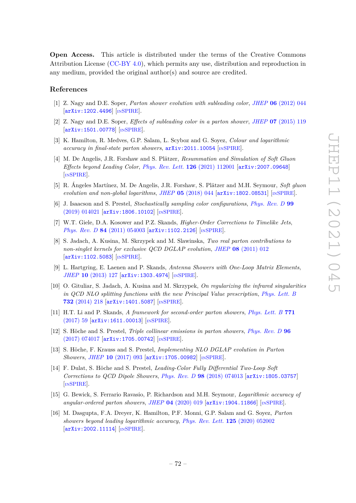**Open Access.** This article is distributed under the terms of the Creative Commons Attribution License [\(CC-BY 4.0\)](https://creativecommons.org/licenses/by/4.0/), which permits any use, distribution and reproduction in any medium, provided the original author(s) and source are credited.

## **References**

- [1] Z. Nagy and D.E. Soper, *Parton shower evolution with subleading color*, *JHEP* **06** [\(2012\) 044](https://doi.org/10.1007/JHEP06(2012)044) [[arXiv:1202.4496](https://arxiv.org/abs/1202.4496)] [IN[SPIRE](https://inspirehep.net/search?p=find+EPRINT%2BarXiv%3A1202.4496)].
- [2] Z. Nagy and D.E. Soper, *Effects of subleading color in a parton shower*, *JHEP* **07** [\(2015\) 119](https://doi.org/10.1007/JHEP07(2015)119) [[arXiv:1501.00778](https://arxiv.org/abs/1501.00778)] [IN[SPIRE](https://inspirehep.net/search?p=find+EPRINT%2BarXiv%3A1501.00778)].
- [3] K. Hamilton, R. Medves, G.P. Salam, L. Scyboz and G. Soyez, *Colour and logarithmic accuracy in final-state parton showers*, [arXiv:2011.10054](https://arxiv.org/abs/2011.10054) [IN[SPIRE](https://inspirehep.net/search?p=find+EPRINT%2BarXiv%3A2011.10054)].
- [4] M. De Angelis, J.R. Forshaw and S. Plätzer, *Resummation and Simulation of Soft Gluon Effects beyond Leading Color*, *[Phys. Rev. Lett.](https://doi.org/10.1103/PhysRevLett.126.112001)* **126** (2021) 112001 [[arXiv:2007.09648](https://arxiv.org/abs/2007.09648)] [IN[SPIRE](https://inspirehep.net/search?p=find+EPRINT%2BarXiv%3A2007.09648)].
- [5] R. Ángeles Martínez, M. De Angelis, J.R. Forshaw, S. Plätzer and M.H. Seymour, *Soft gluon evolution and non-global logarithms*, *JHEP* **05** [\(2018\) 044](https://doi.org/10.1007/JHEP05(2018)044) [[arXiv:1802.08531](https://arxiv.org/abs/1802.08531)] [IN[SPIRE](https://inspirehep.net/search?p=find+EPRINT%2BarXiv%3A1802.08531)].
- [6] J. Isaacson and S. Prestel, *Stochastically sampling color configurations*, *[Phys. Rev. D](https://doi.org/10.1103/PhysRevD.99.014021)* **99** [\(2019\) 014021](https://doi.org/10.1103/PhysRevD.99.014021) [[arXiv:1806.10102](https://arxiv.org/abs/1806.10102)] [IN[SPIRE](https://inspirehep.net/search?p=find+EPRINT%2BarXiv%3A1806.10102)].
- [7] W.T. Giele, D.A. Kosower and P.Z. Skands, *Higher-Order Corrections to Timelike Jets*, *Phys. Rev. D* 84 [\(2011\) 054003](https://doi.org/10.1103/PhysRevD.84.054003) [[arXiv:1102.2126](https://arxiv.org/abs/1102.2126)] [IN[SPIRE](https://inspirehep.net/search?p=find+EPRINT%2BarXiv%3A1102.2126)].
- [8] S. Jadach, A. Kusina, M. Skrzypek and M. Slawinska, *Two real parton contributions to non-singlet kernels for exclusive QCD DGLAP evolution*, *JHEP* **08** [\(2011\) 012](https://doi.org/10.1007/JHEP08(2011)012) [[arXiv:1102.5083](https://arxiv.org/abs/1102.5083)] [IN[SPIRE](https://inspirehep.net/search?p=find+EPRINT%2BarXiv%3A1102.5083)].
- [9] L. Hartgring, E. Laenen and P. Skands, *Antenna Showers with One-Loop Matrix Elements*, *JHEP* **10** [\(2013\) 127](https://doi.org/10.1007/JHEP10(2013)127) [[arXiv:1303.4974](https://arxiv.org/abs/1303.4974)] [IN[SPIRE](https://inspirehep.net/search?p=find+EPRINT%2BarXiv%3A1303.4974)].
- [10] O. Gituliar, S. Jadach, A. Kusina and M. Skrzypek, *On regularizing the infrared singularities in QCD NLO splitting functions with the new Principal Value prescription*, *[Phys. Lett. B](https://doi.org/10.1016/j.physletb.2014.03.045)* **732** [\(2014\) 218](https://doi.org/10.1016/j.physletb.2014.03.045) [[arXiv:1401.5087](https://arxiv.org/abs/1401.5087)] [IN[SPIRE](https://inspirehep.net/search?p=find+EPRINT%2BarXiv%3A1401.5087)].
- [11] H.T. Li and P. Skands, *A framework for second-order parton showers*, *[Phys. Lett. B](https://doi.org/10.1016/j.physletb.2017.05.011)* **771** [\(2017\) 59](https://doi.org/10.1016/j.physletb.2017.05.011) [[arXiv:1611.00013](https://arxiv.org/abs/1611.00013)] [IN[SPIRE](https://inspirehep.net/search?p=find+EPRINT%2BarXiv%3A1611.00013)].
- [12] S. Höche and S. Prestel, *Triple collinear emissions in parton showers*, *[Phys. Rev. D](https://doi.org/10.1103/PhysRevD.96.074017)* **96** [\(2017\) 074017](https://doi.org/10.1103/PhysRevD.96.074017) [[arXiv:1705.00742](https://arxiv.org/abs/1705.00742)] [IN[SPIRE](https://inspirehep.net/search?p=find+EPRINT%2BarXiv%3A1705.00742)].
- [13] S. Höche, F. Krauss and S. Prestel, *Implementing NLO DGLAP evolution in Parton Showers*, *JHEP* **10** [\(2017\) 093](https://doi.org/10.1007/JHEP10(2017)093) [[arXiv:1705.00982](https://arxiv.org/abs/1705.00982)] [IN[SPIRE](https://inspirehep.net/search?p=find+EPRINT%2BarXiv%3A1705.00982)].
- [14] F. Dulat, S. Höche and S. Prestel, *Leading-Color Fully Differential Two-Loop Soft Corrections to QCD Dipole Showers*, *Phys. Rev. D* **98** [\(2018\) 074013](https://doi.org/10.1103/PhysRevD.98.074013) [[arXiv:1805.03757](https://arxiv.org/abs/1805.03757)] [IN[SPIRE](https://inspirehep.net/search?p=find+EPRINT%2BarXiv%3A1805.03757)].
- [15] G. Bewick, S. Ferrario Ravasio, P. Richardson and M.H. Seymour, *Logarithmic accuracy of angular-ordered parton showers*, *JHEP* **04** [\(2020\) 019](https://doi.org/10.1007/JHEP04(2020)019) [[arXiv:1904.11866](https://arxiv.org/abs/1904.11866)] [IN[SPIRE](https://inspirehep.net/search?p=find+EPRINT%2BarXiv%3A1904.11866)].
- [16] M. Dasgupta, F.A. Dreyer, K. Hamilton, P.F. Monni, G.P. Salam and G. Soyez, *Parton showers beyond leading logarithmic accuracy*, *[Phys. Rev. Lett.](https://doi.org/10.1103/PhysRevLett.125.052002)* **125** (2020) 052002 [[arXiv:2002.11114](https://arxiv.org/abs/2002.11114)] [IN[SPIRE](https://inspirehep.net/search?p=find+EPRINT%2BarXiv%3A2002.11114)].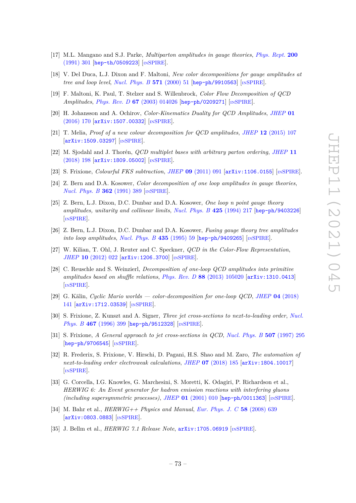- [17] M.L. Mangano and S.J. Parke, *Multiparton amplitudes in gauge theories*, *[Phys. Rept.](https://doi.org/10.1016/0370-1573(91)90091-Y)* **200** [\(1991\) 301](https://doi.org/10.1016/0370-1573(91)90091-Y) [[hep-th/0509223](https://arxiv.org/abs/hep-th/0509223)] [IN[SPIRE](https://inspirehep.net/search?p=find+EPRINT%2Bhep-th%2F0509223)].
- [18] V. Del Duca, L.J. Dixon and F. Maltoni, *New color decompositions for gauge amplitudes at tree and loop level*, *[Nucl. Phys. B](https://doi.org/10.1016/S0550-3213(99)00809-3)* **571** (2000) 51 [[hep-ph/9910563](https://arxiv.org/abs/hep-ph/9910563)] [IN[SPIRE](https://inspirehep.net/search?p=find+EPRINT%2Bhep-ph%2F9910563)].
- [19] F. Maltoni, K. Paul, T. Stelzer and S. Willenbrock, *Color Flow Decomposition of QCD Amplitudes*, *Phys. Rev. D* **67** [\(2003\) 014026](https://doi.org/10.1103/PhysRevD.67.014026) [[hep-ph/0209271](https://arxiv.org/abs/hep-ph/0209271)] [IN[SPIRE](https://inspirehep.net/search?p=find+EPRINT%2Bhep-ph%2F0209271)].
- [20] H. Johansson and A. Ochirov, *Color-Kinematics Duality for QCD Amplitudes*, *[JHEP](https://doi.org/10.1007/JHEP01(2016)170)* **01** [\(2016\) 170](https://doi.org/10.1007/JHEP01(2016)170) [[arXiv:1507.00332](https://arxiv.org/abs/1507.00332)] [IN[SPIRE](https://inspirehep.net/search?p=find+EPRINT%2BarXiv%3A1507.00332)].
- [21] T. Melia, *Proof of a new colour decomposition for QCD amplitudes*, *JHEP* **12** [\(2015\) 107](https://doi.org/10.1007/JHEP12(2015)107) [[arXiv:1509.03297](https://arxiv.org/abs/1509.03297)] [IN[SPIRE](https://inspirehep.net/search?p=find+EPRINT%2BarXiv%3A1509.03297)].
- [22] M. Sjodahl and J. Thorén, *QCD multiplet bases with arbitrary parton ordering*, *[JHEP](https://doi.org/10.1007/JHEP11(2018)198)* **11** [\(2018\) 198](https://doi.org/10.1007/JHEP11(2018)198) [[arXiv:1809.05002](https://arxiv.org/abs/1809.05002)] [IN[SPIRE](https://inspirehep.net/search?p=find+EPRINT%2BarXiv%3A1809.05002)].
- [23] S. Frixione, *Colourful FKS subtraction*, *JHEP* **09** [\(2011\) 091](https://doi.org/10.1007/JHEP09(2011)091) [[arXiv:1106.0155](https://arxiv.org/abs/1106.0155)] [IN[SPIRE](https://inspirehep.net/search?p=find+EPRINT%2BarXiv%3A1106.0155)].
- [24] Z. Bern and D.A. Kosower, *Color decomposition of one loop amplitudes in gauge theories*, *[Nucl. Phys. B](https://doi.org/10.1016/0550-3213(91)90567-H)* **362** (1991) 389 [IN[SPIRE](https://inspirehep.net/search?p=find+J%20%22Nucl.Phys.%2CB362%2C389%22)].
- [25] Z. Bern, L.J. Dixon, D.C. Dunbar and D.A. Kosower, *One loop n point gauge theory amplitudes, unitarity and collinear limits*, *[Nucl. Phys. B](https://doi.org/10.1016/0550-3213(94)90179-1)* **425** (1994) 217 [[hep-ph/9403226](https://arxiv.org/abs/hep-ph/9403226)] [IN[SPIRE](https://inspirehep.net/search?p=find+EPRINT%2Bhep-ph%2F9403226)].
- [26] Z. Bern, L.J. Dixon, D.C. Dunbar and D.A. Kosower, *Fusing gauge theory tree amplitudes into loop amplitudes, [Nucl. Phys. B](https://doi.org/10.1016/0550-3213(94)00488-Z)* 435 (1995) 59 [[hep-ph/9409265](https://arxiv.org/abs/hep-ph/9409265)] [IN[SPIRE](https://inspirehep.net/search?p=find+EPRINT%2Bhep-ph%2F9409265)].
- [27] W. Kilian, T. Ohl, J. Reuter and C. Speckner, *QCD in the Color-Flow Representation*, *JHEP* **10** [\(2012\) 022](https://doi.org/10.1007/JHEP10(2012)022) [[arXiv:1206.3700](https://arxiv.org/abs/1206.3700)] [IN[SPIRE](https://inspirehep.net/search?p=find+EPRINT%2BarXiv%3A1206.3700)].
- [28] C. Reuschle and S. Weinzierl, *Decomposition of one-loop QCD amplitudes into primitive amplitudes based on shuffle relations*, *Phys. Rev. D* **88** [\(2013\) 105020](https://doi.org/10.1103/PhysRevD.88.105020) [[arXiv:1310.0413](https://arxiv.org/abs/1310.0413)] [IN[SPIRE](https://inspirehep.net/search?p=find+EPRINT%2BarXiv%3A1310.0413)].
- [29] G. Kälin, *Cyclic Mario worlds color-decomposition for one-loop QCD*, *JHEP* **04** [\(2018\)](https://doi.org/10.1007/JHEP04(2018)141) [141](https://doi.org/10.1007/JHEP04(2018)141) [[arXiv:1712.03539](https://arxiv.org/abs/1712.03539)] [IN[SPIRE](https://inspirehep.net/search?p=find+EPRINT%2BarXiv%3A1712.03539)].
- [30] S. Frixione, Z. Kunszt and A. Signer, *Three jet cross-sections to next-to-leading order*, *[Nucl.](https://doi.org/10.1016/0550-3213(96)00110-1) Phys. B* **467** [\(1996\) 399](https://doi.org/10.1016/0550-3213(96)00110-1) [[hep-ph/9512328](https://arxiv.org/abs/hep-ph/9512328)] [IN[SPIRE](https://inspirehep.net/search?p=find+EPRINT%2Bhep-ph%2F9512328)].
- [31] S. Frixione, *A General approach to jet cross-sections in QCD*, *[Nucl. Phys. B](https://doi.org/10.1016/S0550-3213(97)00574-9)* **507** (1997) 295 [[hep-ph/9706545](https://arxiv.org/abs/hep-ph/9706545)] [IN[SPIRE](https://inspirehep.net/search?p=find+EPRINT%2Bhep-ph%2F9706545)].
- [32] R. Frederix, S. Frixione, V. Hirschi, D. Pagani, H.S. Shao and M. Zaro, *The automation of next-to-leading order electroweak calculations*, *JHEP* **07** [\(2018\) 185](https://doi.org/10.1007/JHEP07(2018)185) [[arXiv:1804.10017](https://arxiv.org/abs/1804.10017)] [IN[SPIRE](https://inspirehep.net/search?p=find+EPRINT%2BarXiv%3A1804.10017)].
- [33] G. Corcella, I.G. Knowles, G. Marchesini, S. Moretti, K. Odagiri, P. Richardson et al., *HERWIG 6: An Event generator for hadron emission reactions with interfering gluons (including supersymmetric processes)*, *JHEP* **01** [\(2001\) 010](https://doi.org/10.1088/1126-6708/2001/01/010) [[hep-ph/0011363](https://arxiv.org/abs/hep-ph/0011363)] [IN[SPIRE](https://inspirehep.net/search?p=find+EPRINT%2Bhep-ph%2F0011363)].
- [34] M. Bahr et al., *HERWIG++ Physics and Manual*, *[Eur. Phys. J. C](https://doi.org/10.1140/epjc/s10052-008-0798-9)* **58** (2008) 639 [[arXiv:0803.0883](https://arxiv.org/abs/0803.0883)] [IN[SPIRE](https://inspirehep.net/search?p=find+EPRINT%2BarXiv%3A0803.0883)].
- [35] J. Bellm et al., *HERWIG 7.1 Release Note*, [arXiv:1705.06919](https://arxiv.org/abs/1705.06919) [IN[SPIRE](https://inspirehep.net/search?p=find+EPRINT%2BarXiv%3A1705.06919)].